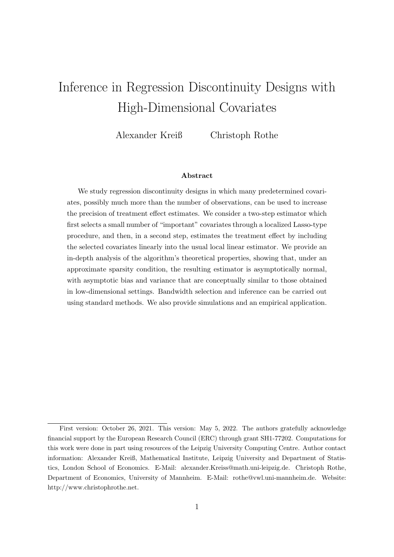# <span id="page-0-0"></span>Inference in Regression Discontinuity Designs with High-Dimensional Covariates

Alexander Kreiß Christoph Rothe

#### Abstract

We study regression discontinuity designs in which many predetermined covariates, possibly much more than the number of observations, can be used to increase the precision of treatment effect estimates. We consider a two-step estimator which first selects a small number of "important" covariates through a localized Lasso-type procedure, and then, in a second step, estimates the treatment effect by including the selected covariates linearly into the usual local linear estimator. We provide an in-depth analysis of the algorithm's theoretical properties, showing that, under an approximate sparsity condition, the resulting estimator is asymptotically normal, with asymptotic bias and variance that are conceptually similar to those obtained in low-dimensional settings. Bandwidth selection and inference can be carried out using standard methods. We also provide simulations and an empirical application.

First version: October 26, 2021. This version: May 5, 2022. The authors gratefully acknowledge financial support by the European Research Council (ERC) through grant SH1-77202. Computations for this work were done in part using resources of the Leipzig University Computing Centre. Author contact information: Alexander Kreiß, Mathematical Institute, Leipzig University and Department of Statistics, London School of Economics. E-Mail: alexander.Kreiss@math.uni-leipzig.de. Christoph Rothe, Department of Economics, University of Mannheim. E-Mail: rothe@vwl.uni-mannheim.de. Website: http://www.christophrothe.net.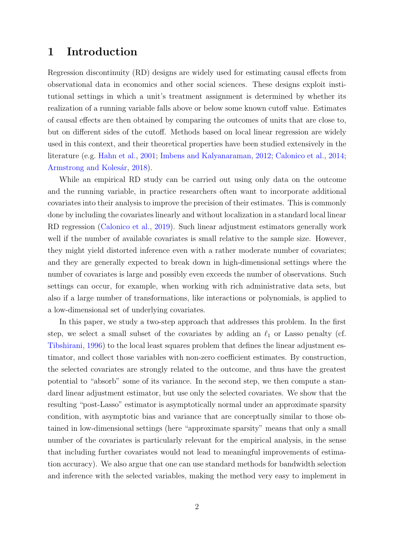# 1 Introduction

Regression discontinuity (RD) designs are widely used for estimating causal effects from observational data in economics and other social sciences. These designs exploit institutional settings in which a unit's treatment assignment is determined by whether its realization of a running variable falls above or below some known cutoff value. Estimates of causal effects are then obtained by comparing the outcomes of units that are close to, but on different sides of the cutoff. Methods based on local linear regression are widely used in this context, and their theoretical properties have been studied extensively in the literature (e.g. [Hahn et al.,](#page-22-0) [2001;](#page-22-0) [Imbens and Kalyanaraman,](#page-22-1) [2012;](#page-22-1) [Calonico et al.,](#page-22-2) [2014;](#page-22-2) Armstrong and Kolesár, [2018\)](#page-21-0).

While an empirical RD study can be carried out using only data on the outcome and the running variable, in practice researchers often want to incorporate additional covariates into their analysis to improve the precision of their estimates. This is commonly done by including the covariates linearly and without localization in a standard local linear RD regression [\(Calonico et al.,](#page-22-3) [2019\)](#page-22-3). Such linear adjustment estimators generally work well if the number of available covariates is small relative to the sample size. However, they might yield distorted inference even with a rather moderate number of covariates; and they are generally expected to break down in high-dimensional settings where the number of covariates is large and possibly even exceeds the number of observations. Such settings can occur, for example, when working with rich administrative data sets, but also if a large number of transformations, like interactions or polynomials, is applied to a low-dimensional set of underlying covariates.

In this paper, we study a two-step approach that addresses this problem. In the first step, we select a small subset of the covariates by adding an  $\ell_1$  or Lasso penalty (cf. [Tibshirani,](#page-23-0) [1996\)](#page-23-0) to the local least squares problem that defines the linear adjustment estimator, and collect those variables with non-zero coefficient estimates. By construction, the selected covariates are strongly related to the outcome, and thus have the greatest potential to "absorb" some of its variance. In the second step, we then compute a standard linear adjustment estimator, but use only the selected covariates. We show that the resulting "post-Lasso" estimator is asymptotically normal under an approximate sparsity condition, with asymptotic bias and variance that are conceptually similar to those obtained in low-dimensional settings (here "approximate sparsity" means that only a small number of the covariates is particularly relevant for the empirical analysis, in the sense that including further covariates would not lead to meaningful improvements of estimation accuracy). We also argue that one can use standard methods for bandwidth selection and inference with the selected variables, making the method very easy to implement in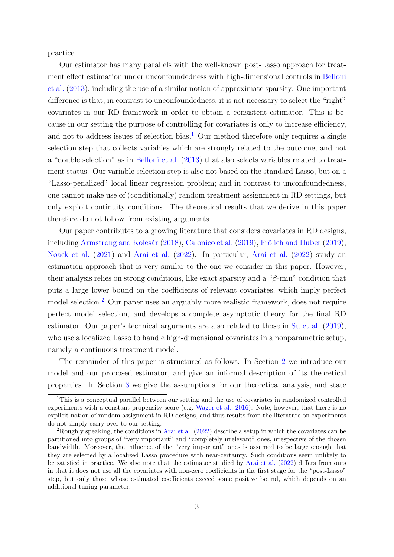practice.

Our estimator has many parallels with the well-known post-Lasso approach for treatment effect estimation under unconfoundedness with high-dimensional controls in [Belloni](#page-21-1) [et al.](#page-21-1) [\(2013\)](#page-21-1), including the use of a similar notion of approximate sparsity. One important difference is that, in contrast to unconfoundedness, it is not necessary to select the "right" covariates in our RD framework in order to obtain a consistent estimator. This is because in our setting the purpose of controlling for covariates is only to increase efficiency, and not to address issues of selection bias.<sup>[1](#page-0-0)</sup> Our method therefore only requires a single selection step that collects variables which are strongly related to the outcome, and not a "double selection" as in [Belloni et al.](#page-21-1) [\(2013\)](#page-21-1) that also selects variables related to treatment status. Our variable selection step is also not based on the standard Lasso, but on a "Lasso-penalized" local linear regression problem; and in contrast to unconfoundedness, one cannot make use of (conditionally) random treatment assignment in RD settings, but only exploit continuity conditions. The theoretical results that we derive in this paper therefore do not follow from existing arguments.

Our paper contributes to a growing literature that considers covariates in RD designs, including Armstrong and Kolesár [\(2018\)](#page-21-0), [Calonico et al.](#page-22-3) [\(2019\)](#page-22-4), Frölich and Huber (2019), [Noack et al.](#page-22-5) [\(2021\)](#page-22-5) and [Arai et al.](#page-21-2) [\(2022\)](#page-21-2). In particular, [Arai et al.](#page-21-2) [\(2022\)](#page-21-2) study an estimation approach that is very similar to the one we consider in this paper. However, their analysis relies on strong conditions, like exact sparsity and a " $\beta$ -min" condition that puts a large lower bound on the coefficients of relevant covariates, which imply perfect model selection.[2](#page-0-0) Our paper uses an arguably more realistic framework, does not require perfect model selection, and develops a complete asymptotic theory for the final RD estimator. Our paper's technical arguments are also related to those in [Su et al.](#page-22-6) [\(2019\)](#page-22-6), who use a localized Lasso to handle high-dimensional covariates in a nonparametric setup, namely a continuous treatment model.

The remainder of this paper is structured as follows. In Section [2](#page-3-0) we introduce our model and our proposed estimator, and give an informal description of its theoretical properties. In Section [3](#page-8-0) we give the assumptions for our theoretical analysis, and state

<sup>&</sup>lt;sup>1</sup>This is a conceptual parallel between our setting and the use of covariates in randomized controlled experiments with a constant propensity score (e.g. [Wager et al.,](#page-23-1) [2016\)](#page-23-1). Note, however, that there is no explicit notion of random assignment in RD designs, and thus results from the literature on experiments do not simply carry over to our setting.

<sup>&</sup>lt;sup>2</sup>Roughly speaking, the conditions in [Arai et al.](#page-21-2)  $(2022)$  describe a setup in which the covariates can be partitioned into groups of "very important" and "completely irrelevant" ones, irrespective of the chosen bandwidth. Moreover, the influence of the "very important" ones is assumed to be large enough that they are selected by a localized Lasso procedure with near-certainty. Such conditions seem unlikely to be satisfied in practice. We also note that the estimator studied by [Arai et al.](#page-21-2) [\(2022\)](#page-21-2) differs from ours in that it does not use all the covariates with non-zero coefficients in the first stage for the "post-Lasso" step, but only those whose estimated coefficients exceed some positive bound, which depends on an additional tuning parameter.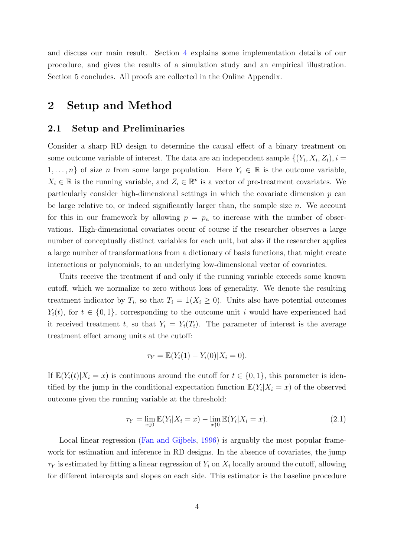and discuss our main result. Section [4](#page-17-0) explains some implementation details of our procedure, and gives the results of a simulation study and an empirical illustration. Section 5 concludes. All proofs are collected in the Online Appendix.

# <span id="page-3-0"></span>2 Setup and Method

# 2.1 Setup and Preliminaries

Consider a sharp RD design to determine the causal effect of a binary treatment on some outcome variable of interest. The data are an independent sample  $\{(Y_i, X_i, Z_i), i =$  $1, \ldots, n$  of size n from some large population. Here  $Y_i \in \mathbb{R}$  is the outcome variable,  $X_i \in \mathbb{R}$  is the running variable, and  $Z_i \in \mathbb{R}^p$  is a vector of pre-treatment covariates. We particularly consider high-dimensional settings in which the covariate dimension  $p$  can be large relative to, or indeed significantly larger than, the sample size  $n$ . We account for this in our framework by allowing  $p = p_n$  to increase with the number of observations. High-dimensional covariates occur of course if the researcher observes a large number of conceptually distinct variables for each unit, but also if the researcher applies a large number of transformations from a dictionary of basis functions, that might create interactions or polynomials, to an underlying low-dimensional vector of covariates.

Units receive the treatment if and only if the running variable exceeds some known cutoff, which we normalize to zero without loss of generality. We denote the resulting treatment indicator by  $T_i$ , so that  $T_i = \mathbb{1}(X_i \geq 0)$ . Units also have potential outcomes  $Y_i(t)$ , for  $t \in \{0,1\}$ , corresponding to the outcome unit i would have experienced had it received treatment t, so that  $Y_i = Y_i(T_i)$ . The parameter of interest is the average treatment effect among units at the cutoff:

$$
\tau_Y = \mathbb{E}(Y_i(1) - Y_i(0) | X_i = 0).
$$

If  $\mathbb{E}(Y_i(t)|X_i = x)$  is continuous around the cutoff for  $t \in \{0, 1\}$ , this parameter is identified by the jump in the conditional expectation function  $\mathbb{E}(Y_i|X_i=x)$  of the observed outcome given the running variable at the threshold:

$$
\tau_Y = \lim_{x \downarrow 0} \mathbb{E}(Y_i | X_i = x) - \lim_{x \uparrow 0} \mathbb{E}(Y_i | X_i = x).
$$
 (2.1)

Local linear regression [\(Fan and Gijbels,](#page-22-7) [1996\)](#page-22-7) is arguably the most popular framework for estimation and inference in RD designs. In the absence of covariates, the jump  $\tau_Y$  is estimated by fitting a linear regression of  $Y_i$  on  $X_i$  locally around the cutoff, allowing for different intercepts and slopes on each side. This estimator is the baseline procedure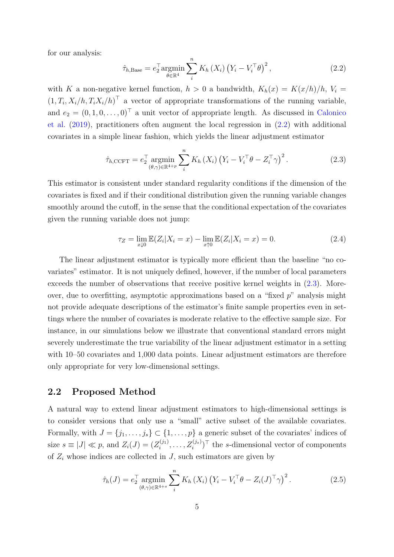for our analysis:

<span id="page-4-0"></span>
$$
\hat{\tau}_{h,\text{Base}} = e_2^{\top} \underset{\theta \in \mathbb{R}^4}{\text{argmin}} \sum_{i}^{n} K_h(X_i) \left( Y_i - V_i^{\top} \theta \right)^2, \tag{2.2}
$$

with K a non-negative kernel function,  $h > 0$  a bandwidth,  $K_h(x) = K(x/h)/h$ ,  $V_i =$  $(1, T_i, X_i/h, T_iX_i/h)$ <sup>T</sup> a vector of appropriate transformations of the running variable, and  $e_2 = (0, 1, 0, \ldots, 0)^\top$  a unit vector of appropriate length. As discussed in [Calonico](#page-22-3) [et al.](#page-22-3) [\(2019\)](#page-22-3), practitioners often augment the local regression in [\(2.2\)](#page-4-0) with additional covariates in a simple linear fashion, which yields the linear adjustment estimator

<span id="page-4-1"></span>
$$
\hat{\tau}_{h,\text{CCFT}} = e_2^{\top} \operatorname*{argmin}_{(\theta,\gamma)\in\mathbb{R}^{4+p}} \sum_{i}^{n} K_h(X_i) (Y_i - V_i^{\top} \theta - Z_i^{\top} \gamma)^2.
$$
\n(2.3)

This estimator is consistent under standard regularity conditions if the dimension of the covariates is fixed and if their conditional distribution given the running variable changes smoothly around the cutoff, in the sense that the conditional expectation of the covariates given the running variable does not jump:

<span id="page-4-3"></span>
$$
\tau_Z = \lim_{x \downarrow 0} \mathbb{E}(Z_i | X_i = x) - \lim_{x \uparrow 0} \mathbb{E}(Z_i | X_i = x) = 0.
$$
 (2.4)

The linear adjustment estimator is typically more efficient than the baseline "no covariates" estimator. It is not uniquely defined, however, if the number of local parameters exceeds the number of observations that receive positive kernel weights in [\(2.3\)](#page-4-1). Moreover, due to overfitting, asymptotic approximations based on a "fixed  $p$ " analysis might not provide adequate descriptions of the estimator's finite sample properties even in settings where the number of covariates is moderate relative to the effective sample size. For instance, in our simulations below we illustrate that conventional standard errors might severely underestimate the true variability of the linear adjustment estimator in a setting with 10–50 covariates and 1,000 data points. Linear adjustment estimators are therefore only appropriate for very low-dimensional settings.

### 2.2 Proposed Method

A natural way to extend linear adjustment estimators to high-dimensional settings is to consider versions that only use a "small" active subset of the available covariates. Formally, with  $J = \{j_1, \ldots, j_s\} \subset \{1, \ldots, p\}$  a generic subset of the covariates' indices of size  $s \equiv |J| \ll p$ , and  $Z_i(J) = (Z_i^{(j_1)})$  $z_i^{(j_1)}, \ldots, Z_i^{(j_s)}$ <sup> $\top$ </sup> the *s*-dimensional vector of components of  $Z_i$  whose indices are collected in  $J$ , such estimators are given by

<span id="page-4-2"></span>
$$
\hat{\tau}_h(J) = e_2^{\top} \underset{(\theta,\gamma)\in\mathbb{R}^{4+s}}{\operatorname{argmin}} \sum_i^n K_h(X_i) \left(Y_i - V_i^{\top} \theta - Z_i(J)^{\top} \gamma\right)^2. \tag{2.5}
$$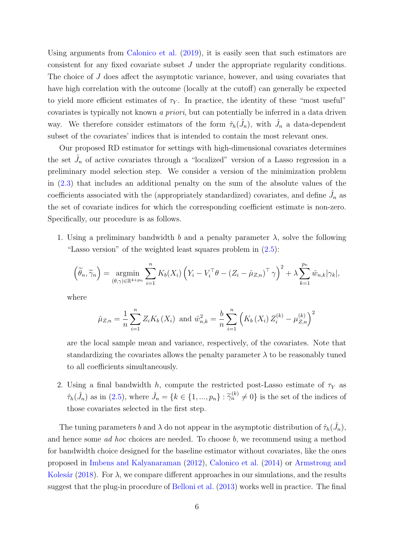Using arguments from [Calonico et al.](#page-22-3) [\(2019\)](#page-22-3), it is easily seen that such estimators are consistent for any fixed covariate subset J under the appropriate regularity conditions. The choice of J does affect the asymptotic variance, however, and using covariates that have high correlation with the outcome (locally at the cutoff) can generally be expected to yield more efficient estimates of  $\tau_Y$ . In practice, the identity of these "most useful" covariates is typically not known a priori, but can potentially be inferred in a data driven way. We therefore consider estimators of the form  $\hat{\tau}_h(\hat{J}_n)$ , with  $\hat{J}_n$  a data-dependent subset of the covariates' indices that is intended to contain the most relevant ones.

Our proposed RD estimator for settings with high-dimensional covariates determines the set  $\hat{J}_n$  of active covariates through a "localized" version of a Lasso regression in a preliminary model selection step. We consider a version of the minimization problem in [\(2.3\)](#page-4-1) that includes an additional penalty on the sum of the absolute values of the coefficients associated with the (appropriately standardized) covariates, and define  $\hat{J}_n$  as the set of covariate indices for which the corresponding coefficient estimate is non-zero. Specifically, our procedure is as follows.

1. Using a preliminary bandwidth b and a penalty parameter  $\lambda$ , solve the following "Lasso version" of the weighted least squares problem in  $(2.5)$ :

$$
\left(\widetilde{\theta}_n, \widetilde{\gamma}_n\right) = \underset{(\theta,\gamma)\in\mathbb{R}^{4+p_n}}{\operatorname{argmin}} \sum_{i=1}^n K_b(X_i) \left(Y_i - V_i^{\top}\theta - \left(Z_i - \hat{\mu}_{Z,n}\right)^{\top}\gamma\right)^2 + \lambda \sum_{k=1}^{p_n} \hat{w}_{n,k} |\gamma_k|,
$$

where

$$
\hat{\mu}_{Z,n} = \frac{1}{n} \sum_{i=1}^{n} Z_i K_b(X_i) \text{ and } \hat{w}_{n,k}^2 = \frac{b}{n} \sum_{i=1}^{n} \left( K_b(X_i) Z_i^{(k)} - \mu_{Z,n}^{(k)} \right)^2
$$

are the local sample mean and variance, respectively, of the covariates. Note that standardizing the covariates allows the penalty parameter  $\lambda$  to be reasonably tuned to all coefficients simultaneously.

2. Using a final bandwidth h, compute the restricted post-Lasso estimate of  $\tau_Y$  as  $\hat{\tau}_h(\hat{J}_n)$  as in [\(2.5\)](#page-4-2), where  $\hat{J}_n = \{k \in \{1, ..., p_n\} : \hat{\gamma}_n^{(k)} \neq 0\}$  is the set of the indices of those covariates selected in the first step.

The tuning parameters b and  $\lambda$  do not appear in the asymptotic distribution of  $\hat{\tau}_h(\hat{J}_n)$ , and hence some ad hoc choices are needed. To choose b, we recommend using a method for bandwidth choice designed for the baseline estimator without covariates, like the ones proposed in [Imbens and Kalyanaraman](#page-22-1) [\(2012\)](#page-22-1), [Calonico et al.](#page-22-2) [\(2014\)](#page-22-2) or [Armstrong and](#page-21-0) Kolesár [\(2018\)](#page-21-0). For  $\lambda$ , we compare different approaches in our simulations, and the results suggest that the plug-in procedure of [Belloni et al.](#page-21-1) [\(2013\)](#page-21-1) works well in practice. The final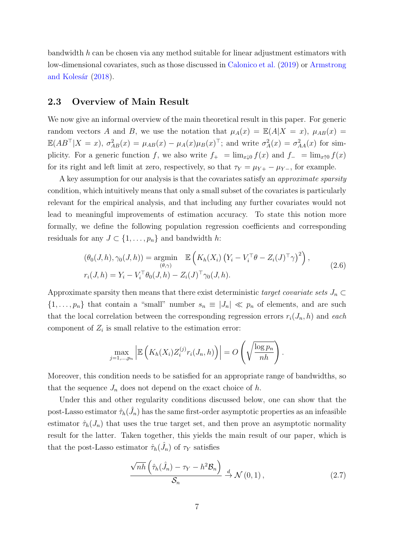bandwidth  $h$  can be chosen via any method suitable for linear adjustment estimators with low-dimensional covariates, such as those discussed in [Calonico et al.](#page-22-3) [\(2019\)](#page-22-3) or [Armstrong](#page-21-0) and Kolesár [\(2018\)](#page-21-0).

## 2.3 Overview of Main Result

We now give an informal overview of the main theoretical result in this paper. For generic random vectors A and B, we use the notation that  $\mu_A(x) = \mathbb{E}(A|X=x)$ ,  $\mu_{AB}(x) =$  $\mathbb{E}(AB^{\top}|X=x), \sigma_{AB}^{2}(x) = \mu_{AB}(x) - \mu_{A}(x)\mu_{B}(x)^{\top};$  and write  $\sigma_{A}^{2}(x) = \sigma_{AA}^{2}(x)$  for simplicity. For a generic function f, we also write  $f_{+} = \lim_{x\downarrow 0} f(x)$  and  $f_{-} = \lim_{x\uparrow 0} f(x)$ for its right and left limit at zero, respectively, so that  $\tau_Y = \mu_{Y+} - \mu_{Y-}$ , for example.

A key assumption for our analysis is that the covariates satisfy an approximate sparsity condition, which intuitively means that only a small subset of the covariates is particularly relevant for the empirical analysis, and that including any further covariates would not lead to meaningful improvements of estimation accuracy. To state this notion more formally, we define the following population regression coefficients and corresponding residuals for any  $J \subset \{1, \ldots, p_n\}$  and bandwidth h:

<span id="page-6-0"></span>
$$
(\theta_0(J,h), \gamma_0(J,h)) = \underset{(\theta,\gamma)}{\operatorname{argmin}} \mathbb{E}\left(K_h(X_i) \left(Y_i - V_i^{\top}\theta - Z_i(J)^{\top}\gamma\right)^2\right),
$$
  
\n
$$
r_i(J,h) = Y_i - V_i^{\top}\theta_0(J,h) - Z_i(J)^{\top}\gamma_0(J,h).
$$
\n(2.6)

Approximate sparsity then means that there exist deterministic target covariate sets  $J_n \subset$  $\{1,\ldots,p_n\}$  that contain a "small" number  $s_n \equiv |J_n| \ll p_n$  of elements, and are such that the local correlation between the corresponding regression errors  $r_i(J_n, h)$  and each component of  $Z_i$  is small relative to the estimation error:

$$
\max_{j=1,\dots,p_n} \left| \mathbb{E}\left(K_h(X_i)Z_i^{(j)}r_i(J_n,h)\right) \right| = O\left(\sqrt{\frac{\log p_n}{nh}}\right).
$$

Moreover, this condition needs to be satisfied for an appropriate range of bandwidths, so that the sequence  $J_n$  does not depend on the exact choice of h.

Under this and other regularity conditions discussed below, one can show that the post-Lasso estimator  $\hat{\tau}_h(\hat{J}_n)$  has the same first-order asymptotic properties as an infeasible estimator  $\hat{\tau}_h(J_n)$  that uses the true target set, and then prove an asymptotic normality result for the latter. Taken together, this yields the main result of our paper, which is that the post-Lasso estimator  $\hat{\tau}_h(\hat{J}_n)$  of  $\tau_Y$  satisfies

<span id="page-6-1"></span>
$$
\frac{\sqrt{nh}\left(\hat{\tau}_h(\hat{J}_n) - \tau_Y - h^2 \mathcal{B}_n\right)}{\mathcal{S}_n} \stackrel{d}{\to} \mathcal{N}\left(0, 1\right),\tag{2.7}
$$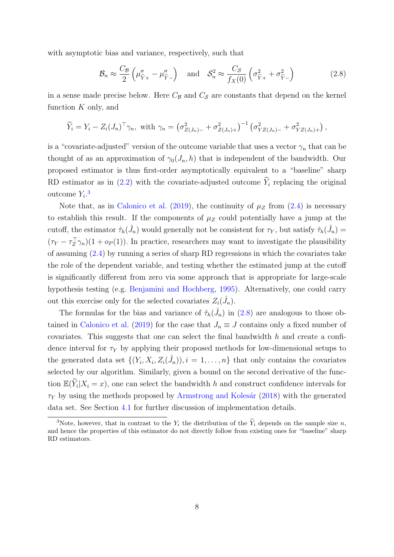with asymptotic bias and variance, respectively, such that

<span id="page-7-0"></span>
$$
\mathcal{B}_n \approx \frac{C_{\mathcal{B}}}{2} \left( \mu''_{\widetilde{Y}+} - \mu''_{\widetilde{Y}-} \right) \quad \text{and} \quad \mathcal{S}_n^2 \approx \frac{C_{\mathcal{S}}}{f_X(0)} \left( \sigma_{\widetilde{Y}+}^2 + \sigma_{\widetilde{Y}-}^2 \right) \tag{2.8}
$$

in a sense made precise below. Here  $C_{\mathcal{B}}$  and  $C_{\mathcal{S}}$  are constants that depend on the kernel function  $K$  only, and

$$
\widetilde{Y}_i = Y_i - Z_i (J_n)^\top \gamma_n
$$
, with  $\gamma_n = \left(\sigma_{Z(J_n)-}^2 + \sigma_{Z(J_n)+}^2\right)^{-1} \left(\sigma_{YZ(J_n)-}^2 + \sigma_{YZ(J_n)+}^2\right)$ ,

is a "covariate-adjusted" version of the outcome variable that uses a vector  $\gamma_n$  that can be thought of as an approximation of  $\gamma_0(J_n, h)$  that is independent of the bandwidth. Our proposed estimator is thus first-order asymptotically equivalent to a "baseline" sharp RD estimator as in [\(2.2\)](#page-4-0) with the covariate-adjusted outcome  $\widetilde{Y}_i$  replacing the original outcome  $Y_i$ <sup>[3](#page-0-0)</sup>

Note that, as in [Calonico et al.](#page-22-3) [\(2019\)](#page-22-3), the continuity of  $\mu_Z$  from [\(2.4\)](#page-4-3) is necessary to establish this result. If the components of  $\mu_Z$  could potentially have a jump at the cutoff, the estimator  $\hat{\tau}_h(\hat{J}_n)$  would generally not be consistent for  $\tau_Y$ , but satisfy  $\hat{\tau}_h(\hat{J}_n)$  $(\tau_Y - \tau_Z^{\top} \gamma_n)(1 + o_P(1))$ . In practice, researchers may want to investigate the plausibility of assuming [\(2.4\)](#page-4-3) by running a series of sharp RD regressions in which the covariates take the role of the dependent variable, and testing whether the estimated jump at the cutoff is significantly different from zero via some approach that is appropriate for large-scale hypothesis testing (e.g. [Benjamini and Hochberg,](#page-21-3) [1995\)](#page-21-3). Alternatively, one could carry out this exercise only for the selected covariates  $Z_i(\hat{J}_n)$ .

The formulas for the bias and variance of  $\hat{\tau}_h(\hat{J}_n)$  in  $(2.8)$  are analogous to those ob-tained in [Calonico et al.](#page-22-3) [\(2019\)](#page-22-3) for the case that  $J_n \equiv J$  contains only a fixed number of covariates. This suggests that one can select the final bandwidth  $h$  and create a confidence interval for  $\tau_Y$  by applying their proposed methods for low-dimensional setups to the generated data set  $\{(Y_i, X_i, Z_i(\hat{J}_n)), i = 1, \ldots, n\}$  that only contains the covariates selected by our algorithm. Similarly, given a bound on the second derivative of the function  $\mathbb{E}(\widetilde{Y}_i | X_i = x)$ , one can select the bandwidth h and construct confidence intervals for  $\tau_Y$  by using the methods proposed by Armstrong and Kolesár [\(2018\)](#page-21-0) with the generated data set. See Section [4.1](#page-17-1) for further discussion of implementation details.

<sup>&</sup>lt;sup>3</sup>Note, however, that in contrast to the  $Y_i$  the distribution of the  $\widetilde{Y}_i$  depends on the sample size n, and hence the properties of this estimator do not directly follow from existing ones for "baseline" sharp RD estimators.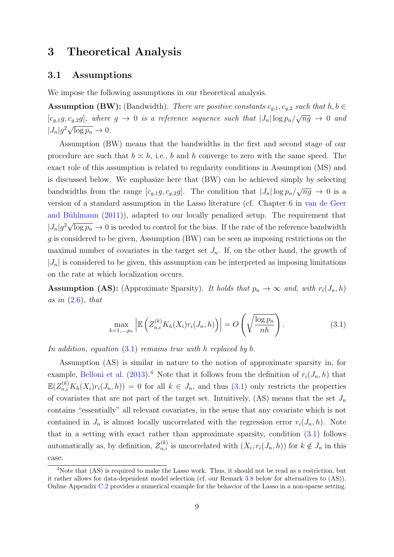# <span id="page-8-0"></span>3 Theoretical Analysis

### <span id="page-8-2"></span>3.1 Assumptions

We impose the following assumptions in our theoretical analysis.

**Assumption (BW):** (Bandwidth). There are positive constants  $c_{g,1}, c_{g,2}$  such that  $h, b \in$  $[c_{g,1}g, c_{g,2}g]$ , where  $g \to 0$  is a reference sequence such that  $|J_n| \log p_n / \sqrt{ng} \to 0$  and  $|J_n|g^2\sqrt{\log p_n}\to 0.$ 

Assumption (BW) means that the bandwidths in the first and second stage of our procedure are such that  $b \simeq h$ , i.e., b and h converge to zero with the same speed. The exact role of this assumption is related to regularity conditions in Assumption (MS) and is discussed below. We emphasize here that (BW) can be achieved simply by selecting bandwidths from the range  $[c_{g,1}g, c_{g,2}g]$ . The condition that  $|J_n| \log p_n / \sqrt{ng} \to 0$  is a version of a standard assumption in the Lasso literature (cf. Chapter 6 in [van de Geer](#page-23-2) and Bühlmann  $(2011)$ , adapted to our locally penalized setup. The requirement that  $|J_n|g^2\sqrt{\log p_n} \to 0$  is needed to control for the bias. If the rate of the reference bandwidth g is considered to be given, Assumption (BW) can be seen as imposing restrictions on the maximal number of covariates in the target set  $J_n$ . If, on the other hand, the growth of  $|J_n|$  is considered to be given, this assumption can be interpreted as imposing limitations on the rate at which localization occurs.

**Assumption (AS):** (Approximate Sparsity). It holds that  $p_n \to \infty$  and, with  $r_i(J_n, h)$ as in  $(2.6)$ , that

<span id="page-8-1"></span>
$$
\max_{k=1,\dots,p_n} \left| \mathbb{E} \left( Z_{n,i}^{(k)} K_h(X_i) r_i(J_n, h) \right) \right| = O \left( \sqrt{\frac{\log p_n}{nh}} \right). \tag{3.1}
$$

In addition, equation [\(3.1\)](#page-8-1) remains true with h replaced by b.

Assumption (AS) is similar in nature to the notion of approximate sparsity in, for example, [Belloni et al.](#page-21-1) [\(2013\)](#page-21-1).<sup>[4](#page-0-0)</sup> Note that it follows from the definition of  $r_i(J_n, h)$  that  $\mathbb{E}(Z_{n,i}^{(k)}K_h(X_i)r_i(J_n,h)) = 0$  for all  $k \in J_n$ , and thus  $(3.1)$  only restricts the properties of covariates that are not part of the target set. Intuitively, (AS) means that the set  $J_n$ contains "essentially" all relevant covariates, in the sense that any covariate which is not contained in  $J_n$  is almost locally uncorrelated with the regression error  $r_i(J_n, h)$ . Note that in a setting with exact rather than approximate sparsity, condition [\(3.1\)](#page-8-1) follows automatically as, by definition,  $Z_{n,i}^{(k)}$  is uncorrelated with  $(X_i, r_i(J_n, h))$  for  $k \notin J_n$  in this case.

<sup>&</sup>lt;sup>4</sup>Note that (AS) is required to make the Lasso work. Thus, it should not be read as a restriction, but it rather allows for data-dependent model selection (cf. our Remark [3.8](#page-16-0) below for alternatives to (AS)). Online Appendix [C.2](#page-64-0) provides a numerical example for the behavior of the Lasso in a non-sparse setting.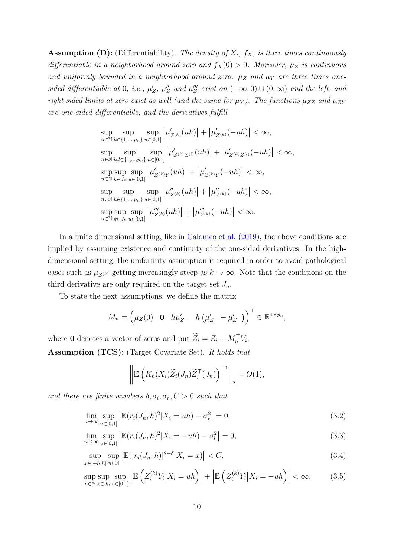**Assumption (D):** (Differentiability). The density of  $X_i$ ,  $f_X$ , is three times continuously differentiable in a neighborhood around zero and  $f_X(0) > 0$ . Moreover,  $\mu_Z$  is continuous and uniformly bounded in a neighborhood around zero.  $\mu_Z$  and  $\mu_Y$  are three times onesided differentiable at 0, i.e.,  $\mu'_Z$ ,  $\mu''_Z$  and  $\mu'''_Z$  exist on  $(-\infty,0) \cup (0,\infty)$  and the left- and right sided limits at zero exist as well (and the same for  $\mu_Y$ ). The functions  $\mu_{ZZ}$  and  $\mu_{ZY}$ are one-sided differentiable, and the derivatives fulfill

$$
\sup_{n \in \mathbb{N}} \sup_{k \in \{1, \ldots, p_n\}} \sup_{u \in [0,1]} |\mu'_{Z^{(k)}}(uh)| + |\mu'_{Z^{(k)}}(-uh)| < \infty,
$$
  
\n
$$
\sup_{n \in \mathbb{N}} \sup_{k,l \in \{1, \ldots, p_n\}} \sup_{u \in [0,1]} |\mu'_{Z^{(k)}Z^{(l)}}(uh)| + |\mu'_{Z^{(k)}Z^{(l)}}(-uh)| < \infty,
$$
  
\n
$$
\sup_{n \in \mathbb{N}} \sup_{k \in J_n} \sup_{u \in [0,1]} |\mu'_{Z^{(k)}Y}(uh)| + |\mu'_{Z^{(k)}Y}(-uh)| < \infty,
$$
  
\n
$$
\sup_{n \in \mathbb{N}} \sup_{k \in J_n} \sup_{u \in [0,1]} |\mu''_{Z^{(k)}}(uh)| + |\mu''_{Z^{(k)}}(-uh)| < \infty,
$$
  
\n
$$
\sup_{n \in \mathbb{N}} \sup_{k \in \{1, \ldots, p_n\}} \sup_{u \in [0,1]} |\mu'''_{Z^{(k)}}(uh)| + |\mu'''_{Z^{(k)}}(-uh)| < \infty.
$$

In a finite dimensional setting, like in [Calonico et al.](#page-22-3) [\(2019\)](#page-22-3), the above conditions are implied by assuming existence and continuity of the one-sided derivatives. In the highdimensional setting, the uniformity assumption is required in order to avoid pathological cases such as  $\mu_{Z^{(k)}}$  getting increasingly steep as  $k \to \infty$ . Note that the conditions on the third derivative are only required on the target set  $J_n$ .

To state the next assumptions, we define the matrix

$$
M_n = \left(\mu_Z(0) \quad \mathbf{0} \quad h\mu'_{Z-} \quad h\left(\mu'_{Z+} - \mu'_{Z-}\right)\right)^\top \in \mathbb{R}^{4 \times p_n},
$$

where 0 denotes a vector of zeros and put  $\tilde{Z}_i = Z_i - M_n^{\top} V_i$ . Assumption (TCS): (Target Covariate Set). It holds that

<span id="page-9-3"></span><span id="page-9-2"></span><span id="page-9-1"></span><span id="page-9-0"></span>
$$
\left\| \mathbb{E}\left(K_h(X_i)\widetilde{Z}_i(J_n)\widetilde{Z}_i^\top(J_n)\right)^{-1} \right\|_2 = O(1),
$$

and there are finite numbers  $\delta, \sigma_l, \sigma_r, C > 0$  such that

$$
\lim_{n \to \infty} \sup_{u \in [0,1]} \left| \mathbb{E}(r_i(J_n, h)^2 | X_i = uh) - \sigma_r^2 \right| = 0,
$$
\n(3.2)

$$
\lim_{n \to \infty} \sup_{u \in [0,1]} \left| \mathbb{E}(r_i(J_n, h)^2 | X_i = -uh) - \sigma_l^2 \right| = 0,
$$
\n(3.3)

$$
\sup_{x \in [-h,h]} \sup_{n \in \mathbb{N}} \left| \mathbb{E}(|r_i(J_n, h)|^{2+\delta} | X_i = x) \right| < C,\tag{3.4}
$$

sup  $n\bar{\in}\mathbb{\bar{N}}$ sup  $k \in J_n$ sup  $u \in [0,1]$  $\begin{array}{c} \begin{array}{c} \begin{array}{c} \end{array} \\ \begin{array}{c} \end{array} \end{array} \end{array}$  $\mathbb{E}\left(Z_i^{(k)}Y_i\big|X_i=uh\right)\Big|+\Big|$  $\mathbb{E}\left(Z_i^{(k)}Y_i\big|X_i=-uh\right)\right|$  $< \infty.$  (3.5)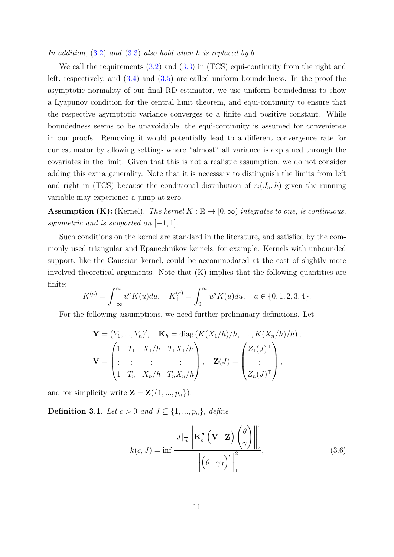In addition,  $(3.2)$  and  $(3.3)$  also hold when h is replaced by b.

We call the requirements  $(3.2)$  and  $(3.3)$  in (TCS) equi-continuity from the right and left, respectively, and [\(3.4\)](#page-9-2) and [\(3.5\)](#page-9-3) are called uniform boundedness. In the proof the asymptotic normality of our final RD estimator, we use uniform boundedness to show a Lyapunov condition for the central limit theorem, and equi-continuity to ensure that the respective asymptotic variance converges to a finite and positive constant. While boundedness seems to be unavoidable, the equi-continuity is assumed for convenience in our proofs. Removing it would potentially lead to a different convergence rate for our estimator by allowing settings where "almost" all variance is explained through the covariates in the limit. Given that this is not a realistic assumption, we do not consider adding this extra generality. Note that it is necessary to distinguish the limits from left and right in (TCS) because the conditional distribution of  $r_i(J_n, h)$  given the running variable may experience a jump at zero.

**Assumption (K):** (Kernel). The kernel  $K : \mathbb{R} \to [0, \infty)$  integrates to one, is continuous, symmetric and is supported on  $[-1, 1]$ .

Such conditions on the kernel are standard in the literature, and satisfied by the commonly used triangular and Epanechnikov kernels, for example. Kernels with unbounded support, like the Gaussian kernel, could be accommodated at the cost of slightly more involved theoretical arguments. Note that (K) implies that the following quantities are finite:

$$
K^{(a)} = \int_{-\infty}^{\infty} u^a K(u) du, \quad K_+^{(a)} = \int_0^{\infty} u^a K(u) du, \quad a \in \{0, 1, 2, 3, 4\}.
$$

For the following assumptions, we need further preliminary definitions. Let

$$
\mathbf{Y} = (Y_1, ..., Y_n)', \quad \mathbf{K}_h = \text{diag}(K(X_1/h)/h, ..., K(X_n/h)/h),
$$

$$
\mathbf{V} = \begin{pmatrix} 1 & T_1 & X_1/h & T_1X_1/h \\ \vdots & \vdots & \vdots & \vdots \\ 1 & T_n & X_n/h & T_nX_n/h \end{pmatrix}, \quad \mathbf{Z}(J) = \begin{pmatrix} Z_1(J)^\top \\ \vdots \\ Z_n(J)^\top \end{pmatrix},
$$

and for simplicity write  $\mathbf{Z} = \mathbf{Z}(\{1, ..., p_n\}).$ 

<span id="page-10-1"></span>**Definition 3.1.** Let  $c > 0$  and  $J \subseteq \{1, ..., p_n\}$ , define

<span id="page-10-0"></span>
$$
k(c, J) = \inf \frac{|J| \frac{1}{n} \left\| \mathbf{K}_b^{\frac{1}{2}} \left( \mathbf{V} \mathbf{Z} \right) \begin{pmatrix} \theta \\ \gamma \end{pmatrix} \right\|_2^2}{\left\| \begin{pmatrix} \theta & \gamma_J \end{pmatrix}' \right\|_1^2},
$$
(3.6)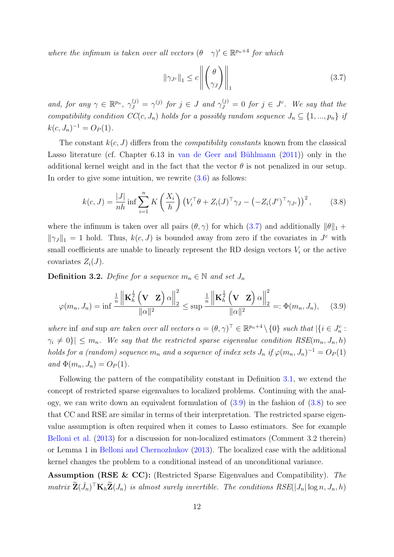where the infimum is taken over all vectors  $(\theta \gamma)' \in \mathbb{R}^{p_n+4}$  for which

<span id="page-11-0"></span>
$$
\|\gamma_{J^c}\|_1 \le c \left\| \begin{pmatrix} \theta \\ \gamma_J \end{pmatrix} \right\|_1 \tag{3.7}
$$

and, for any  $\gamma \in \mathbb{R}^{p_n}$ ,  $\gamma_J^{(j)} = \gamma^{(j)}$  for  $j \in J$  and  $\gamma_J^{(j)} = 0$  for  $j \in J^c$ . We say that the compatibility condition  $CC(c, J_n)$  holds for a possibly random sequence  $J_n \subseteq \{1, ..., p_n\}$  if  $k(c, J_n)^{-1} = O_P(1).$ 

The constant  $k(c, J)$  differs from the *compatibility constants* known from the classical Lasso literature (cf. Chapter 6.13 in van de Geer and Bühlmann  $(2011)$ ) only in the additional kernel weight and in the fact that the vector  $\theta$  is not penalized in our setup. In order to give some intuition, we rewrite  $(3.6)$  as follows:

<span id="page-11-2"></span>
$$
k(c, J) = \frac{|J|}{nh} \inf \sum_{i=1}^{n} K\left(\frac{X_i}{h}\right) \left(V_i^{\top} \theta + Z_i(J)^{\top} \gamma_J - \left(-Z_i(J^c)^{\top} \gamma_{J^c}\right)\right)^2, \tag{3.8}
$$

where the infimum is taken over all pairs  $(\theta, \gamma)$  for which  $(3.7)$  and additionally  $\|\theta\|_1 +$  $\|\gamma_J\|_1 = 1$  hold. Thus,  $k(c, J)$  is bounded away from zero if the covariates in  $J^c$  with small coefficients are unable to linearly represent the RD design vectors  $V_i$  or the active covariates  $Z_i(J)$ .

<span id="page-11-3"></span>**Definition 3.2.** Define for a sequence  $m_n \in \mathbb{N}$  and set  $J_n$ 

<span id="page-11-1"></span>
$$
\varphi(m_n, J_n) = \inf \frac{\frac{1}{n} \left\| \mathbf{K}_h^{\frac{1}{2}} \left( \mathbf{V} \mathbf{Z} \right) \alpha \right\|_2^2}{\|\alpha\|^2} \le \sup \frac{\frac{1}{n} \left\| \mathbf{K}_h^{\frac{1}{2}} \left( \mathbf{V} \mathbf{Z} \right) \alpha \right\|_2^2}{\|\alpha\|^2} =: \Phi(m_n, J_n), \quad (3.9)
$$

where inf and sup are taken over all vectors  $\alpha = (\theta, \gamma)^{\top} \in \mathbb{R}^{p_n+4} \setminus \{0\}$  such that  $|\{i \in J_n^c :$  $|\gamma_i \neq 0| \leq m_n$ . We say that the restricted sparse eigenvalue condition RSE $(m_n, J_n, h)$ holds for a (random) sequence  $m_n$  and a sequence of index sets  $J_n$  if  $\varphi(m_n, J_n)^{-1} = O_P(1)$ and  $\Phi(m_n, J_n) = O_P(1)$ .

Following the pattern of the compatibility constant in Definition [3.1,](#page-10-1) we extend the concept of restricted sparse eigenvalues to localized problems. Continuing with the analogy, we can write down an equivalent formulation of  $(3.9)$  in the fashion of  $(3.8)$  to see that CC and RSE are similar in terms of their interpretation. The restricted sparse eigenvalue assumption is often required when it comes to Lasso estimators. See for example [Belloni et al.](#page-21-1) [\(2013\)](#page-21-1) for a discussion for non-localized estimators (Comment 3.2 therein) or Lemma 1 in [Belloni and Chernozhukov](#page-21-4) [\(2013\)](#page-21-4). The localized case with the additional kernel changes the problem to a conditional instead of an unconditional variance.

Assumption (RSE & CC): (Restricted Sparse Eigenvalues and Compatibility). The  $matrix\ \widetilde{\mathbf{Z}}(\hat{J}_n)^\top \mathbf{K}_h \widetilde{\mathbf{Z}}(J_n)$  is almost surely invertible. The conditions  $RSE(|J_n| \log n, J_n, h)$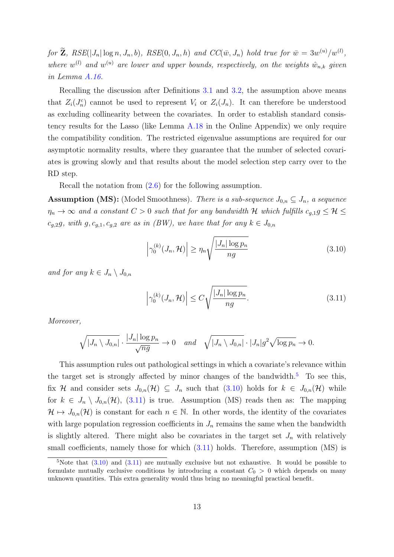for  $\mathbf{Z}, \, RSE(|J_n| \log n, J_n, b), \, RSE(0, J_n, h) \, and \, CC(\bar{w}, J_n) \, hold \, true \, for \, \bar{w} = 3w^{(u)}/w^{(l)},$ where  $w^{(l)}$  and  $w^{(u)}$  are lower and upper bounds, respectively, on the weights  $\hat{w}_{n,k}$  given in Lemma [A.16.](#page-57-0)

Recalling the discussion after Definitions [3.1](#page-10-1) and [3.2,](#page-11-3) the assumption above means that  $Z_i(J_n^c)$  cannot be used to represent  $V_i$  or  $Z_i(J_n)$ . It can therefore be understood as excluding collinearity between the covariates. In order to establish standard consistency results for the Lasso (like Lemma [A.18](#page-58-0) in the Online Appendix) we only require the compatibility condition. The restricted eigenvalue assumptions are required for our asymptotic normality results, where they guarantee that the number of selected covariates is growing slowly and that results about the model selection step carry over to the RD step.

Recall the notation from [\(2.6\)](#page-6-0) for the following assumption.

**Assumption (MS):** (Model Smoothness). There is a sub-sequence  $J_{0,n} \subseteq J_n$ , a sequence  $\eta_n \to \infty$  and a constant  $C > 0$  such that for any bandwidth H which fulfills  $c_{g,1}g \leq \mathcal{H} \leq$  $c_{g,2}g$ , with  $g, c_{g,1}, c_{g,2}$  are as in  $(BW)$ , we have that for any  $k \in J_{0,n}$ 

<span id="page-12-0"></span>
$$
\left|\gamma_0^{(k)}(J_n, \mathcal{H})\right| \ge \eta_n \sqrt{\frac{|J_n| \log p_n}{ng}}\tag{3.10}
$$

and for any  $k \in J_n \setminus J_{0,n}$ 

<span id="page-12-1"></span>
$$
\left|\gamma_0^{(k)}(J_n, \mathcal{H})\right| \le C\sqrt{\frac{|J_n|\log p_n}{ng}}.\tag{3.11}
$$

Moreover,

$$
\sqrt{|J_n \setminus J_{0,n}|} \cdot \frac{|J_n| \log p_n}{\sqrt{ng}} \to 0 \quad and \quad \sqrt{|J_n \setminus J_{0,n}|} \cdot |J_n| g^2 \sqrt{\log p_n} \to 0.
$$

This assumption rules out pathological settings in which a covariate's relevance within the target set is strongly affected by minor changes of the bandwidth. $5$  To see this, fix H and consider sets  $J_{0,n}(\mathcal{H}) \subseteq J_n$  such that  $(3.10)$  holds for  $k \in J_{0,n}(\mathcal{H})$  while for  $k \in J_n \setminus J_{0,n}(\mathcal{H}),$  [\(3.11\)](#page-12-1) is true. Assumption (MS) reads then as: The mapping  $\mathcal{H} \mapsto J_{0,n}(\mathcal{H})$  is constant for each  $n \in \mathbb{N}$ . In other words, the identity of the covariates with large population regression coefficients in  $J_n$  remains the same when the bandwidth is slightly altered. There might also be covariates in the target set  $J_n$  with relatively small coefficients, namely those for which  $(3.11)$  holds. Therefore, assumption  $(MS)$  is

 $5$ Note that  $(3.10)$  and  $(3.11)$  are mutually exclusive but not exhaustive. It would be possible to formulate mutually exclusive conditions by introducing a constant  $C_0 > 0$  which depends on many unknown quantities. This extra generality would thus bring no meaningful practical benefit.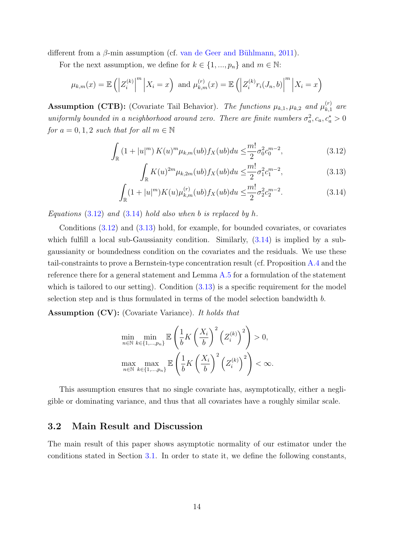different from a  $\beta$ -min assumption (cf. van de Geer and Bühlmann, [2011\)](#page-23-2).

For the next assumption, we define for  $k \in \{1, ..., p_n\}$  and  $m \in \mathbb{N}$ :

$$
\mu_{k,m}(x) = \mathbb{E}\left(\left|Z_i^{(k)}\right|^m \middle| X_i = x\right) \text{ and } \mu_{k,m}^{(r)}(x) = \mathbb{E}\left(\left|Z_i^{(k)}r_i(J_n, b)\right|^m \middle| X_i = x\right)
$$

**Assumption (CTB):** (Covariate Tail Behavior). The functions  $\mu_{k,1}, \mu_{k,2}$  and  $\mu_{k,1}^{(r)}$  $\begin{bmatrix} (r) \ k,1 \end{bmatrix}$  are uniformly bounded in a neighborhood around zero. There are finite numbers  $\sigma_a^2$ ,  $c_a$ ,  $c_a^* > 0$ for  $a = 0, 1, 2$  such that for all  $m \in \mathbb{N}$ 

$$
\int_{\mathbb{R}} \left(1 + |u|^m\right) K(u)^m \mu_{k,m}(ub) f_X(ub) du \leq \frac{m!}{2} \sigma_0^2 c_0^{m-2},\tag{3.12}
$$

<span id="page-13-2"></span><span id="page-13-1"></span><span id="page-13-0"></span>
$$
\int_{\mathbb{R}} K(u)^{2m} \mu_{k,2m}(ub) f_X(ub) du \leq \frac{m!}{2} \sigma_1^2 c_1^{m-2},\tag{3.13}
$$

$$
\int_{\mathbb{R}} (1+|u|^m) K(u) \mu_{k,m}^{(r)}(ub) f_X(ub) du \leq \frac{m!}{2} \sigma_2^2 c_2^{m-2}.
$$
 (3.14)

Equations  $(3.12)$  and  $(3.14)$  hold also when b is replaced by h.

Conditions [\(3.12\)](#page-13-0) and [\(3.13\)](#page-13-2) hold, for example, for bounded covariates, or covariates which fulfill a local sub-Gaussianity condition. Similarly,  $(3.14)$  is implied by a subgaussianity or boundedness condition on the covariates and the residuals. We use these tail-constraints to prove a Bernstein-type concentration result (cf. Proposition [A.4](#page-34-0) and the reference there for a general statement and Lemma [A.5](#page-35-0) for a formulation of the statement which is tailored to our setting). Condition  $(3.13)$  is a specific requirement for the model selection step and is thus formulated in terms of the model selection bandwidth b.

Assumption (CV): (Covariate Variance). It holds that

$$
\min_{n \in \mathbb{N}} \min_{k \in \{1, \dots, p_n\}} \mathbb{E} \left( \frac{1}{b} K \left( \frac{X_i}{b} \right)^2 \left( Z_i^{(k)} \right)^2 \right) > 0,
$$
  

$$
\max_{n \in \mathbb{N}} \max_{k \in \{1, \dots, p_n\}} \mathbb{E} \left( \frac{1}{b} K \left( \frac{X_i}{b} \right)^2 \left( Z_i^{(k)} \right)^2 \right) < \infty.
$$

This assumption ensures that no single covariate has, asymptotically, either a negligible or dominating variance, and thus that all covariates have a roughly similar scale.

# 3.2 Main Result and Discussion

The main result of this paper shows asymptotic normality of our estimator under the conditions stated in Section [3.1.](#page-8-2) In order to state it, we define the following constants,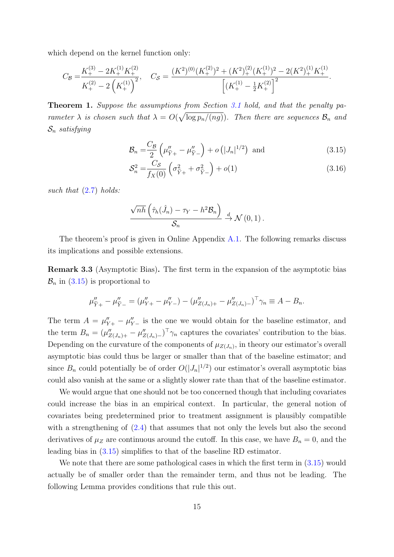which depend on the kernel function only:

$$
C_{\mathcal{B}} = \frac{K_{+}^{(3)} - 2K_{+}^{(1)}K_{+}^{(2)}}{K_{+}^{(2)} - 2\left(K_{+}^{(1)}\right)^{2}}, \quad C_{\mathcal{S}} = \frac{(K^{2})^{(0)}(K_{+}^{(2)})^{2} + (K^{2})_{+}^{(2)}(K_{+}^{(1)})^{2} - 2(K^{2})_{+}^{(1)}K_{+}^{(1)}}{\left[\left(K_{+}^{(1)} - \frac{1}{2}K_{+}^{(2)}\right)^{2}\right]}.
$$

<span id="page-14-1"></span>Theorem 1. Suppose the assumptions from Section [3.1](#page-8-2) hold, and that the penalty parameter  $\lambda$  is chosen such that  $\lambda = O(\sqrt{\log p_n/(ng)})$ . Then there are sequences  $\mathcal{B}_n$  and  $S_n$  satisfying

<span id="page-14-0"></span>
$$
\mathcal{B}_n = \frac{C_{\mathcal{B}}}{2} \left( \mu_{\widetilde{Y}+}'' - \mu_{\widetilde{Y}-}'' \right) + o\left( |J_n|^{1/2} \right) \text{ and } \tag{3.15}
$$

<span id="page-14-2"></span>
$$
S_n^2 = \frac{C_S}{f_X(0)} \left( \sigma_{\tilde{Y}+}^2 + \sigma_{\tilde{Y}-}^2 \right) + o(1)
$$
 (3.16)

such that  $(2.7)$  holds:

$$
\frac{\sqrt{nh}\left(\hat{\tau}_h(\hat{J}_n)-\tau_Y-h^2\mathcal{B}_n\right)}{\mathcal{S}_n}\stackrel{d}{\to}\mathcal{N}\left(0,1\right).
$$

The theorem's proof is given in Online Appendix [A.1.](#page-24-0) The following remarks discuss its implications and possible extensions.

Remark 3.3 (Asymptotic Bias). The first term in the expansion of the asymptotic bias  $\mathcal{B}_n$  in  $(3.15)$  is proportional to

$$
\mu_{\widetilde{Y}+}'' - \mu_{\widetilde{Y}-}'' = (\mu_{Y+}'' - \mu_{Y-}'') - (\mu_{Z(J_n)+}'' - \mu_{Z(J_n)-}'')^\top \gamma_n \equiv A - B_n.
$$

The term  $A = \mu''_{Y+} - \mu''_{Y-}$  is the one we would obtain for the baseline estimator, and the term  $B_n = (\mu''_{Z(J_n)+} - \mu''_{Z(J_n)-})^T \gamma_n$  captures the covariates' contribution to the bias. Depending on the curvature of the components of  $\mu_{Z(J_n)}$ , in theory our estimator's overall asymptotic bias could thus be larger or smaller than that of the baseline estimator; and since  $B_n$  could potentially be of order  $O(|J_n|^{1/2})$  our estimator's overall asymptotic bias could also vanish at the same or a slightly slower rate than that of the baseline estimator.

We would argue that one should not be too concerned though that including covariates could increase the bias in an empirical context. In particular, the general notion of covariates being predetermined prior to treatment assignment is plausibly compatible with a strengthening of  $(2.4)$  that assumes that not only the levels but also the second derivatives of  $\mu_Z$  are continuous around the cutoff. In this case, we have  $B_n = 0$ , and the leading bias in [\(3.15\)](#page-14-0) simplifies to that of the baseline RD estimator.

We note that there are some pathological cases in which the first term in  $(3.15)$  would actually be of smaller order than the remainder term, and thus not be leading. The following Lemma provides conditions that rule this out.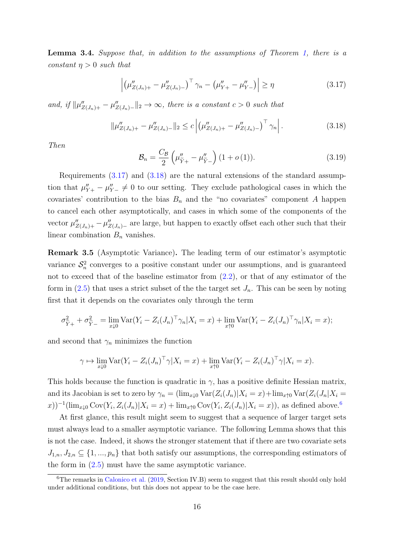<span id="page-15-2"></span>Lemma 3.4. Suppose that, in addition to the assumptions of Theorem [1,](#page-14-1) there is a constant  $\eta > 0$  such that

<span id="page-15-0"></span>
$$
\left| \left( \mu''_{Z(J_n)+} - \mu''_{Z(J_n)-} \right)^{\top} \gamma_n - \left( \mu''_{Y+} - \mu''_{Y-} \right) \right| \ge \eta \tag{3.17}
$$

and, if  $\|\mu''_{Z(J_n)+} - \mu''_{Z(J_n)-}\|_2 \to \infty$ , there is a constant  $c > 0$  such that

<span id="page-15-1"></span>
$$
\|\mu''_{Z(J_n)+} - \mu''_{Z(J_n)-}\|_2 \le c \left| \left(\mu''_{Z(J_n)+} - \mu''_{Z(J_n)-}\right)^\top \gamma_n \right|.
$$
\n(3.18)

Then

<span id="page-15-3"></span>
$$
\mathcal{B}_n = \frac{C_{\mathcal{B}}}{2} \left( \mu_{\tilde{Y}^+}'' - \mu_{\tilde{Y}^-}'' \right) (1 + o(1)). \tag{3.19}
$$

Requirements [\(3.17\)](#page-15-0) and [\(3.18\)](#page-15-1) are the natural extensions of the standard assumption that  $\mu''_{Y+} - \mu''_{Y-} \neq 0$  to our setting. They exclude pathological cases in which the covariates' contribution to the bias  $B_n$  and the "no covariates" component A happen to cancel each other asymptotically, and cases in which some of the components of the vector  $\mu''_{Z(J_n)+} - \mu''_{Z(J_n)-}$  are large, but happen to exactly offset each other such that their linear combination  $B_n$  vanishes.

Remark 3.5 (Asymptotic Variance). The leading term of our estimator's asymptotic variance  $S_n^2$  converges to a positive constant under our assumptions, and is guaranteed not to exceed that of the baseline estimator from  $(2.2)$ , or that of any estimator of the form in [\(2.5\)](#page-4-2) that uses a strict subset of the the target set  $J_n$ . This can be seen by noting first that it depends on the covariates only through the term

$$
\sigma_{\tilde{Y}+}^2 + \sigma_{\tilde{Y}-}^2 = \lim_{x \downarrow 0} \text{Var}(Y_i - Z_i(J_n)^\top \gamma_n | X_i = x) + \lim_{x \uparrow 0} \text{Var}(Y_i - Z_i(J_n)^\top \gamma_n | X_i = x);
$$

and second that  $\gamma_n$  minimizes the function

$$
\gamma \mapsto \lim_{x \downarrow 0} \text{Var}(Y_i - Z_i(J_n)^\top \gamma | X_i = x) + \lim_{x \uparrow 0} \text{Var}(Y_i - Z_i(J_n)^\top \gamma | X_i = x).
$$

This holds because the function is quadratic in  $\gamma$ , has a positive definite Hessian matrix, and its Jacobian is set to zero by  $\gamma_n = (\lim_{x\downarrow{0}} \text{Var}(Z_i(J_n)|X_i=x)+\lim_{x\uparrow{0}} \text{Var}(Z_i(J_n|X_i=x)))$  $(x)^{-1}(\lim_{x\downarrow 0} \text{Cov}(Y_i, Z_i(J_n)|X_i=x) + \lim_{x\uparrow 0} \text{Cov}(Y_i, Z_i(J_n)|X_i=x)),$  as defined above.<sup>[6](#page-0-0)</sup>

At first glance, this result might seem to suggest that a sequence of larger target sets must always lead to a smaller asymptotic variance. The following Lemma shows that this is not the case. Indeed, it shows the stronger statement that if there are two covariate sets  $J_{1,n}, J_{2,n} \subseteq \{1, ..., p_n\}$  that both satisfy our assumptions, the corresponding estimators of the form in  $(2.5)$  must have the same asymptotic variance.

<sup>&</sup>lt;sup>6</sup>The remarks in [Calonico et al.](#page-22-3) [\(2019,](#page-22-3) Section IV.B) seem to suggest that this result should only hold under additional conditions, but this does not appear to be the case here.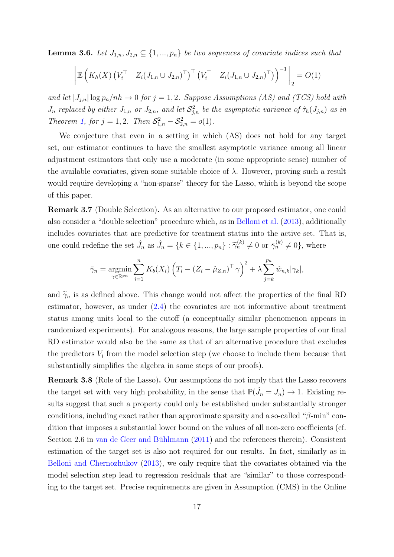<span id="page-16-1"></span>**Lemma 3.6.** Let  $J_{1,n}, J_{2,n} \subseteq \{1, ..., p_n\}$  be two sequences of covariate indices such that

$$
\left\| \mathbb{E} \left( K_h(X) \left( V_i^{\top} \quad Z_i(J_{1,n} \cup J_{2,n})^{\top} \right)^{\top} \left( V_i^{\top} \quad Z_i(J_{1,n} \cup J_{2,n})^{\top} \right) \right)^{-1} \right\|_2 = O(1)
$$

and let  $|J_{j,n}| \log p_n/nh \to 0$  for  $j = 1, 2$ . Suppose Assumptions (AS) and (TCS) hold with  $J_n$  replaced by either  $J_{1,n}$  or  $J_{2,n}$ , and let  $S_{j,n}^2$  be the asymptotic variance of  $\hat{\tau}_h(J_{j,n})$  as in Theorem [1,](#page-14-1) for  $j = 1, 2$ . Then  $S_{1,n}^2 - S_{2,n}^2 = o(1)$ .

We conjecture that even in a setting in which (AS) does not hold for any target set, our estimator continues to have the smallest asymptotic variance among all linear adjustment estimators that only use a moderate (in some appropriate sense) number of the available covariates, given some suitable choice of  $\lambda$ . However, proving such a result would require developing a "non-sparse" theory for the Lasso, which is beyond the scope of this paper.

Remark 3.7 (Double Selection). As an alternative to our proposed estimator, one could also consider a "double selection" procedure which, as in [Belloni et al.](#page-21-1) [\(2013\)](#page-21-1), additionally includes covariates that are predictive for treatment status into the active set. That is, one could redefine the set  $\hat{J}_n$  as  $\hat{J}_n = \{k \in \{1, ..., p_n\} : \tilde{\gamma}_n^{(k)} \neq 0 \text{ or } \bar{\gamma}_n^{(k)} \neq 0\}$ , where

$$
\bar{\gamma}_n = \underset{\gamma \in \mathbb{R}^{p_n}}{\operatorname{argmin}} \sum_{i=1}^n K_b(X_i) \left( T_i - \left( Z_i - \hat{\mu}_{Z,n} \right)^{\top} \gamma \right)^2 + \lambda \sum_{j=k}^{p_n} \hat{w}_{n,k} |\gamma_k|,
$$

and  $\tilde{\gamma}_n$  is as defined above. This change would not affect the properties of the final RD estimator, however, as under  $(2.4)$  the covariates are not informative about treatment status among units local to the cutoff (a conceptually similar phenomenon appears in randomized experiments). For analogous reasons, the large sample properties of our final RD estimator would also be the same as that of an alternative procedure that excludes the predictors  $V_i$  from the model selection step (we choose to include them because that substantially simplifies the algebra in some steps of our proofs).

<span id="page-16-0"></span>Remark 3.8 (Role of the Lasso). Our assumptions do not imply that the Lasso recovers the target set with very high probability, in the sense that  $\mathbb{P}(\hat{J}_n = J_n) \to 1$ . Existing results suggest that such a property could only be established under substantially stronger conditions, including exact rather than approximate sparsity and a so-called " $\beta$ -min" condition that imposes a substantial lower bound on the values of all non-zero coefficients (cf. Section 2.6 in van de Geer and Bühlmann  $(2011)$  and the references therein). Consistent estimation of the target set is also not required for our results. In fact, similarly as in [Belloni and Chernozhukov](#page-21-4) [\(2013\)](#page-21-4), we only require that the covariates obtained via the model selection step lead to regression residuals that are "similar" to those corresponding to the target set. Precise requirements are given in Assumption (CMS) in the Online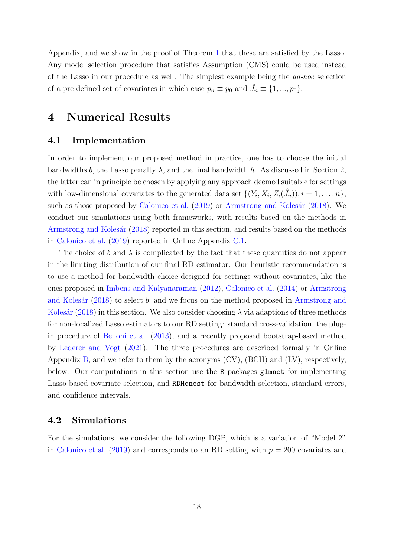Appendix, and we show in the proof of Theorem [1](#page-14-1) that these are satisfied by the Lasso. Any model selection procedure that satisfies Assumption (CMS) could be used instead of the Lasso in our procedure as well. The simplest example being the ad-hoc selection of a pre-defined set of covariates in which case  $p_n \equiv p_0$  and  $\hat{J}_n \equiv \{1, ..., p_0\}.$ 

# <span id="page-17-0"></span>4 Numerical Results

# <span id="page-17-1"></span>4.1 Implementation

In order to implement our proposed method in practice, one has to choose the initial bandwidths b, the Lasso penalty  $\lambda$ , and the final bandwidth h. As discussed in Section 2, the latter can in principle be chosen by applying any approach deemed suitable for settings with low-dimensional covariates to the generated data set  $\{(Y_i, X_i, Z_i(\hat{J}_n)), i = 1, \ldots, n\},\$ such as those proposed by [Calonico et al.](#page-22-3) [\(2019\)](#page-22-3) or Armstrong and Kolesár [\(2018\)](#page-21-0). We conduct our simulations using both frameworks, with results based on the methods in Armstrong and Kolesár [\(2018\)](#page-21-0) reported in this section, and results based on the methods in [Calonico et al.](#page-22-3) [\(2019\)](#page-22-3) reported in Online Appendix [C.1.](#page-63-0)

The choice of b and  $\lambda$  is complicated by the fact that these quantities do not appear in the limiting distribution of our final RD estimator. Our heuristic recommendation is to use a method for bandwidth choice designed for settings without covariates, like the ones proposed in [Imbens and Kalyanaraman](#page-22-1) [\(2012\)](#page-22-1), [Calonico et al.](#page-22-2) [\(2014\)](#page-22-2) or [Armstrong](#page-21-0) and Kolesár [\(2018\)](#page-21-0) to select b; and we focus on the method proposed in [Armstrong and](#page-21-0) Kolesár [\(2018\)](#page-21-0) in this section. We also consider choosing  $\lambda$  via adaptions of three methods for non-localized Lasso estimators to our RD setting: standard cross-validation, the plugin procedure of [Belloni et al.](#page-21-1) [\(2013\)](#page-21-1), and a recently proposed bootstrap-based method by [Lederer and Vogt](#page-22-8) [\(2021\)](#page-22-8). The three procedures are described formally in Online Appendix [B,](#page-62-0) and we refer to them by the acronyms (CV), (BCH) and (LV), respectively, below. Our computations in this section use the R packages glmnet for implementing Lasso-based covariate selection, and RDHonest for bandwidth selection, standard errors, and confidence intervals.

#### <span id="page-17-2"></span>4.2 Simulations

For the simulations, we consider the following DGP, which is a variation of "Model 2" in [Calonico et al.](#page-22-3) [\(2019\)](#page-22-3) and corresponds to an RD setting with  $p = 200$  covariates and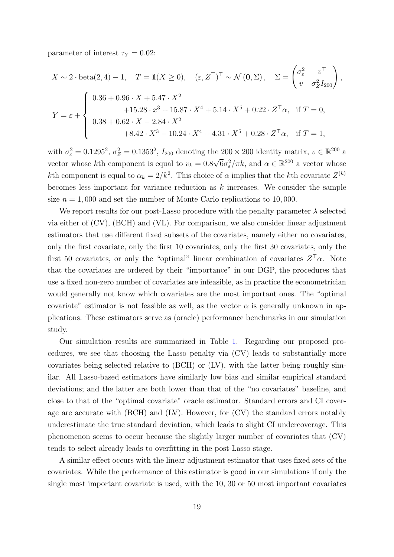parameter of interest  $\tau_Y = 0.02$ :

$$
X \sim 2 \cdot \text{beta}(2, 4) - 1, \quad T = \mathbb{1}(X \ge 0), \quad (\varepsilon, Z^{\top})^{\top} \sim \mathcal{N}(\mathbf{0}, \Sigma), \quad \Sigma = \begin{pmatrix} \sigma_{\varepsilon}^{2} & v^{\top} \\ v & \sigma_{Z}^{2} I_{200} \end{pmatrix},
$$

$$
Y = \varepsilon + \begin{cases} 0.36 + 0.96 \cdot X + 5.47 \cdot X^{2} \\ 0.38 + 0.62 \cdot X - 2.84 \cdot X^{2} \\ 0.38 + 0.62 \cdot X - 2.84 \cdot X^{2} \\ + 8.42 \cdot X^{3} - 10.24 \cdot X^{4} + 4.31 \cdot X^{5} + 0.28 \cdot Z^{\top} \alpha, \quad \text{if } T = 1, \end{cases}
$$

with  $\sigma_{\varepsilon}^2 = 0.1295^2$ ,  $\sigma_Z^2 = 0.1353^2$ ,  $I_{200}$  denoting the 200 × 200 identity matrix,  $v \in \mathbb{R}^{200}$  a vector whose kth component is equal to  $v_k = 0.8\sqrt{6}\sigma_\varepsilon^2/\pi k$ , and  $\alpha \in \mathbb{R}^{200}$  a vector whose kth component is equal to  $\alpha_k = 2/k^2$ . This choice of  $\alpha$  implies that the kth covariate  $Z^{(k)}$ becomes less important for variance reduction as  $k$  increases. We consider the sample size  $n = 1,000$  and set the number of Monte Carlo replications to 10,000.

We report results for our post-Lasso procedure with the penalty parameter  $\lambda$  selected via either of (CV), (BCH) and (VL). For comparison, we also consider linear adjustment estimators that use different fixed subsets of the covariates, namely either no covariates, only the first covariate, only the first 10 covariates, only the first 30 covariates, only the first 50 covariates, or only the "optimal" linear combination of covariates  $Z^{\top} \alpha$ . Note that the covariates are ordered by their "importance" in our DGP, the procedures that use a fixed non-zero number of covariates are infeasible, as in practice the econometrician would generally not know which covariates are the most important ones. The "optimal covariate" estimator is not feasible as well, as the vector  $\alpha$  is generally unknown in applications. These estimators serve as (oracle) performance benchmarks in our simulation study.

Our simulation results are summarized in Table [1.](#page-19-0) Regarding our proposed procedures, we see that choosing the Lasso penalty via (CV) leads to substantially more covariates being selected relative to (BCH) or (LV), with the latter being roughly similar. All Lasso-based estimators have similarly low bias and similar empirical standard deviations; and the latter are both lower than that of the "no covariates" baseline, and close to that of the "optimal covariate" oracle estimator. Standard errors and CI coverage are accurate with (BCH) and (LV). However, for (CV) the standard errors notably underestimate the true standard deviation, which leads to slight CI undercoverage. This phenomenon seems to occur because the slightly larger number of covariates that (CV) tends to select already leads to overfitting in the post-Lasso stage.

A similar effect occurs with the linear adjustment estimator that uses fixed sets of the covariates. While the performance of this estimator is good in our simulations if only the single most important covariate is used, with the 10, 30 or 50 most important covariates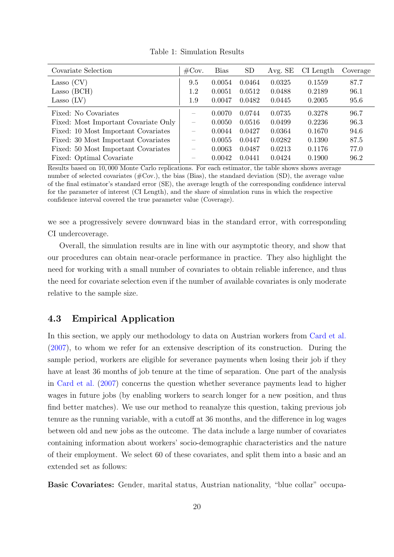<span id="page-19-0"></span>

| Covariate Selection                  | $\#\text{Cov}.$          | Bias   | SD     | Avg. SE | $CI$ Length | Coverage |
|--------------------------------------|--------------------------|--------|--------|---------|-------------|----------|
| Lasso $(CV)$                         | 9.5                      | 0.0054 | 0.0464 | 0.0325  | 0.1559      | 87.7     |
| Lasso (BCH)                          | $1.2\,$                  | 0.0051 | 0.0512 | 0.0488  | 0.2189      | 96.1     |
| Lasso $(LV)$                         | 1.9                      | 0.0047 | 0.0482 | 0.0445  | 0.2005      | 95.6     |
| Fixed: No Covariates                 | $\overline{\phantom{0}}$ | 0.0070 | 0.0744 | 0.0735  | 0.3278      | 96.7     |
| Fixed: Most Important Covariate Only | $\overline{\phantom{0}}$ | 0.0050 | 0.0516 | 0.0499  | 0.2236      | 96.3     |
| Fixed: 10 Most Important Covariates  |                          | 0.0044 | 0.0427 | 0.0364  | 0.1670      | 94.6     |
| Fixed: 30 Most Important Covariates  | $\overline{\phantom{0}}$ | 0.0055 | 0.0447 | 0.0282  | 0.1390      | 87.5     |
| Fixed: 50 Most Important Covariates  | $\overline{\phantom{0}}$ | 0.0063 | 0.0487 | 0.0213  | 0.1176      | 77.0     |
| Fixed: Optimal Covariate             |                          | 0.0042 | 0.0441 | 0.0424  | 0.1900      | 96.2     |

Table 1: Simulation Results

Results based on 10, 000 Monte Carlo replications. For each estimator, the table shows shows average number of selected covariates  $(\text{\#Cov.})$ , the bias (Bias), the standard deviation (SD), the average value of the final estimator's standard error (SE), the average length of the corresponding confidence interval for the parameter of interest (CI Length), and the share of simulation runs in which the respective confidence interval covered the true parameter value (Coverage).

we see a progressively severe downward bias in the standard error, with corresponding CI undercoverage.

Overall, the simulation results are in line with our asymptotic theory, and show that our procedures can obtain near-oracle performance in practice. They also highlight the need for working with a small number of covariates to obtain reliable inference, and thus the need for covariate selection even if the number of available covariates is only moderate relative to the sample size.

# 4.3 Empirical Application

In this section, we apply our methodology to data on Austrian workers from [Card et al.](#page-22-9) [\(2007\)](#page-22-9), to whom we refer for an extensive description of its construction. During the sample period, workers are eligible for severance payments when losing their job if they have at least 36 months of job tenure at the time of separation. One part of the analysis in [Card et al.](#page-22-9) [\(2007\)](#page-22-9) concerns the question whether severance payments lead to higher wages in future jobs (by enabling workers to search longer for a new position, and thus find better matches). We use our method to reanalyze this question, taking previous job tenure as the running variable, with a cutoff at 36 months, and the difference in log wages between old and new jobs as the outcome. The data include a large number of covariates containing information about workers' socio-demographic characteristics and the nature of their employment. We select 60 of these covariates, and split them into a basic and an extended set as follows:

Basic Covariates: Gender, marital status, Austrian nationality, "blue collar" occupa-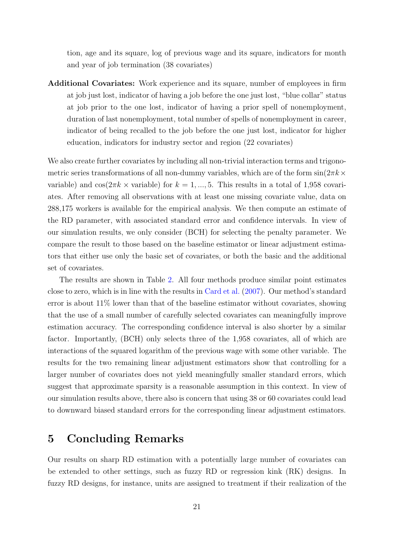tion, age and its square, log of previous wage and its square, indicators for month and year of job termination (38 covariates)

Additional Covariates: Work experience and its square, number of employees in firm at job just lost, indicator of having a job before the one just lost, "blue collar" status at job prior to the one lost, indicator of having a prior spell of nonemployment, duration of last nonemployment, total number of spells of nonemployment in career, indicator of being recalled to the job before the one just lost, indicator for higher education, indicators for industry sector and region (22 covariates)

We also create further covariates by including all non-trivial interaction terms and trigonometric series transformations of all non-dummy variables, which are of the form  $\sin(2\pi k \times$ variable) and cos( $2\pi k \times$  variable) for  $k = 1, ..., 5$ . This results in a total of 1,958 covariates. After removing all observations with at least one missing covariate value, data on 288,175 workers is available for the empirical analysis. We then compute an estimate of the RD parameter, with associated standard error and confidence intervals. In view of our simulation results, we only consider (BCH) for selecting the penalty parameter. We compare the result to those based on the baseline estimator or linear adjustment estimators that either use only the basic set of covariates, or both the basic and the additional set of covariates.

The results are shown in Table [2.](#page-21-5) All four methods produce similar point estimates close to zero, which is in line with the results in [Card et al.](#page-22-9) [\(2007\)](#page-22-9). Our method's standard error is about  $11\%$  lower than that of the baseline estimator without covariates, showing that the use of a small number of carefully selected covariates can meaningfully improve estimation accuracy. The corresponding confidence interval is also shorter by a similar factor. Importantly, (BCH) only selects three of the 1,958 covariates, all of which are interactions of the squared logarithm of the previous wage with some other variable. The results for the two remaining linear adjustment estimators show that controlling for a larger number of covariates does not yield meaningfully smaller standard errors, which suggest that approximate sparsity is a reasonable assumption in this context. In view of our simulation results above, there also is concern that using 38 or 60 covariates could lead to downward biased standard errors for the corresponding linear adjustment estimators.

# 5 Concluding Remarks

Our results on sharp RD estimation with a potentially large number of covariates can be extended to other settings, such as fuzzy RD or regression kink (RK) designs. In fuzzy RD designs, for instance, units are assigned to treatment if their realization of the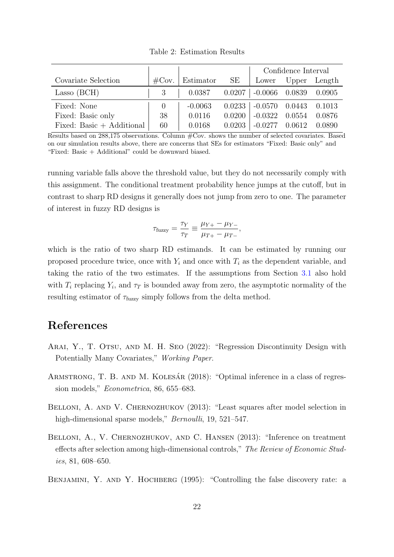<span id="page-21-5"></span>

|                             |                  |           |        | Confidence Interval         |        |        |  |
|-----------------------------|------------------|-----------|--------|-----------------------------|--------|--------|--|
| Covariate Selection         | $\#\text{Cov}$ . | Estimator | SE     | Lower                       | Upper  | Length |  |
| Lasso (BCH)                 |                  | 0.0387    |        | $0.0207$   $-0.0066$ 0.0839 |        | 0.0905 |  |
| Fixed: None                 | $\left( \right)$ | $-0.0063$ | 0.0233 | $-0.0570$ 0.0443            |        | 0.1013 |  |
| Fixed: Basic only           | 38               | 0.0116    | 0.0200 | $-0.0322$                   | 0.0554 | 0.0876 |  |
| Fixed: Basic $+$ Additional | 60               | 0.0168    | 0.0203 | $-0.0277$                   | 0.0612 | 0.0890 |  |

Table 2: Estimation Results

Results based on 288,175 observations. Column #Cov. shows the number of selected covariates. Based on our simulation results above, there are concerns that SEs for estimators "Fixed: Basic only" and "Fixed: Basic + Additional" could be downward biased.

running variable falls above the threshold value, but they do not necessarily comply with this assignment. The conditional treatment probability hence jumps at the cutoff, but in contrast to sharp RD designs it generally does not jump from zero to one. The parameter of interest in fuzzy RD designs is

$$
\tau_{\text{fuzzy}} = \frac{\tau_Y}{\tau_T} \equiv \frac{\mu_{Y+} - \mu_{Y-}}{\mu_{T+} - \mu_{T-}},
$$

which is the ratio of two sharp RD estimands. It can be estimated by running our proposed procedure twice, once with  $Y_i$  and once with  $T_i$  as the dependent variable, and taking the ratio of the two estimates. If the assumptions from Section [3.1](#page-8-2) also hold with  $T_i$  replacing  $Y_i$ , and  $\tau_T$  is bounded away from zero, the asymptotic normality of the resulting estimator of  $\tau_{\text{fuzzy}}$  simply follows from the delta method.

# References

- <span id="page-21-2"></span>Arai, Y., T. Otsu, and M. H. Seo (2022): "Regression Discontinuity Design with Potentially Many Covariates," Working Paper.
- <span id="page-21-0"></span>ARMSTRONG, T. B. AND M. KOLESÁR (2018): "Optimal inference in a class of regression models," Econometrica, 86, 655–683.
- <span id="page-21-4"></span>BELLONI, A. AND V. CHERNOZHUKOV (2013): "Least squares after model selection in high-dimensional sparse models," *Bernoulli*, 19, 521–547.
- <span id="page-21-1"></span>BELLONI, A., V. CHERNOZHUKOV, AND C. HANSEN (2013): "Inference on treatment effects after selection among high-dimensional controls," The Review of Economic Studies, 81, 608–650.
- <span id="page-21-3"></span>BENJAMINI, Y. AND Y. HOCHBERG (1995): "Controlling the false discovery rate: a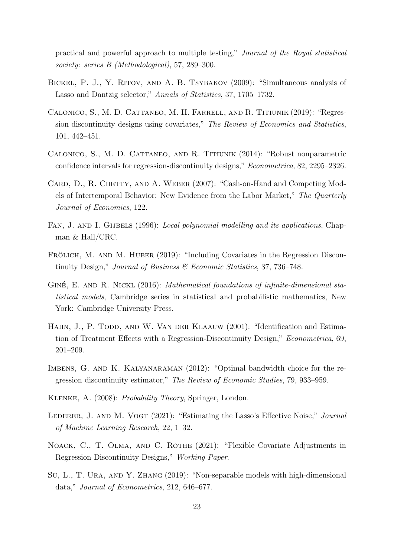practical and powerful approach to multiple testing," Journal of the Royal statistical society: series B (Methodological), 57, 289–300.

- <span id="page-22-10"></span>BICKEL, P. J., Y. RITOV, AND A. B. TSYBAKOV (2009): "Simultaneous analysis of Lasso and Dantzig selector," Annals of Statistics, 37, 1705–1732.
- <span id="page-22-3"></span>Calonico, S., M. D. Cattaneo, M. H. Farrell, and R. Titiunik (2019): "Regression discontinuity designs using covariates," The Review of Economics and Statistics, 101, 442–451.
- <span id="page-22-2"></span>Calonico, S., M. D. Cattaneo, and R. Titiunik (2014): "Robust nonparametric confidence intervals for regression-discontinuity designs," Econometrica, 82, 2295–2326.
- <span id="page-22-9"></span>CARD, D., R. CHETTY, AND A. WEBER (2007): "Cash-on-Hand and Competing Models of Intertemporal Behavior: New Evidence from the Labor Market," The Quarterly Journal of Economics, 122.
- <span id="page-22-7"></span>FAN, J. AND I. GIJBELS (1996): *Local polynomial modelling and its applications*, Chapman & Hall/CRC.
- <span id="page-22-4"></span>FRÖLICH, M. AND M. HUBER (2019): "Including Covariates in the Regression Discontinuity Design," Journal of Business & Economic Statistics, 37, 736–748.
- <span id="page-22-11"></span>GINÉ, E. AND R. NICKL (2016): Mathematical foundations of infinite-dimensional statistical models, Cambridge series in statistical and probabilistic mathematics, New York: Cambridge University Press.
- <span id="page-22-0"></span>HAHN, J., P. TODD, AND W. VAN DER KLAAUW (2001): "Identification and Estimation of Treatment Effects with a Regression-Discontinuity Design," Econometrica, 69, 201–209.
- <span id="page-22-1"></span>IMBENS, G. AND K. KALYANARAMAN (2012): "Optimal bandwidth choice for the regression discontinuity estimator," The Review of Economic Studies, 79, 933–959.
- <span id="page-22-12"></span>Klenke, A. (2008): Probability Theory, Springer, London.
- <span id="page-22-8"></span>LEDERER, J. AND M. VOGT (2021): "Estimating the Lasso's Effective Noise," *Journal* of Machine Learning Research, 22, 1–32.
- <span id="page-22-5"></span>NOACK, C., T. OLMA, AND C. ROTHE (2021): "Flexible Covariate Adjustments in Regression Discontinuity Designs," Working Paper.
- <span id="page-22-6"></span>Su, L., T. Ura, and Y. Zhang (2019): "Non-separable models with high-dimensional data," Journal of Econometrics, 212, 646–677.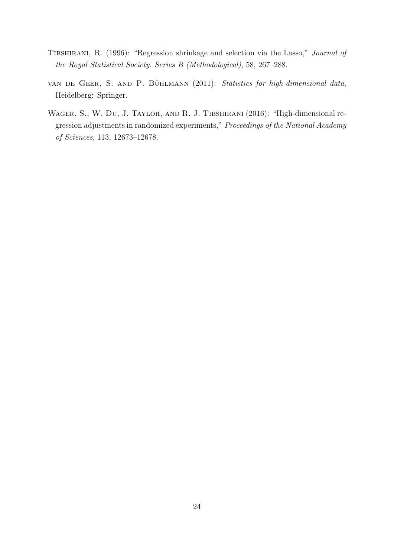- <span id="page-23-0"></span>TIBSHIRANI, R. (1996): "Regression shrinkage and selection via the Lasso," Journal of the Royal Statistical Society. Series B (Methodological), 58, 267–288.
- <span id="page-23-2"></span>VAN DE GEER, S. AND P. BÜHLMANN (2011): Statistics for high-dimensional data, Heidelberg: Springer.
- <span id="page-23-1"></span>WAGER, S., W. DU, J. TAYLOR, AND R. J. TIBSHIRANI (2016): "High-dimensional regression adjustments in randomized experiments," Proceedings of the National Academy of Sciences, 113, 12673–12678.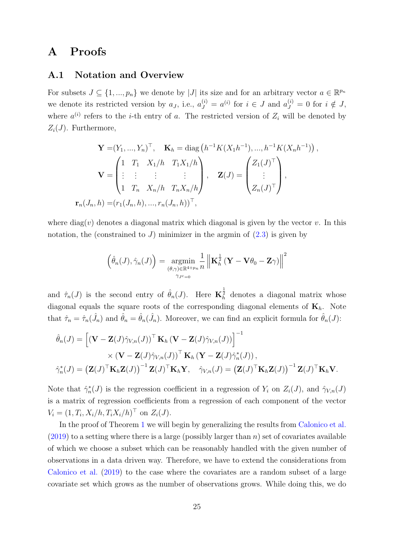# A Proofs

### <span id="page-24-0"></span>A.1 Notation and Overview

For subsets  $J \subseteq \{1, ..., p_n\}$  we denote by |J| its size and for an arbitrary vector  $a \in \mathbb{R}^{p_n}$ we denote its restricted version by  $a_j$ , i.e.,  $a_j^{(i)} = a^{(i)}$  for  $i \in J$  and  $a_j^{(i)} = 0$  for  $i \notin J$ , where  $a^{(i)}$  refers to the *i*-th entry of a. The restricted version of  $Z_i$  will be denoted by  $Z_i(J)$ . Furthermore,

$$
\mathbf{Y} = (Y_1, ..., Y_n)^{\top}, \quad \mathbf{K}_h = \text{diag}\left(h^{-1}K(X_1h^{-1}), ..., h^{-1}K(X_nh^{-1})\right),
$$
\n
$$
\mathbf{V} = \begin{pmatrix} 1 & T_1 & X_1/h & T_1X_1/h \\ \vdots & \vdots & \vdots & \vdots \\ 1 & T_n & X_n/h & T_nX_n/h \end{pmatrix}, \quad \mathbf{Z}(J) = \begin{pmatrix} Z_1(J)^{\top} \\ \vdots \\ Z_n(J)^{\top} \end{pmatrix},
$$
\n
$$
\mathbf{r}_n(J_n, h) = (r_1(J_n, h), ..., r_n(J_n, h))^{\top},
$$

where diag(v) denotes a diagonal matrix which diagonal is given by the vector v. In this notation, the (constrained to J) minimizer in the argmin of  $(2.3)$  is given by

$$
\left(\hat{\theta}_n(J), \hat{\gamma}_n(J)\right) = \underset{\substack{(\theta,\gamma) \in \mathbb{R}^{4+p_n} \\ \gamma_{J}c=0}}{\operatorname{argmin}} \frac{1}{n} \left\| \mathbf{K}_h^{\frac{1}{2}} \left( \mathbf{Y} - \mathbf{V} \theta_0 - \mathbf{Z} \gamma \right) \right\|^2
$$

and  $\hat{\tau}_n(J)$  is the second entry of  $\hat{\theta}_n(J)$ . Here  $\mathbf{K}_h^{\frac{1}{2}}$  denotes a diagonal matrix whose diagonal equals the square roots of the corresponding diagonal elements of  $\mathbf{K}_h$ . Note that  $\hat{\tau}_n = \hat{\tau}_n(\hat{J}_n)$  and  $\hat{\theta}_n = \hat{\theta}_n(\hat{J}_n)$ . Moreover, we can find an explicit formula for  $\hat{\theta}_n(J)$ :

$$
\hat{\theta}_n(J) = \left[ (\mathbf{V} - \mathbf{Z}(J)\hat{\gamma}_{V,n}(J))^\top \mathbf{K}_h (\mathbf{V} - \mathbf{Z}(J)\hat{\gamma}_{V,n}(J)) \right]^{-1} \times (\mathbf{V} - \mathbf{Z}(J)\hat{\gamma}_{V,n}(J))^\top \mathbf{K}_h (\mathbf{Y} - \mathbf{Z}(J)\hat{\gamma}_n^*(J)),
$$
\n
$$
\hat{\gamma}_n^*(J) = \left( \mathbf{Z}(J)^\top \mathbf{K}_h \mathbf{Z}(J) \right)^{-1} \mathbf{Z}(J)^\top \mathbf{K}_h \mathbf{Y}, \quad \hat{\gamma}_{V,n}(J) = \left( \mathbf{Z}(J)^\top \mathbf{K}_h \mathbf{Z}(J) \right)^{-1} \mathbf{Z}(J)^\top \mathbf{K}_h \mathbf{V}.
$$

Note that  $\hat{\gamma}_n^*(J)$  is the regression coefficient in a regression of  $Y_i$  on  $Z_i(J)$ , and  $\hat{\gamma}_{V,n}(J)$ is a matrix of regression coefficients from a regression of each component of the vector  $V_i = (1, T_i, X_i/h, T_i X_i/h)^\top$  on  $Z_i(J)$ .

In the proof of Theorem [1](#page-14-1) we will begin by generalizing the results from [Calonico et al.](#page-22-3)  $(2019)$  to a setting where there is a large (possibly larger than n) set of covariates available of which we choose a subset which can be reasonably handled with the given number of observations in a data driven way. Therefore, we have to extend the considerations from [Calonico et al.](#page-22-3) [\(2019\)](#page-22-3) to the case where the covariates are a random subset of a large covariate set which grows as the number of observations grows. While doing this, we do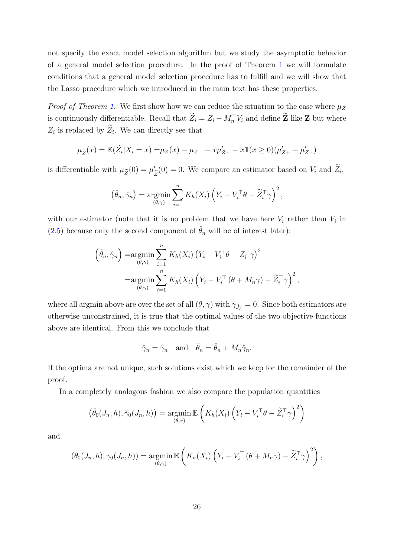not specify the exact model selection algorithm but we study the asymptotic behavior of a general model selection procedure. In the proof of Theorem [1](#page-14-1) we will formulate conditions that a general model selection procedure has to fulfill and we will show that the Lasso procedure which we introduced in the main text has these properties.

*Proof of Theorem [1.](#page-14-1)* We first show how we can reduce the situation to the case where  $\mu_Z$ is continuously differentiable. Recall that  $\tilde{Z}_i = Z_i - M_n^{\top} V_i$  and define  $\tilde{Z}$  like  $Z$  but where  $Z_i$  is replaced by  $Z_i$ . We can directly see that

$$
\mu_{\widetilde{Z}}(x) = \mathbb{E}(\widetilde{Z}_i | X_i = x) = \mu_Z(x) - \mu_{Z-} - x\mu'_{Z-} - x\mathbb{1}(x \ge 0)(\mu'_{Z+} - \mu'_{Z-})
$$

is differentiable with  $\mu_{\widetilde{Z}}(0) = \mu'$  $Z_{\tilde{Z}}(0) = 0$ . We compare an estimator based on  $V_i$  and  $Z_i$ ,

$$
(\check{\theta}_n, \check{\gamma}_n) = \operatorname*{argmin}_{(\theta, \gamma)} \sum_{i=1}^n K_h(X_i) \left( Y_i - V_i^{\top} \theta - \widetilde{Z}_i^{\top} \gamma \right)^2,
$$

with our estimator (note that it is no problem that we have here  $V_i$  rather than  $V_i$  in [\(2.5\)](#page-4-2) because only the second component of  $\hat{\theta}_n$  will be of interest later):

$$
\left(\hat{\theta}_n, \hat{\gamma}_n\right) = \underset{(\theta, \gamma)}{\operatorname{argmin}} \sum_{i=1}^n K_h(X_i) \left(Y_i - V_i^{\top} \theta - Z_i^{\top} \gamma\right)^2
$$

$$
= \underset{(\theta, \gamma)}{\operatorname{argmin}} \sum_{i=1}^n K_h(X_i) \left(Y_i - V_i^{\top} \left(\theta + M_n \gamma\right) - \widetilde{Z}_i^{\top} \gamma\right)^2,
$$

where all argmin above are over the set of all  $(\theta, \gamma)$  with  $\gamma_{\hat{J}^c_n} = 0$ . Since both estimators are otherwise unconstrained, it is true that the optimal values of the two objective functions above are identical. From this we conclude that

$$
\tilde{\gamma}_n = \hat{\gamma}_n
$$
 and  $\tilde{\theta}_n = \hat{\theta}_n + M_n \hat{\gamma}_n$ .

If the optima are not unique, such solutions exist which we keep for the remainder of the proof.

In a completely analogous fashion we also compare the population quantities

$$
\left(\check{\theta}_{0}(J_{n},h),\check{\gamma}_{0}(J_{n},h)\right)=\underset{\left(\theta,\gamma\right)}{\operatorname{argmin}}\mathbb{E}\left(K_{h}(X_{i})\left(Y_{i}-V_{i}^{\top}\theta-\widetilde{Z}_{i}^{\top}\gamma\right)^{2}\right)
$$

and

$$
(\theta_0(J_n,h),\gamma_0(J_n,h)) = \underset{(\theta,\gamma)}{\operatorname{argmin}} \mathbb{E}\left(K_h(X_i)\left(Y_i - V_i^{\top}(\theta + M_n\gamma) - \widetilde{Z}_i^{\top}\gamma\right)^2\right),
$$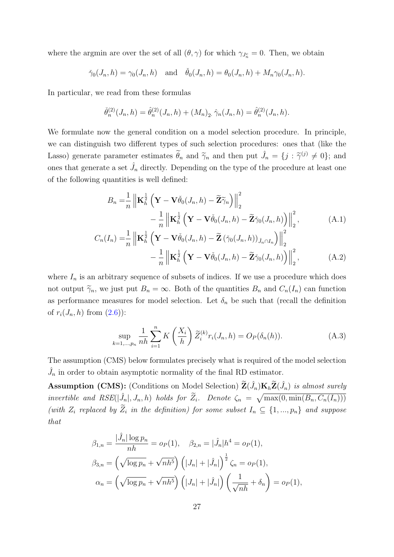where the argmin are over the set of all  $(\theta, \gamma)$  for which  $\gamma_{J_n^c} = 0$ . Then, we obtain

$$
\check{\gamma}_0(J_n, h) = \gamma_0(J_n, h) \quad \text{and} \quad \check{\theta}_0(J_n, h) = \theta_0(J_n, h) + M_n \gamma_0(J_n, h).
$$

In particular, we read from these formulas

$$
\check{\theta}_n^{(2)}(J_n, h) = \hat{\theta}_n^{(2)}(J_n, h) + (M_n)_2, \hat{\gamma}_n(J_n, h) = \hat{\theta}_n^{(2)}(J_n, h).
$$

We formulate now the general condition on a model selection procedure. In principle, we can distinguish two different types of such selection procedures: ones that (like the Lasso) generate parameter estimates  $\tilde{\theta}_n$  and  $\tilde{\gamma}_n$  and then put  $\hat{J}_n = \{j : \tilde{\gamma}^{(j)} \neq 0\}$ ; and ones that generate a set  $\hat{J}_n$  directly. Depending on the type of the procedure at least one of the following quantities is well defined:

$$
B_n = \frac{1}{n} \left\| \mathbf{K}_h^{\frac{1}{2}} \left( \mathbf{Y} - \mathbf{V} \check{\theta}_0(J_n, h) - \widetilde{\mathbf{Z}} \widetilde{\gamma}_n \right) \right\|_2^2
$$
  
 
$$
- \frac{1}{n} \left\| \mathbf{K}_h^{\frac{1}{2}} \left( \mathbf{Y} - \mathbf{V} \check{\theta}_0(J_n, h) - \widetilde{\mathbf{Z}} \check{\gamma}_0(J_n, h) \right) \right\|_2^2, \tag{A.1}
$$

$$
C_n(I_n) = \frac{1}{n} \left\| \mathbf{K}_h^{\frac{1}{2}} \left( \mathbf{Y} - \mathbf{V} \check{\theta}_0(J_n, h) - \widetilde{\mathbf{Z}} \left( \check{\gamma}_0(J_n, h) \right)_{\hat{J}_n \cap I_n} \right) \right\|_2^2
$$
  
- 
$$
\frac{1}{n} \left\| \mathbf{K}_h^{\frac{1}{2}} \left( \mathbf{Y} - \mathbf{V} \check{\theta}_0(J_n, h) - \widetilde{\mathbf{Z}} \check{\gamma}_0(J_n, h) \right) \right\|_2^2, \tag{A.2}
$$

where  $I_n$  is an arbitrary sequence of subsets of indices. If we use a procedure which does not output  $\tilde{\gamma}_n$ , we just put  $B_n = \infty$ . Both of the quantities  $B_n$  and  $C_n(I_n)$  can function as performance measures for model selection. Let  $\delta_n$  be such that (recall the definition of  $r_i(J_n, h)$  from  $(2.6)$ :

<span id="page-26-1"></span><span id="page-26-0"></span>
$$
\sup_{k=1,\dots,p_n} \frac{1}{nh} \sum_{i=1}^n K\left(\frac{X_i}{h}\right) \widetilde{Z}_i^{(k)} r_i(J_n, h) = O_P(\delta_n(h)).
$$
\n(A.3)

The assumption (CMS) below formulates precisely what is required of the model selection  $\hat{J}_n$  in order to obtain asymptotic normality of the final RD estimator.

**Assumption (CMS):** (Conditions on Model Selection)  $\widetilde{\mathbf{Z}}(\hat{J}_n)$  **K**<sub>h</sub> $\widetilde{\mathbf{Z}}(\hat{J}_n)$  is almost surely invertible and  $RSE(\hat{J}_n|, J_n, h)$  holds for  $\widetilde{Z}_i$ . Denote  $\zeta_n = \sqrt{\max(0, \min(B_n, C_n(I_n)))}$ (with  $Z_i$  replaced by  $\widetilde{Z}_i$  in the definition) for some subset  $I_n \subseteq \{1, ..., p_n\}$  and suppose that

$$
\beta_{1,n} = \frac{|\hat{J}_n| \log p_n}{nh} = o_P(1), \quad \beta_{2,n} = |\hat{J}_n| h^4 = o_P(1),
$$
  

$$
\beta_{3,n} = \left(\sqrt{\log p_n} + \sqrt{n h^5}\right) \left(|J_n| + |\hat{J}_n|\right)^{\frac{1}{2}} \zeta_n = o_P(1),
$$
  

$$
\alpha_n = \left(\sqrt{\log p_n} + \sqrt{n h^5}\right) \left(|J_n| + |\hat{J}_n|\right) \left(\frac{1}{\sqrt{n h}} + \delta_n\right) = o_P(1),
$$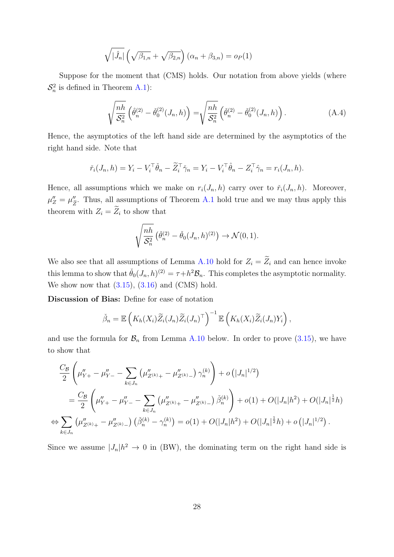$$
\sqrt{|\hat{J}_n|} \left( \sqrt{\beta_{1,n}} + \sqrt{\beta_{2,n}} \right) (\alpha_n + \beta_{3,n}) = o_P(1)
$$

Suppose for the moment that (CMS) holds. Our notation from above yields (where  $S_n^2$  is defined in Theorem [A.1\)](#page-36-0):

$$
\sqrt{\frac{nh}{\mathcal{S}_n^2}} \left( \hat{\theta}_n^{(2)} - \check{\theta}_0^{(2)}(J_n, h) \right) = \sqrt{\frac{nh}{\mathcal{S}_n^2}} \left( \check{\theta}_n^{(2)} - \check{\theta}_0^{(2)}(J_n, h) \right).
$$
 (A.4)

Hence, the asymptotics of the left hand side are determined by the asymptotics of the right hand side. Note that

$$
\check{r}_i(J_n, h) = Y_i - V_i^{\top} \check{\theta}_n - \widetilde{Z}_i^{\top} \check{\gamma}_n = Y_i - V_i^{\top} \hat{\theta}_n - Z_i^{\top} \hat{\gamma}_n = r_i(J_n, h).
$$

Hence, all assumptions which we make on  $r_i(J_n, h)$  carry over to  $\check{r}_i(J_n, h)$ . Moreover,  $\mu_Z'' = \mu_{\tilde{z}}''$ Ze . Thus, all assumptions of Theorem [A.1](#page-36-0) hold true and we may thus apply this theorem with  $Z_i = \widetilde{Z}_i$  to show that

$$
\sqrt{\frac{nh}{\mathcal{S}_n^2}} \left( \check{\theta}_n^{(2)} - \check{\theta}_0(J_n, h)^{(2)} \right) \to \mathcal{N}(0, 1).
$$

We also see that all assumptions of Lemma [A.10](#page-45-0) hold for  $Z_i = \widetilde{Z}_i$  and can hence invoke this lemma to show that  $\check{\theta}_0(J_n, h)^{(2)} = \tau + h^2 \mathcal{B}_n$ . This completes the asymptotic normality. We show now that  $(3.15)$ ,  $(3.16)$  and  $(CMS)$  hold.

Discussion of Bias: Define for ease of notation

$$
\tilde{\beta}_n = \mathbb{E}\left(K_h(X_i)\widetilde{Z}_i(J_n)\widetilde{Z}_i(J_n)^\top\right)^{-1}\mathbb{E}\left(K_h(X_i)\widetilde{Z}_i(J_n)Y_i\right),
$$

and use the formula for  $\mathcal{B}_n$  from Lemma [A.10](#page-45-0) below. In order to prove [\(3.15\)](#page-14-0), we have to show that

$$
\frac{C_{\mathcal{B}}}{2} \left( \mu''_{Y+} - \mu''_{Y-} - \sum_{k \in J_n} \left( \mu''_{Z^{(k)}+} - \mu''_{Z^{(k)}-} \right) \gamma_n^{(k)} \right) + o\left( |J_n|^{1/2} \right)
$$
\n
$$
= \frac{C_{\mathcal{B}}}{2} \left( \mu''_{Y+} - \mu''_{Y-} - \sum_{k \in J_n} \left( \mu''_{Z^{(k)}+} - \mu''_{Z^{(k)}-} \right) \tilde{\beta}_n^{(k)} \right) + o(1) + O(|J_n|h^2) + O(|J_n|^{\frac{1}{2}}h)
$$
\n
$$
\Leftrightarrow \sum_{k \in J_n} \left( \mu''_{Z^{(k)}+} - \mu''_{Z^{(k)}-} \right) \left( \tilde{\beta}_n^{(k)} - \gamma_n^{(k)} \right) = o(1) + O(|J_n|h^2) + O(|J_n|^{\frac{1}{2}}h) + o\left( |J_n|^{1/2} \right).
$$

Since we assume  $|J_n|h^2 \to 0$  in (BW), the dominating term on the right hand side is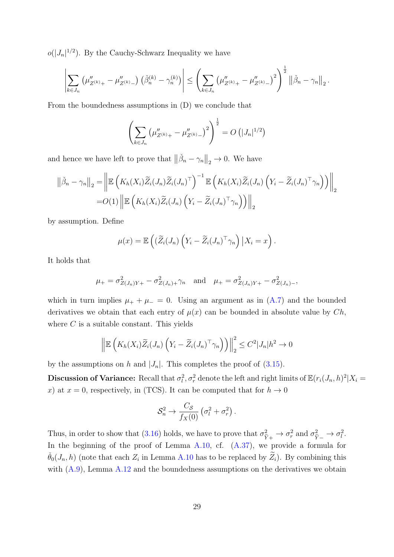$o(|J_n|^{1/2})$ . By the Cauchy-Schwarz Inequality we have

$$
\left| \sum_{k \in J_n} \left( \mu''_{Z^{(k)}+} - \mu''_{Z^{(k)}-} \right) \left( \check{\beta}_n^{(k)} - \gamma_n^{(k)} \right) \right| \leq \left( \sum_{k \in J_n} \left( \mu''_{Z^{(k)}+} - \mu''_{Z^{(k)}-} \right)^2 \right)^{\frac{1}{2}} \left\| \check{\beta}_n - \gamma_n \right\|_2.
$$

From the boundedness assumptions in (D) we conclude that

$$
\left(\sum_{k\in J_n} \left(\mu''_{Z^{(k)}+} - \mu''_{Z^{(k)}-}\right)^2\right)^{\frac{1}{2}} = O\left(|J_n|^{1/2}\right)
$$

and hence we have left to prove that  $\|\check{\beta}_n - \gamma_n\|_2 \to 0$ . We have

$$
\|\check{\beta}_n - \gamma_n\|_2 = \left\| \mathbb{E}\left(K_h(X_i)\widetilde{Z}_i(J_n)\widetilde{Z}_i(J_n)^\top\right)^{-1} \mathbb{E}\left(K_h(X_i)\widetilde{Z}_i(J_n)\left(Y_i - \widetilde{Z}_i(J_n)^\top\gamma_n\right)\right) \right\|_2
$$
  
=  $O(1) \left\| \mathbb{E}\left(K_h(X_i)\widetilde{Z}_i(J_n)\left(Y_i - \widetilde{Z}_i(J_n)^\top\gamma_n\right)\right) \right\|_2$ 

by assumption. Define

$$
\mu(x) = \mathbb{E}\left( (\widetilde{Z}_i(J_n) \left( Y_i - \widetilde{Z}_i(J_n)^\top \gamma_n \right) \big| X_i = x \right).
$$

It holds that

$$
\mu_{+} = \sigma_{Z(J_n)Y+}^2 - \sigma_{Z(J_n)+}^2 \gamma_n
$$
 and  $\mu_{+} = \sigma_{Z(J_n)Y+}^2 - \sigma_{Z(J_n)-}^2$ ,

which in turn implies  $\mu_{+} + \mu_{-} = 0$ . Using an argument as in [\(A.7\)](#page-34-1) and the bounded derivatives we obtain that each entry of  $\mu(x)$  can be bounded in absolute value by  $Ch$ , where  $C$  is a suitable constant. This yields

$$
\left\| \mathbb{E}\left(K_h(X_i)\widetilde{Z}_i(J_n)\left(Y_i-\widetilde{Z}_i(J_n)^\top\gamma_n\right)\right) \right\|_2^2 \leq C^2|J_n|h^2 \to 0
$$

by the assumptions on h and  $|J_n|$ . This completes the proof of [\(3.15\)](#page-14-0).

**Discussion of Variance:** Recall that  $\sigma_l^2$ ,  $\sigma_r^2$  denote the left and right limits of  $\mathbb{E}(r_i(J_n, h)^2 | X_i =$ x) at  $x = 0$ , respectively, in (TCS). It can be computed that for  $h \to 0$ 

$$
S_n^2 \to \frac{C_S}{f_X(0)} \left( \sigma_l^2 + \sigma_r^2 \right).
$$

Thus, in order to show that [\(3.16\)](#page-14-2) holds, we have to prove that  $\sigma_{\tilde{\Omega}}^2$  $Y^+$  $\rightarrow \sigma_r^2$  and  $\sigma_{\tilde{Y}-}^2 \rightarrow \sigma_l^2$ . In the beginning of the proof of Lemma [A.10,](#page-45-0) cf.  $(A.37)$ , we provide a formula for  $\check{\theta}_0(J_n, h)$  (note that each  $Z_i$  in Lemma [A.10](#page-45-0) has to be replaced by  $\widetilde{Z}_i$ ). By combining this with  $(A.9)$ , Lemma  $A.12$  and the boundedness assumptions on the derivatives we obtain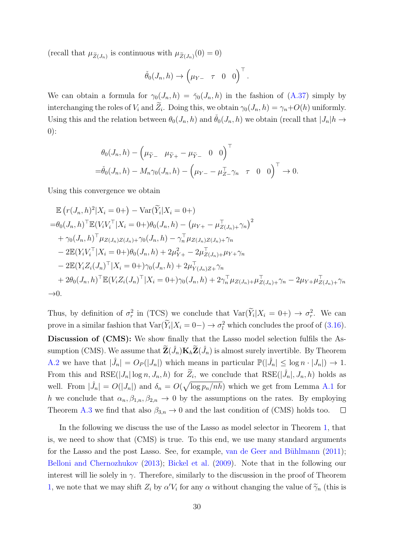(recall that  $\mu_{\tilde{Z}(J_n)}$  is continuous with  $\mu_{\tilde{Z}(J_n)}(0) = 0$ )

$$
\check{\theta}_0(J_n,h) \to \begin{pmatrix} \mu_{Y-} & \tau & 0 & 0 \end{pmatrix}^\top.
$$

We can obtain a formula for  $\gamma_0(J_n, h) = \gamma_0(J_n, h)$  in the fashion of  $(A.37)$  simply by interchanging the roles of  $V_i$  and  $Z_i$ . Doing this, we obtain  $\gamma_0(J_n, h) = \gamma_n + O(h)$  uniformly. Using this and the relation between  $\theta_0(J_n, h)$  and  $\check{\theta}_0(J_n, h)$  we obtain (recall that  $|J_n|h \to$ 0):

$$
\theta_0(J_n, h) - \left(\mu_{\tilde{Y}-} \mu_{\tilde{Y}+} - \mu_{\tilde{Y}-} 0 \ 0\right)^{\top}
$$
  
=  $\check{\theta}_0(J_n, h) - M_n \gamma_0(J_n, h) - \left(\mu_{Y-} - \mu_{Z-}^{\top} \gamma_n \ \tau \ 0 \ 0\right)^{\top} \to 0.$ 

Using this convergence we obtain

$$
\mathbb{E} (r(J_n, h)^2 | X_i = 0+) - \text{Var}(\widetilde{Y}_i | X_i = 0+)
$$
\n
$$
= \theta_0(J_n, h)^{\top} \mathbb{E} (V_i V_i^{\top} | X_i = 0+) \theta_0(J_n, h) - (\mu_{Y+} - \mu_{Z(J_n) +}^{\top} \gamma_n)^2
$$
\n
$$
+ \gamma_0(J_n, h)^{\top} \mu_{Z(J_n)Z(J_n) +} \gamma_0(J_n, h) - \gamma_n^{\top} \mu_{Z(J_n)Z(J_n) +} \gamma_n
$$
\n
$$
- 2\mathbb{E} (Y_i V_i^{\top} | X_i = 0+) \theta_0(J_n, h) + 2\mu_{Y+}^2 - 2\mu_{Z(J_n) +}^{\top} \mu_{Y+} \gamma_n
$$
\n
$$
- 2\mathbb{E} (Y_i Z_i(J_n)^{\top} | X_i = 0+) \gamma_0(J_n, h) + 2\mu_{Y(J_n)Z+}^{\top} \gamma_n
$$
\n
$$
+ 2\theta_0(J_n, h)^{\top} \mathbb{E} (V_i Z_i(J_n)^{\top} | X_i = 0+) \gamma_0(J_n, h) + 2\gamma_n^{\top} \mu_{Z(J_n) +} \mu_{Z(J_n) +}^{\top} \gamma_n - 2\mu_{Y+} \mu_{Z(J_n) +}^{\top} \gamma_n
$$
\n
$$
\to 0.
$$

Thus, by definition of  $\sigma_r^2$  in (TCS) we conclude that  $\text{Var}(\tilde{Y}_i | X_i = 0+) \to \sigma_r^2$ . We can prove in a similar fashion that  $\text{Var}(Y_i|X_i = 0-) \to \sigma_l^2$  which concludes the proof of [\(3.16\)](#page-14-2). Discussion of (CMS): We show finally that the Lasso model selection fulfils the Assumption (CMS). We assume that  $\widetilde{\mathbf{Z}}(\hat{J}_n)\mathbf{K}_h\widetilde{\mathbf{Z}}(\hat{J}_n)$  is almost surely invertible. By Theorem [A.2](#page-55-0) we have that  $|\hat{J}_n| = O_P(|J_n|)$  which means in particular  $\mathbb{P}(|\hat{J}_n| \leq \log n \cdot |J_n|) \to 1$ . From this and  $RSE(|J_n|\log n, J_n, h)$  for  $\widetilde{Z}_i$ , we conclude that  $RSE(|\hat{J}_n|, J_n, h)$  holds as well. From  $|\hat{J}_n| = O(|J_n|)$  and  $\delta_n = O(\sqrt{\log p_n/nh})$  which we get from Lemma [A.1](#page-30-0) for h we conclude that  $\alpha_n, \beta_{1,n}, \beta_{2,n} \to 0$  by the assumptions on the rates. By employing Theorem [A.3](#page-56-0) we find that also  $\beta_{3,n} \to 0$  and the last condition of (CMS) holds too.  $\Box$ 

In the following we discuss the use of the Lasso as model selector in Theorem [1,](#page-14-1) that is, we need to show that (CMS) is true. To this end, we use many standard arguments for the Lasso and the post Lasso. See, for example, van de Geer and Bühlmann  $(2011)$ ; [Belloni and Chernozhukov](#page-21-4) [\(2013\)](#page-21-4); [Bickel et al.](#page-22-10) [\(2009\)](#page-22-10). Note that in the following our interest will lie solely in  $\gamma$ . Therefore, similarly to the discussion in the proof of Theorem [1,](#page-14-1) we note that we may shift  $Z_i$  by  $\alpha'V_i$  for any  $\alpha$  without changing the value of  $\widetilde{\gamma}_n$  (this is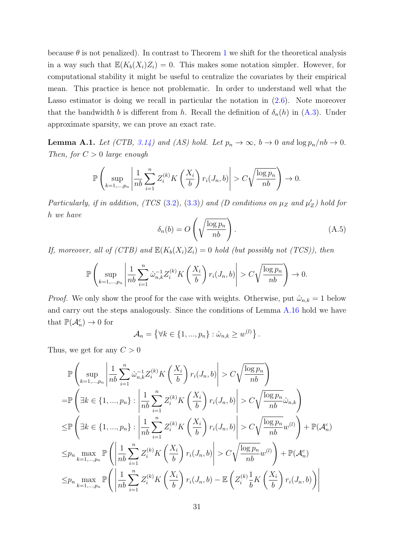because  $\theta$  is not penalized). In contrast to Theorem [1](#page-14-1) we shift for the theoretical analysis in a way such that  $\mathbb{E}(K_b(X_i)Z_i) = 0$ . This makes some notation simpler. However, for computational stability it might be useful to centralize the covariates by their empirical mean. This practice is hence not problematic. In order to understand well what the Lasso estimator is doing we recall in particular the notation in [\(2.6\)](#page-6-0). Note moreover that the bandwidth b is different from h. Recall the definition of  $\delta_n(h)$  in  $(A.3)$ . Under approximate sparsity, we can prove an exact rate.

<span id="page-30-0"></span>**Lemma A.1.** Let (CTB, [3.14\)](#page-13-1) and (AS) hold. Let  $p_n \to \infty$ ,  $b \to 0$  and  $\log p_n / nb \to 0$ . Then, for  $C > 0$  large enough

$$
\mathbb{P}\left(\sup_{k=1,\dots,p_n} \left|\frac{1}{nb}\sum_{i=1}^n Z_i^{(k)} K\left(\frac{X_i}{b}\right) r_i(J_n,b)\right| > C\sqrt{\frac{\log p_n}{nb}}\right) \to 0.
$$

Particularly, if in addition,  $(TCS (3.2), (3.3))$  $(TCS (3.2), (3.3))$  $(TCS (3.2), (3.3))$  $(TCS (3.2), (3.3))$  $(TCS (3.2), (3.3))$  and  $(D \text{ conditions on } \mu_Z \text{ and } \mu'_Z)$  hold for h we have

$$
\delta_n(b) = O\left(\sqrt{\frac{\log p_n}{nb}}\right). \tag{A.5}
$$

If, moreover, all of (CTB) and  $\mathbb{E}(K_b(X_i)Z_i) = 0$  hold (but possibly not (TCS)), then

$$
\mathbb{P}\left(\sup_{k=1,\ldots,p_n} \left|\frac{1}{nb}\sum_{i=1}^n \hat{\omega}_{n,k}^{-1} Z_i^{(k)} K\left(\frac{X_i}{b}\right) r_i(J_n,b)\right| > C\sqrt{\frac{\log p_n}{nb}}\right) \to 0.
$$

*Proof.* We only show the proof for the case with weights. Otherwise, put  $\hat{\omega}_{n,k} = 1$  below and carry out the steps analogously. Since the conditions of Lemma [A.16](#page-57-0) hold we have that  $\mathbb{P}(\mathcal{A}_n^c) \to 0$  for

$$
\mathcal{A}_n = \left\{ \forall k \in \{1, ..., p_n\} : \hat{\omega}_{n,k} \ge w^{(l)} \right\}.
$$

Thus, we get for any  $C > 0$ 

$$
\mathbb{P}\left(\sup_{k=1,\ldots,p_n} \left|\frac{1}{nb}\sum_{i=1}^n \hat{\omega}_{n,k}^{-1} Z_i^{(k)} K\left(\frac{X_i}{b}\right) r_i(J_n,b)\right| > C\sqrt{\frac{\log p_n}{nb}}\right)
$$
\n
$$
= \mathbb{P}\left(\exists k \in \{1,\ldots,p_n\}: \left|\frac{1}{nb}\sum_{i=1}^n Z_i^{(k)} K\left(\frac{X_i}{b}\right) r_i(J_n,b)\right| > C\sqrt{\frac{\log p_n}{nb}}\hat{\omega}_{n,k}\right)
$$
\n
$$
\leq \mathbb{P}\left(\exists k \in \{1,\ldots,p_n\}: \left|\frac{1}{nb}\sum_{i=1}^n Z_i^{(k)} K\left(\frac{X_i}{b}\right) r_i(J_n,b)\right| > C\sqrt{\frac{\log p_n}{nb}}w^{(l)}\right) + \mathbb{P}(\mathcal{A}_n^c)
$$
\n
$$
\leq p_n \max_{k=1,\ldots,p_n} \mathbb{P}\left(\left|\frac{1}{nb}\sum_{i=1}^n Z_i^{(k)} K\left(\frac{X_i}{b}\right) r_i(J_n,b)\right| > C\sqrt{\frac{\log p_n}{nb}}w^{(l)}\right) + \mathbb{P}(\mathcal{A}_n^c)
$$
\n
$$
\leq p_n \max_{k=1,\ldots,p_n} \mathbb{P}\left(\left|\frac{1}{nb}\sum_{i=1}^n Z_i^{(k)} K\left(\frac{X_i}{b}\right) r_i(J_n,b) - \mathbb{E}\left(Z_i^{(k)}\frac{1}{b} K\left(\frac{X_i}{b}\right) r_i(J_n,b)\right)\right|
$$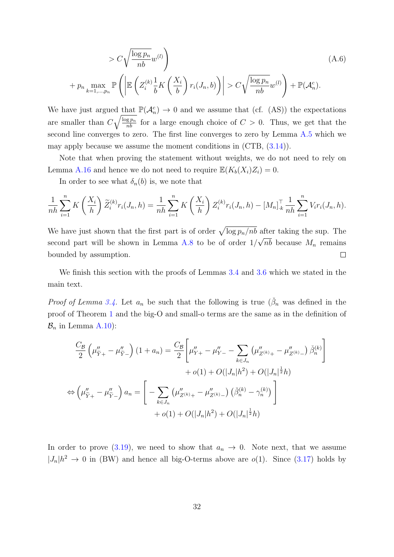$$
> C\sqrt{\frac{\log p_n}{nb}}w^{(l)}\tag{A.6}
$$

$$
+ p_n \max_{k=1,\dots,p_n} \mathbb{P}\left(\left|\mathbb{E}\left(Z_i^{(k)}\frac{1}{b}K\left(\frac{X_i}{b}\right)r_i(J_n,b)\right)\right| > C\sqrt{\frac{\log p_n}{nb}}w^{(l)}\right) + \mathbb{P}(\mathcal{A}_n^c).
$$

We have just argued that  $\mathbb{P}(\mathcal{A}_n^c) \to 0$  and we assume that (cf. (AS)) the expectations are smaller than  $C\sqrt{\frac{\log p_n}{nb}}$  for a large enough choice of  $C > 0$ . Thus, we get that the second line converges to zero. The first line converges to zero by Lemma [A.5](#page-35-0) which we may apply because we assume the moment conditions in (CTB, [\(3.14\)](#page-13-1)).

Note that when proving the statement without weights, we do not need to rely on Lemma [A.16](#page-57-0) and hence we do not need to require  $\mathbb{E}(K_b(X_i)Z_i) = 0$ .

In order to see what  $\delta_n(b)$  is, we note that

$$
\frac{1}{nh}\sum_{i=1}^{n} K\left(\frac{X_i}{h}\right) \widetilde{Z}_i^{(k)} r_i(J_n, h) = \frac{1}{nh}\sum_{i=1}^{n} K\left(\frac{X_i}{h}\right) Z_i^{(k)} r_i(J_n, h) - [M_n]_{k}^{\top} \frac{1}{nh} \sum_{i=1}^{n} V_i r_i(J_n, h).
$$

We have just shown that the first part is of order  $\sqrt{\log p_n/nb}$  after taking the sup. The second part will be shown in Lemma [A.8](#page-44-0) to be of order  $1/\sqrt{nb}$  because  $M_n$  remains bounded by assumption.  $\Box$ 

We finish this section with the proofs of Lemmas [3.4](#page-15-2) and [3.6](#page-16-1) which we stated in the main text.

*Proof of Lemma [3.4.](#page-15-2)* Let  $a_n$  be such that the following is true  $(\check{\beta}_n$  was defined in the proof of Theorem [1](#page-14-1) and the big-O and small-o terms are the same as in the definition of  $\mathcal{B}_n$  in Lemma [A.10\)](#page-45-0):

$$
\frac{C_{\mathcal{B}}}{2} \left( \mu''_{\widetilde{Y}+} - \mu''_{\widetilde{Y}-} \right) (1 + a_n) = \frac{C_{\mathcal{B}}}{2} \left[ \mu''_{Y+} - \mu''_{Y-} - \sum_{k \in J_n} \left( \mu''_{Z^{(k)}+} - \mu''_{Z^{(k)}-} \right) \check{\beta}_n^{(k)} \right] + o(1) + O(|J_n|h^2) + O(|J_n|^{\frac{1}{2}}h) \n\Leftrightarrow \left( \mu''_{\widetilde{Y}+} - \mu''_{\widetilde{Y}-} \right) a_n = \left[ - \sum_{k \in J_n} \left( \mu''_{Z^{(k)}+} - \mu''_{Z^{(k)}-} \right) \left( \check{\beta}_n^{(k)} - \gamma_n^{(k)} \right) \right] + o(1) + O(|J_n|h^2) + O(|J_n|^{\frac{1}{2}}h)
$$

In order to prove [\(3.19\)](#page-15-3), we need to show that  $a_n \to 0$ . Note next, that we assume  $|J_n|h^2 \to 0$  in (BW) and hence all big-O-terms above are  $o(1)$ . Since [\(3.17\)](#page-15-0) holds by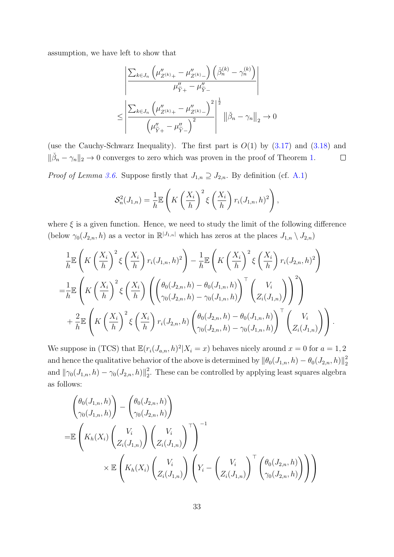assumption, we have left to show that

$$
\leq \frac{\left| \sum_{k \in J_n} \left( \mu''_{Z^{(k)}+} - \mu''_{Z^{(k)}-} \right) \left( \check{\beta}_n^{(k)} - \gamma_n^{(k)} \right) \right|}{\mu''_{\tilde{Y}^+} - \mu''_{\tilde{Y}^-}} \\ \leq \left| \frac{\sum_{k \in J_n} \left( \mu''_{Z^{(k)}+} - \mu''_{Z^{(k)}-} \right)^2}{\left( \mu''_{\tilde{Y}^+} - \mu''_{\tilde{Y}^-} \right)^2} \right|^{\frac{1}{2}} \left\| \check{\beta}_n - \gamma_n \right\|_2 \to 0
$$

(use the Cauchy-Schwarz Inequality). The first part is  $O(1)$  by  $(3.17)$  and  $(3.18)$  and  $\|\check{\beta}_n - \gamma_n\|_2 \to 0$  converges to zero which was proven in the proof of Theorem [1.](#page-14-1)  $\Box$ 

*Proof of Lemma [3.6.](#page-16-1)* Suppose firstly that  $J_{1,n} \supseteq J_{2,n}$ . By definition (cf. [A.1\)](#page-36-0)

$$
\mathcal{S}_n^2(J_{1,n}) = \frac{1}{h} \mathbb{E}\left(K\left(\frac{X_i}{h}\right)^2 \xi\left(\frac{X_i}{h}\right) r_i(J_{1,n}, h)^2\right),\,
$$

where  $\xi$  is a given function. Hence, we need to study the limit of the following difference (below  $\gamma_0(J_{2,n}, h)$  as a vector in  $\mathbb{R}^{|J_{1,n}|}$  which has zeros at the places  $J_{1,n} \setminus J_{2,n}$ )

$$
\frac{1}{h} \mathbb{E}\left(K\left(\frac{X_i}{h}\right)^2 \xi\left(\frac{X_i}{h}\right) r_i(J_{1,n}, h)^2\right) - \frac{1}{h} \mathbb{E}\left(K\left(\frac{X_i}{h}\right)^2 \xi\left(\frac{X_i}{h}\right) r_i(J_{2,n}, h)^2\right)
$$
\n
$$
= \frac{1}{h} \mathbb{E}\left(K\left(\frac{X_i}{h}\right)^2 \xi\left(\frac{X_i}{h}\right) \left(\left(\frac{\theta_0(J_{2,n}, h) - \theta_0(J_{1,n}, h)}{\gamma_0(J_{2,n}, h) - \gamma_0(J_{1,n}, h)}\right)^\top \left(\frac{V_i}{Z_i(J_{1,n})}\right)\right)^2\right)
$$
\n
$$
+ \frac{2}{h} \mathbb{E}\left(K\left(\frac{X_i}{h}\right)^2 \xi\left(\frac{X_i}{h}\right) r_i(J_{2,n}, h) \left(\frac{\theta_0(J_{2,n}, h) - \theta_0(J_{1,n}, h)}{\gamma_0(J_{2,n}, h) - \gamma_0(J_{1,n}, h)}\right)^\top \left(\frac{V_i}{Z_i(J_{1,n})}\right)\right).
$$

We suppose in (TCS) that  $\mathbb{E}(r_i(J_{a,n}, h)^2 | X_i = x)$  behaves nicely around  $x = 0$  for  $a = 1, 2$ and hence the qualitative behavior of the above is determined by  $\|\theta_0(J_{1,n}, h) - \theta_0(J_{2,n}, h)\|_2^2$ 2 and  $\|\gamma_0(J_{1,n}, h) - \gamma_0(J_{2,n}, h)\|_2^2$  $2<sub>2</sub>$ . These can be controlled by applying least squares algebra as follows:

$$
\begin{aligned}\n&\begin{pmatrix}\n\theta_0(J_{1,n}, h) \\
\gamma_0(J_{1,n}, h)\n\end{pmatrix} - \begin{pmatrix}\n\theta_0(J_{2,n}, h) \\
\gamma_0(J_{2,n}, h)\n\end{pmatrix} \\
&= \mathbb{E}\begin{pmatrix}\nK_h(X_i) \begin{pmatrix} V_i \\
Z_i(J_{1,n})\n\end{pmatrix} \begin{pmatrix} V_i \\
Z_i(J_{1,n})\n\end{pmatrix}^\top\n\end{aligned}\n\times\n\mathbb{E}\begin{pmatrix}\nK_h(X_i) \begin{pmatrix} V_i \\
Z_i(J_{1,n})\n\end{pmatrix} \begin{pmatrix}\nY_i - \begin{pmatrix} V_i \\
Z_i(J_{1,n})\n\end{pmatrix}^\top \begin{pmatrix}\n\theta_0(J_{2,n}, h) \\
\gamma_0(J_{2,n}, h)\n\end{pmatrix}\n\end{aligned}
$$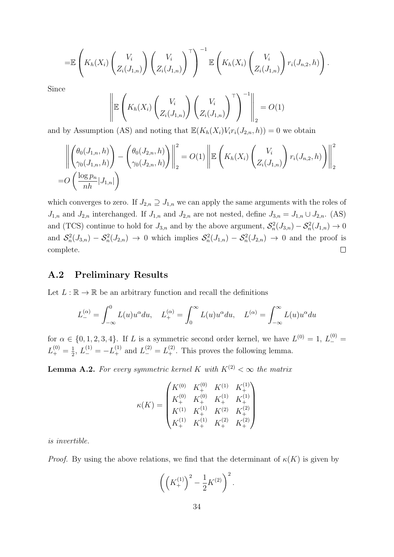$$
= \mathbb{E}\left(K_h(X_i)\left(\begin{matrix} V_i \\ Z_i(J_{1,n}) \end{matrix}\right)\left(\begin{matrix} V_i \\ Z_i(J_{1,n}) \end{matrix}\right)^{\top}\right)^{-1} \mathbb{E}\left(K_h(X_i)\left(\begin{matrix} V_i \\ Z_i(J_{1,n}) \end{matrix}\right)r_i(J_{n,2},h)\right).
$$

Since

$$
\left\| \mathbb{E} \left( K_h(X_i) \left( \begin{matrix} V_i \\ Z_i(J_{1,n}) \end{matrix} \right) \left( \begin{matrix} V_i \\ Z_i(J_{1,n}) \end{matrix} \right)^{\top} \right)^{-1} \right\|_2 = O(1)
$$

and by Assumption (AS) and noting that  $\mathbb{E}(K_h(X_i)V_i r_i(J_{2,n}, h)) = 0$  we obtain

$$
\left\| \begin{pmatrix} \theta_0(J_{1,n}, h) \\ \gamma_0(J_{1,n}, h) \end{pmatrix} - \begin{pmatrix} \theta_0(J_{2,n}, h) \\ \gamma_0(J_{2,n}, h) \end{pmatrix} \right\|_2^2 = O(1) \left\| \mathbb{E} \left( K_h(X_i) \begin{pmatrix} V_i \\ Z_i(J_{1,n}) \end{pmatrix} r_i(J_{n,2}, h) \right) \right\|_2^2
$$
  
=  $O \left( \frac{\log p_n}{nh} |J_{1,n}| \right)$ 

which converges to zero. If  $J_{2,n} \supseteq J_{1,n}$  we can apply the same arguments with the roles of  $J_{1,n}$  and  $J_{2,n}$  interchanged. If  $J_{1,n}$  and  $J_{2,n}$  are not nested, define  $J_{3,n} = J_{1,n} \cup J_{2,n}$ . (AS) and (TCS) continue to hold for  $J_{3,n}$  and by the above argument,  $S_n^2(J_{3,n}) - S_n^2(J_{1,n}) \to 0$ and  $S_n^2(J_{3,n}) - S_n^2(J_{2,n}) \to 0$  which implies  $S_n^2(J_{1,n}) - S_n^2(J_{2,n}) \to 0$  and the proof is complete.  $\Box$ 

### A.2 Preliminary Results

Let  $L : \mathbb{R} \to \mathbb{R}$  be an arbitrary function and recall the definitions

$$
L_{-}^{(\alpha)} = \int_{-\infty}^{0} L(u)u^{\alpha} du, \quad L_{+}^{(\alpha)} = \int_{0}^{\infty} L(u)u^{\alpha} du, \quad L_{-}^{(\alpha)} = \int_{-\infty}^{\infty} L(u)u^{\alpha} du
$$

for  $\alpha \in \{0, 1, 2, 3, 4\}$ . If L is a symmetric second order kernel, we have  $L^{(0)} = 1, L^{(0)}_{-} =$  $L_{+}^{(0)}=\frac{1}{2}$  $L_2^{(1)} = -L_+^{(1)}$  and  $L_-^{(2)} = L_+^{(2)}$ . This proves the following lemma.

<span id="page-33-0"></span>**Lemma A.2.** For every symmetric kernel K with  $K^{(2)} < \infty$  the matrix

$$
\kappa(K) = \begin{pmatrix} K^{(0)} & K_{+}^{(0)} & K_{-}^{(1)} & K_{+}^{(1)} \\ K_{+}^{(0)} & K_{+}^{(0)} & K_{+}^{(1)} & K_{+}^{(1)} \\ K_{-}^{(1)} & K_{+}^{(1)} & K_{-}^{(2)} & K_{+}^{(2)} \\ K_{+}^{(1)} & K_{+}^{(1)} & K_{+}^{(2)} & K_{+}^{(2)} \end{pmatrix}
$$

is invertible.

*Proof.* By using the above relations, we find that the determinant of  $\kappa(K)$  is given by

$$
\left(\left(K^{(1)}_{+}\right)^2 - \frac{1}{2}K^{(2)}\right)^2.
$$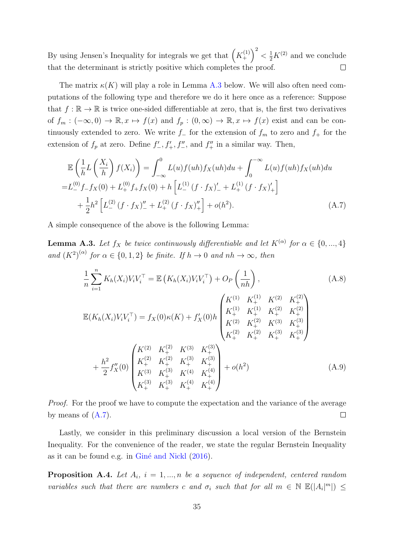$\left(\begin{matrix}1\\+\end{matrix}\right)^2 < \frac{1}{2}K^{(2)}$  and we conclude By using Jensen's Inequality for integrals we get that  $\left(K_{+}^{(1)}\right)$  $\Box$ that the determinant is strictly positive which completes the proof.

The matrix  $\kappa(K)$  will play a role in Lemma [A.3](#page-34-3) below. We will also often need computations of the following type and therefore we do it here once as a reference: Suppose that  $f : \mathbb{R} \to \mathbb{R}$  is twice one-sided differentiable at zero, that is, the first two derivatives of  $f_m : (-\infty, 0) \to \mathbb{R}, x \mapsto f(x)$  and  $f_p : (0, \infty) \to \mathbb{R}, x \mapsto f(x)$  exist and can be continuously extended to zero. We write f\_ for the extension of  $f_m$  to zero and  $f_+$  for the extension of  $f_p$  at zero. Define  $f'_{-}, f'_{+}, f''_{-}$ , and  $f''_{+}$  in a similar way. Then,

$$
\mathbb{E}\left(\frac{1}{h}L\left(\frac{X_i}{h}\right)f(X_i)\right) = \int_{-\infty}^{0} L(u)f(uh)f_X(uh)du + \int_{0}^{-\infty} L(u)f(uh)f_X(uh)du
$$
  
\n
$$
= L_{-}^{(0)}f_{-}f_X(0) + L_{+}^{(0)}f_{+}f_X(0) + h\left[L_{-}^{(1)}(f \cdot f_X)_{-}' + L_{+}^{(1)}(f \cdot f_X)_{+}'\right]
$$
  
\n
$$
+ \frac{1}{2}h^2\left[L_{-}^{(2)}(f \cdot f_X)_{-}'' + L_{+}^{(2)}(f \cdot f_X)_{+}''\right] + o(h^2).
$$
\n(A.7)

A simple consequence of the above is the following Lemma:

<span id="page-34-3"></span>**Lemma A.3.** Let  $f_X$  be twice continuously differentiable and let  $K^{(\alpha)}$  for  $\alpha \in \{0, ..., 4\}$ and  $(K^2)^{(\alpha)}$  for  $\alpha \in \{0,1,2\}$  be finite. If  $h \to 0$  and  $nh \to \infty$ , then

<span id="page-34-2"></span><span id="page-34-1"></span>
$$
\frac{1}{n} \sum_{i=1}^{n} K_h(X_i) V_i V_i^{\top} = \mathbb{E} \left( K_h(X_i) V_i V_i^{\top} \right) + O_P \left( \frac{1}{nh} \right),
$$
\n(A.8)  
\n
$$
\mathbb{E} (K_h(X_i) V_i V_i^{\top}) = f_X(0) \kappa(K) + f'_X(0) h \begin{pmatrix} K^{(1)} & K^{(1)} & K^{(2)} & K^{(2)} \\ K_+^{(1)} & K_+^{(1)} & K_+^{(2)} & K_+^{(2)} \\ K_+^{(2)} & K_+^{(2)} & K_+^{(3)} & K_+^{(3)} \\ K_+^{(2)} & K_+^{(2)} & K_+^{(3)} & K_+^{(3)} \\ K_+^{(2)} & K_+^{(3)} & K_+^{(3)} & K_+^{(3)} \\ K_+^{(3)} & K_+^{(3)} & K_+^{(4)} & K_+^{(4)} \\ K_+^{(3)} & K_+^{(3)} & K_+^{(4)} & K_+^{(4)} \end{pmatrix} + o(h^2)
$$
\n(A.9)

Proof. For the proof we have to compute the expectation and the variance of the average by means of  $(A.7)$ .  $\Box$ 

Lastly, we consider in this preliminary discussion a local version of the Bernstein Inequality. For the convenience of the reader, we state the regular Bernstein Inequality as it can be found e.g. in  $Gini\acute{e}$  and Nickl  $(2016)$ .

<span id="page-34-0"></span>**Proposition A.4.** Let  $A_i$ ,  $i = 1, ..., n$  be a sequence of independent, centered random variables such that there are numbers c and  $\sigma_i$  such that for all  $m \in \mathbb{N}$   $\mathbb{E}(|A_i|^m|) \leq$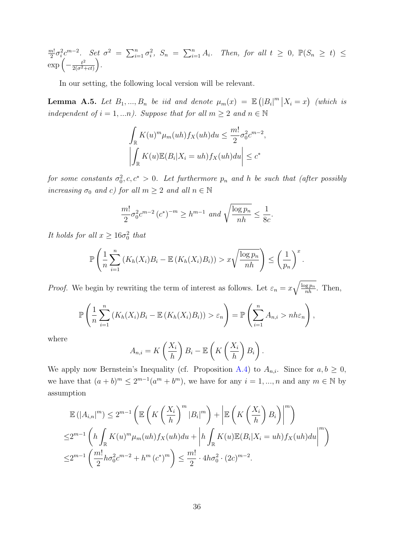m!  $\frac{n!}{2}\sigma_i^2c^{m-2}$ . Set  $\sigma^2 = \sum_{i=1}^n\sigma_i^2$ ,  $S_n = \sum_{i=1}^nA_i$ . Then, for all  $t \geq 0$ ,  $\mathbb{P}(S_n \geq t) \leq$  $\exp\left(-\frac{t^2}{2\sqrt{\sigma^2-1}}\right)$  $\frac{t^2}{2(\sigma^2+ct)}\bigg).$ 

In our setting, the following local version will be relevant.

<span id="page-35-0"></span>**Lemma A.5.** Let  $B_1, ..., B_n$  be iid and denote  $\mu_m(x) = \mathbb{E}(|B_i|^m | X_i = x)$  (which is independent of  $i = 1,...n$ ). Suppose that for all  $m \geq 2$  and  $n \in \mathbb{N}$ 

$$
\int_{\mathbb{R}} K(u)^{m} \mu_{m}(uh) f_X(uh) du \leq \frac{m!}{2} \sigma_0^2 c^{m-2},
$$

$$
\left| \int_{\mathbb{R}} K(u) \mathbb{E}(B_i | X_i = uh) f_X(uh) du \right| \leq c^*
$$

for some constants  $\sigma_0^2$ ,  $c, c^* > 0$ . Let furthermore  $p_n$  and h be such that (after possibly increasing  $\sigma_0$  and c) for all  $m \geq 2$  and all  $n \in \mathbb{N}$ 

$$
\frac{m!}{2}\sigma_0^2 c^{m-2} (c^*)^{-m} \ge h^{m-1} \text{ and } \sqrt{\frac{\log p_n}{nh}} \le \frac{1}{8c}.
$$

It holds for all  $x \ge 16\sigma_0^2$  that

$$
\mathbb{P}\left(\frac{1}{n}\sum_{i=1}^n \left(K_h(X_i)B_i - \mathbb{E}\left(K_h(X_i)B_i\right)\right) > x\sqrt{\frac{\log p_n}{nh}}\right) \le \left(\frac{1}{p_n}\right)^x.
$$

*Proof.* We begin by rewriting the term of interest as follows. Let  $\varepsilon_n = x \sqrt{\frac{\log p_n}{nh}}$ . Then,

$$
\mathbb{P}\left(\frac{1}{n}\sum_{i=1}^n \left(K_h(X_i)B_i - \mathbb{E}\left(K_h(X_i)B_i\right)\right) > \varepsilon_n\right) = \mathbb{P}\left(\sum_{i=1}^n A_{n,i} > nh\varepsilon_n\right),
$$

where

$$
A_{n,i} = K\left(\frac{X_i}{h}\right)B_i - \mathbb{E}\left(K\left(\frac{X_i}{h}\right)B_i\right).
$$

We apply now Bernstein's Inequality (cf. Proposition [A.4\)](#page-34-0) to  $A_{n,i}$ . Since for  $a, b \geq 0$ , we have that  $(a + b)^m \leq 2^{m-1}(a^m + b^m)$ , we have for any  $i = 1, ..., n$  and any  $m \in \mathbb{N}$  by assumption

$$
\mathbb{E}(|A_{i,n}|^m) \le 2^{m-1} \left( \mathbb{E} \left( K \left( \frac{X_i}{h} \right)^m |B_i|^m \right) + \left| \mathbb{E} \left( K \left( \frac{X_i}{h} \right) B_i \right) \right|^m \right)
$$
  

$$
\le 2^{m-1} \left( h \int_{\mathbb{R}} K(u)^m \mu_m(uh) f_X(uh) du + \left| h \int_{\mathbb{R}} K(u) \mathbb{E} (B_i | X_i = uh) f_X(uh) du \right|^m \right)
$$
  

$$
\le 2^{m-1} \left( \frac{m!}{2} h \sigma_0^2 c^{m-2} + h^m (c^*)^m \right) \le \frac{m!}{2} \cdot 4 h \sigma_0^2 \cdot (2c)^{m-2}.
$$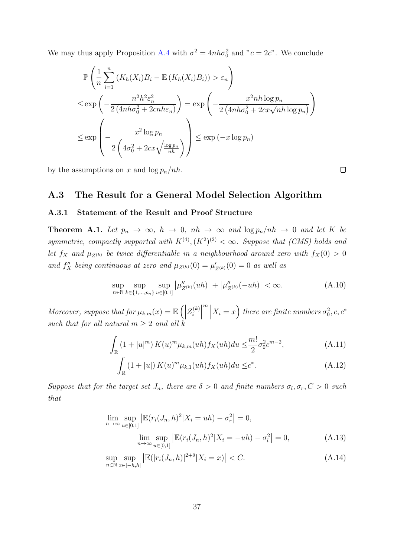We may thus apply Proposition [A.4](#page-34-0) with  $\sigma^2 = 4nh\sigma_0^2$  and " $c = 2c$ ". We conclude

$$
\mathbb{P}\left(\frac{1}{n}\sum_{i=1}^{n}\left(K_h(X_i)B_i - \mathbb{E}\left(K_h(X_i)B_i\right)\right) > \varepsilon_n\right)
$$
\n
$$
\leq \exp\left(-\frac{n^2h^2\varepsilon_n^2}{2\left(4nh\sigma_0^2 + 2cnh\varepsilon_n\right)}\right) = \exp\left(-\frac{x^2nh\log p_n}{2\left(4nh\sigma_0^2 + 2cx\sqrt{nh\log p_n}\right)}\right)
$$
\n
$$
\leq \exp\left(-\frac{x^2\log p_n}{2\left(4\sigma_0^2 + 2cx\sqrt{\frac{\log p_n}{nh}}\right)}\right) \leq \exp\left(-x\log p_n\right)
$$

by the assumptions on x and  $\log p_n/nh$ .

## A.3 The Result for a General Model Selection Algorithm

#### A.3.1 Statement of the Result and Proof Structure

<span id="page-36-0"></span>**Theorem A.1.** Let  $p_n \to \infty$ ,  $h \to 0$ ,  $nh \to \infty$  and  $\log p_n / nh \to 0$  and let K be symmetric, compactly supported with  $K^{(4)}$ ,  $(K^2)^{(2)} < \infty$ . Suppose that (CMS) holds and let  $f_X$  and  $\mu_{Z^{(k)}}$  be twice differentiable in a neighbourhood around zero with  $f_X(0) > 0$ and  $f''_X$  being continuous at zero and  $\mu_{Z^{(k)}}(0) = \mu'_{Z^{(k)}}(0) = 0$  as well as

<span id="page-36-3"></span>
$$
\sup_{n \in \mathbb{N}} \sup_{k \in \{1, \dots, p_n\}} \sup_{u \in [0,1]} \left| \mu''_{Z^{(k)}}(uh) \right| + \left| \mu''_{Z^{(k)}}(-uh) \right| < \infty. \tag{A.10}
$$

Moreover, suppose that for  $\mu_{k,m}(x) = \mathbb{E}\left(\left|\begin{array}{cc}1 & 0 & \cdots & 0\\0 & 0 & \cdots & 0\\0 & \cdots & 0 & 0\\0 & \cdots & 0 & 0\end{array}\right|\right)$  $Z_i^{(k)}$  $\begin{bmatrix} i \end{bmatrix}$  $\left| \begin{array}{c} \end{array} \right|$  $X_i = x\Big)$  there are finite numbers  $\sigma_0^2, c, c^*$ such that for all natural  $m \geq 2$  and all k

$$
\int_{\mathbb{R}} \left(1 + |u|^m\right) K(u)^m \mu_{k,m}(uh) f_X(uh) du \leq \frac{m!}{2} \sigma_0^2 c^{m-2},\tag{A.11}
$$

$$
\int_{\mathbb{R}} (1+|u|) K(u)^{m} \mu_{k,1}(uh) f_X(uh) du \leq c^*.
$$
\n(A.12)

Suppose that for the target set  $J_n$ , there are  $\delta > 0$  and finite numbers  $\sigma_l, \sigma_r, C > 0$  such that

<span id="page-36-1"></span>
$$
\lim_{n \to \infty} \sup_{u \in [0,1]} \left| \mathbb{E}(r_i(J_n, h)^2 | X_i = uh) - \sigma_r^2 \right| = 0,
$$
\n
$$
\lim_{n \to \infty} \sup_{u \in [0,1]} \left| \mathbb{E}(r_i(J_n, h)^2 | X_i = -uh) - \sigma_l^2 \right| = 0,
$$
\n(A.13)

<span id="page-36-2"></span>
$$
\sup_{n \in \mathbb{N}} \sup_{x \in [-h,h]} \left| \mathbb{E}(|r_i(J_n, h)|^{2+\delta} | X_i = x) \right| < C. \tag{A.14}
$$

<span id="page-36-5"></span><span id="page-36-4"></span> $\Box$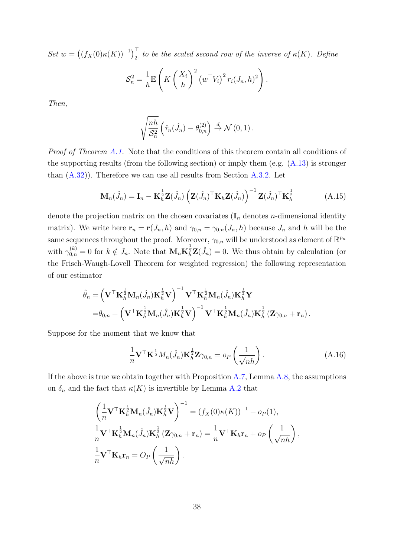Set  $w = ((f_X(0)\kappa(K))^{-1})\Big|_2^T$  to be the scaled second row of the inverse of  $\kappa(K)$ . Define

$$
\mathcal{S}_n^2 = \frac{1}{h} \mathbb{E}\left(K\left(\frac{X_i}{h}\right)^2 \left(w^\top V_i\right)^2 r_i(J_n, h)^2\right).
$$

Then,

$$
\sqrt{\frac{nh}{\mathcal{S}_n^2}} \left( \hat{\tau}_n(\hat{J}_n) - \theta_{0,n}^{(2)} \right) \stackrel{d}{\rightarrow} \mathcal{N}(0,1).
$$

Proof of Theorem [A.1.](#page-36-0) Note that the conditions of this theorem contain all conditions of the supporting results (from the following section) or imply them (e.g. [\(A.13\)](#page-36-1) is stronger than  $(A.32)$ ). Therefore we can use all results from Section  $A.3.2$ . Let

<span id="page-37-1"></span>
$$
\mathbf{M}_{n}(\hat{J}_{n}) = \mathbf{I}_{n} - \mathbf{K}_{h}^{\frac{1}{2}} \mathbf{Z}(\hat{J}_{n}) \left( \mathbf{Z}(\hat{J}_{n})^{\top} \mathbf{K}_{h} \mathbf{Z}(\hat{J}_{n}) \right)^{-1} \mathbf{Z}(\hat{J}_{n})^{\top} \mathbf{K}_{h}^{\frac{1}{2}}
$$
(A.15)

denote the projection matrix on the chosen covariates  $(I_n$  denotes *n*-dimensional identity matrix). We write here  $\mathbf{r}_n = \mathbf{r}(J_n, h)$  and  $\gamma_{0,n} = \gamma_{0,n}(J_n, h)$  because  $J_n$  and h will be the same sequences throughout the proof. Moreover,  $\gamma_{0,n}$  will be understood as element of  $\mathbb{R}^{p_n}$ with  $\gamma_{0,n}^{(k)} = 0$  for  $k \notin J_n$ . Note that  $\mathbf{M}_n \mathbf{K}_h^{\frac{1}{2}} \mathbf{Z}(\hat{J}_n) = 0$ . We thus obtain by calculation (or the Frisch-Waugh-Lovell Theorem for weighted regression) the following representation of our estimator

$$
\hat{\theta}_n = \left(\mathbf{V}^\top \mathbf{K}_h^{\frac{1}{2}} \mathbf{M}_n(\hat{J}_n) \mathbf{K}_h^{\frac{1}{2}} \mathbf{V}\right)^{-1} \mathbf{V}^\top \mathbf{K}_h^{\frac{1}{2}} \mathbf{M}_n(\hat{J}_n) \mathbf{K}_h^{\frac{1}{2}} \mathbf{Y} \n= \theta_{0,n} + \left(\mathbf{V}^\top \mathbf{K}_h^{\frac{1}{2}} \mathbf{M}_n(\hat{J}_n) \mathbf{K}_h^{\frac{1}{2}} \mathbf{V}\right)^{-1} \mathbf{V}^\top \mathbf{K}_h^{\frac{1}{2}} \mathbf{M}_n(\hat{J}_n) \mathbf{K}_h^{\frac{1}{2}} \left(\mathbf{Z} \gamma_{0,n} + \mathbf{r}_n\right).
$$

Suppose for the moment that we know that

<span id="page-37-0"></span>
$$
\frac{1}{n}\mathbf{V}^{\top}\mathbf{K}^{\frac{1}{2}}M_n(\hat{J}_n)\mathbf{K}_h^{\frac{1}{2}}\mathbf{Z}\gamma_{0,n} = o_P\left(\frac{1}{\sqrt{nh}}\right).
$$
\n(A.16)

If the above is true we obtain together with Proposition  $A.7$ , Lemma  $A.8$ , the assumptions on  $\delta_n$  and the fact that  $\kappa(K)$  is invertible by Lemma [A.2](#page-33-0) that

$$
\left(\frac{1}{n}\mathbf{V}^{\top}\mathbf{K}_{h}^{\frac{1}{2}}\mathbf{M}_{n}(\hat{J}_{n})\mathbf{K}_{h}^{\frac{1}{2}}\mathbf{V}\right)^{-1} = (f_{X}(0)\kappa(K))^{-1} + o_{P}(1),
$$
\n
$$
\frac{1}{n}\mathbf{V}^{\top}\mathbf{K}_{h}^{\frac{1}{2}}\mathbf{M}_{n}(\hat{J}_{n})\mathbf{K}_{h}^{\frac{1}{2}}(\mathbf{Z}\gamma_{0,n} + \mathbf{r}_{n}) = \frac{1}{n}\mathbf{V}^{\top}\mathbf{K}_{h}\mathbf{r}_{n} + o_{P}\left(\frac{1}{\sqrt{nh}}\right),
$$
\n
$$
\frac{1}{n}\mathbf{V}^{\top}\mathbf{K}_{h}\mathbf{r}_{n} = O_{P}\left(\frac{1}{\sqrt{nh}}\right).
$$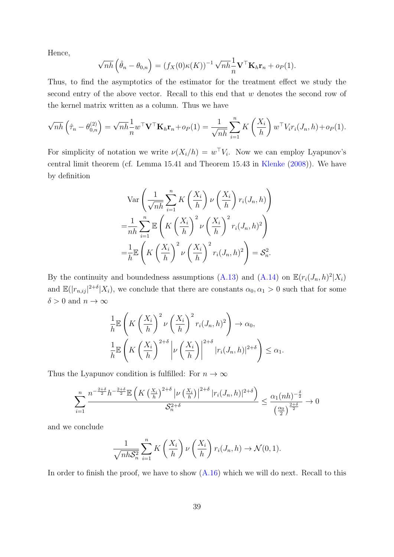Hence,

$$
\sqrt{nh}\left(\hat{\theta}_n - \theta_{0,n}\right) = \left(f_X(0)\kappa(K)\right)^{-1}\sqrt{nh}\frac{1}{n}\mathbf{V}^\top\mathbf{K}_h\mathbf{r}_n + o_P(1).
$$

Thus, to find the asymptotics of the estimator for the treatment effect we study the second entry of the above vector. Recall to this end that w denotes the second row of the kernel matrix written as a column. Thus we have

$$
\sqrt{nh}\left(\hat{\tau}_n - \theta_{0,n}^{(2)}\right) = \sqrt{nh}\frac{1}{n}w^\top \mathbf{V}^\top \mathbf{K}_h \mathbf{r}_n + o_P(1) = \frac{1}{\sqrt{nh}}\sum_{i=1}^n K\left(\frac{X_i}{h}\right)w^\top V_i r_i(J_n, h) + o_P(1).
$$

For simplicity of notation we write  $\nu(X_i/h) = w^{\top}V_i$ . Now we can employ Lyapunov's central limit theorem (cf. Lemma 15.41 and Theorem 15.43 in [Klenke](#page-22-12) [\(2008\)](#page-22-12)). We have by definition

$$
\operatorname{Var}\left(\frac{1}{\sqrt{nh}}\sum_{i=1}^{n}K\left(\frac{X_i}{h}\right)\nu\left(\frac{X_i}{h}\right)r_i(J_n,h)\right)
$$

$$
=\frac{1}{nh}\sum_{i=1}^{n}\mathbb{E}\left(K\left(\frac{X_i}{h}\right)^2\nu\left(\frac{X_i}{h}\right)^2r_i(J_n,h)^2\right)
$$

$$
=\frac{1}{h}\mathbb{E}\left(K\left(\frac{X_i}{h}\right)^2\nu\left(\frac{X_i}{h}\right)^2r_i(J_n,h)^2\right)=\mathcal{S}_n^2.
$$

By the continuity and boundedness assumptions [\(A.13\)](#page-36-1) and [\(A.14\)](#page-36-2) on  $\mathbb{E}(r_i(J_n,h)^2|X_i)$ and  $\mathbb{E}(|r_{n,ij}|^{2+\delta}|X_i)$ , we conclude that there are constants  $\alpha_0, \alpha_1 > 0$  such that for some  $\delta > 0$  and  $n \to \infty$ 

$$
\frac{1}{h} \mathbb{E}\left(K\left(\frac{X_i}{h}\right)^2 \nu\left(\frac{X_i}{h}\right)^2 r_i(J_n, h)^2\right) \to \alpha_0,
$$
\n
$$
\frac{1}{h} \mathbb{E}\left(K\left(\frac{X_i}{h}\right)^{2+\delta} \left|\nu\left(\frac{X_i}{h}\right)\right|^{2+\delta} |r_i(J_n, h)|^{2+\delta}\right) \le \alpha_1.
$$

Thus the Lyapunov condition is fulfilled: For  $n \to \infty$ 

$$
\sum_{i=1}^{n} \frac{n^{-\frac{2+\delta}{2}}h^{-\frac{2+\delta}{2}} \mathbb{E}\left(K\left(\frac{X_i}{h}\right)^{2+\delta} \left|\nu\left(\frac{X_i}{h}\right)\right|^{2+\delta} |r_i(J_n,h)|^{2+\delta}\right)}{S_n^{2+\delta}} \le \frac{\alpha_1(nh)^{-\frac{\delta}{2}}}{\left(\frac{\alpha_0}{2}\right)^{\frac{2+\delta}{2}}} \to 0
$$

and we conclude

$$
\frac{1}{\sqrt{nhS_n^2}}\sum_{i=1}^n K\left(\frac{X_i}{h}\right)\nu\left(\frac{X_i}{h}\right)r_i(J_n,h)\to \mathcal{N}(0,1).
$$

In order to finish the proof, we have to show  $(A.16)$  which we will do next. Recall to this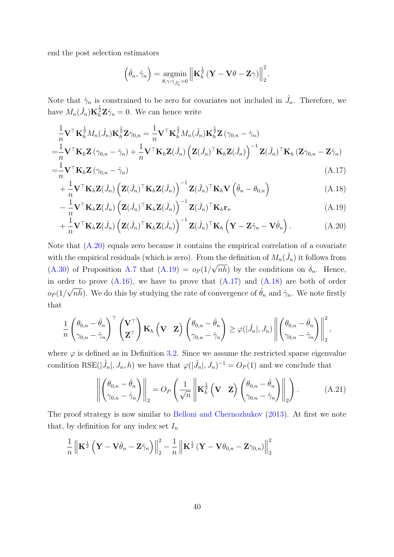end the post selection estimators

<span id="page-39-3"></span><span id="page-39-2"></span><span id="page-39-1"></span><span id="page-39-0"></span>
$$
\left(\hat{\theta}_n, \hat{\gamma}_n\right) = \underset{\theta, \gamma: \gamma_{j_c^n} = 0}{\operatorname{argmin}} \left\| \mathbf{K}_h^{\frac{1}{2}} \left( \mathbf{Y} - \mathbf{V} \theta - \mathbf{Z} \gamma \right) \right\|_2^2.
$$

Note that  $\hat{\gamma}_n$  is constrained to be zero for covariates not included in  $\hat{J}_n$ . Therefore, we have  $M_n(\hat{J}_n) \mathbf{K}_h^{\frac{1}{2}} \mathbf{Z} \hat{\gamma}_n = 0$ . We can hence write

$$
\frac{1}{n}\mathbf{V}^{\top}\mathbf{K}_{h}^{\frac{1}{2}}M_{n}(\hat{J}_{n})\mathbf{K}_{h}^{\frac{1}{2}}\mathbf{Z}\gamma_{0,n} = \frac{1}{n}\mathbf{V}^{\top}\mathbf{K}_{h}^{\frac{1}{2}}M_{n}(\hat{J}_{n})\mathbf{K}_{h}^{\frac{1}{2}}\mathbf{Z}\left(\gamma_{0,n} - \hat{\gamma}_{n}\right)
$$
\n
$$
= \frac{1}{n}\mathbf{V}^{\top}\mathbf{K}_{h}\mathbf{Z}\left(\gamma_{0,n} - \hat{\gamma}_{n}\right) + \frac{1}{n}\mathbf{V}^{\top}\mathbf{K}_{h}\mathbf{Z}(\hat{J}_{n})\left(\mathbf{Z}(\hat{J}_{n})^{\top}\mathbf{K}_{h}\mathbf{Z}(\hat{J}_{n})\right)^{-1}\mathbf{Z}(\hat{J}_{n})^{\top}\mathbf{K}_{h}\left(\mathbf{Z}\gamma_{0,n} - \mathbf{Z}\hat{\gamma}_{n}\right)
$$
\n
$$
= \frac{1}{n}\mathbf{V}^{\top}\mathbf{K}_{h}\mathbf{Z}\left(\gamma_{0,n} - \hat{\gamma}_{n}\right) \tag{A.17}
$$

$$
= \frac{1}{n} \mathbf{V}^\top \mathbf{K}_h \mathbf{Z} \left( \gamma_{0,n} - \gamma_n \right)
$$
\n
$$
+ \frac{1}{n} \mathbf{V}^\top \mathbf{K}_h \mathbf{Z} \left( \hat{\mathbf{I}} \right) \left( \mathbf{Z} \left( \hat{\mathbf{I}} \right)^\top \mathbf{K}_h \mathbf{Z} \left( \hat{\mathbf{I}} \right) \right)^{-1} \mathbf{Z} \left( \hat{\mathbf{I}} \right)^\top \mathbf{K}_h \mathbf{V} \left( \hat{\mathbf{A}} - \mathbf{A}_h \right)
$$
\n(A.17)

$$
+\frac{1}{n}\mathbf{V}^{\top}\mathbf{K}_{h}\mathbf{Z}(\hat{J}_{n})\left(\mathbf{Z}(\hat{J}_{n})^{\top}\mathbf{K}_{h}\mathbf{Z}(\hat{J}_{n})\right)^{-1}\mathbf{Z}(\hat{J}_{n})^{\top}\mathbf{K}_{h}\mathbf{V}\left(\hat{\theta}_{n}-\theta_{0,n}\right) \tag{A.18}
$$
\n
$$
\frac{1}{n}\mathbf{V}^{\top}\mathbf{K}_{h}\mathbf{Z}(\hat{J}_{n})\left(\mathbf{Z}(\hat{J}_{n})\mathbf{I}\mathbf{K}_{h}\mathbf{Z}(\hat{J}_{n})\right)^{-1}\mathbf{Z}(\hat{J}_{n})^{\top}\mathbf{K}_{h}\mathbf{V}(\hat{\theta}_{n}-\theta_{0,n}) \tag{A.19}
$$

$$
-\frac{1}{n}\mathbf{V}^{\top}\mathbf{K}_{h}\mathbf{Z}(\hat{J}_{n})\left(\mathbf{Z}(\hat{J}_{n})^{\top}\mathbf{K}_{h}\mathbf{Z}(\hat{J}_{n})\right)^{-1}\mathbf{Z}(\hat{J}_{n})^{\top}\mathbf{K}_{h}\mathbf{r}_{n}
$$
(A.19)

$$
+\frac{1}{n}\mathbf{V}^{\top}\mathbf{K}_{h}\mathbf{Z}(\hat{J}_{n})\left(\mathbf{Z}(\hat{J}_{n})^{\top}\mathbf{K}_{h}\mathbf{Z}(\hat{J}_{n})\right)^{-1}\mathbf{Z}(\hat{J}_{n})^{\top}\mathbf{K}_{h}\left(\mathbf{Y}-\mathbf{Z}\hat{\gamma}_{n}-\mathbf{V}\hat{\theta}_{n}\right).
$$
 (A.20)

Note that [\(A.20\)](#page-39-0) equals zero because it contains the empirical correlation of a covariate with the empirical residuals (which is zero). From the definition of  $M_n(\hat{J}_n)$  it follows from [\(A.30\)](#page-43-1) of Proposition [A.7](#page-43-0) that [\(A.19\)](#page-39-1) =  $o_P(1/\sqrt{n}h)$  by the conditions on  $\delta_n$ . Hence, in order to prove [\(A.16\)](#page-37-0), we have to prove that  $(A.17)$  and  $(A.18)$  are both of order  $o_P(1/\sqrt{n\hbar})$ . We do this by studying the rate of convergence of  $\hat{\theta}_n$  and  $\hat{\gamma}_n$ . We note firstly that

$$
\frac{1}{n} \begin{pmatrix} \theta_{0,n} - \hat{\theta}_n \\ \gamma_{0,n} - \hat{\gamma}_n \end{pmatrix}^\top \begin{pmatrix} \mathbf{V}^\top \\ \mathbf{Z}^\top \end{pmatrix} \mathbf{K}_h \begin{pmatrix} \mathbf{V} & \mathbf{Z} \end{pmatrix} \begin{pmatrix} \theta_{0,n} - \hat{\theta}_n \\ \gamma_{0,n} - \hat{\gamma}_n \end{pmatrix} \geq \varphi(|\hat{J}_n|, J_n) \left\| \begin{pmatrix} \theta_{0,n} - \hat{\theta}_n \\ \gamma_{0,n} - \hat{\gamma}_n \end{pmatrix} \right\|_2^2,
$$

where  $\varphi$  is defined as in Definition [3.2.](#page-11-3) Since we assume the restricted sparse eigenvalue condition RSE( $|\hat{J}_n|, J_n, h$ ) we have that  $\varphi(|\hat{J}_n|, J_n)^{-1} = O_P(1)$  and we conclude that

<span id="page-39-4"></span>
$$
\left\| \begin{pmatrix} \theta_{0,n} - \hat{\theta}_n \\ \gamma_{0,n} - \hat{\gamma}_n \end{pmatrix} \right\|_2 = O_P\left( \frac{1}{\sqrt{n}} \left\| \mathbf{K}_h^{\frac{1}{2}} \left( \mathbf{V} \mathbf{Z} \right) \begin{pmatrix} \theta_{0,n} - \hat{\theta}_n \\ \gamma_{0,n} - \hat{\gamma}_n \end{pmatrix} \right\|_2 \right). \tag{A.21}
$$

The proof strategy is now similar to [Belloni and Chernozhukov](#page-21-4) [\(2013\)](#page-21-4). At first we note that, by definition for any index set  $I_n$ 

$$
\frac{1}{n}\left\|\mathbf{K}^{\frac{1}{2}}\left(\mathbf{Y}-\mathbf{V}\hat{\theta}_{n}-\mathbf{Z}\hat{\gamma}_{n}\right)\right\|_{2}^{2}-\frac{1}{n}\left\|\mathbf{K}^{\frac{1}{2}}\left(\mathbf{Y}-\mathbf{V}\theta_{0,n}-\mathbf{Z}\gamma_{0,n}\right)\right\|_{2}^{2}
$$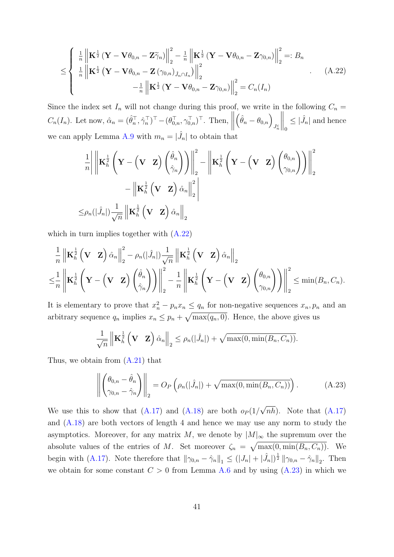$$
\leq \left\{ \begin{array}{l} \frac{1}{n} \left\| \mathbf{K}^{\frac{1}{2}} \left( \mathbf{Y} - \mathbf{V} \theta_{0,n} - \mathbf{Z} \widetilde{\gamma}_n \right) \right\|_2^2 - \frac{1}{n} \left\| \mathbf{K}^{\frac{1}{2}} \left( \mathbf{Y} - \mathbf{V} \theta_{0,n} - \mathbf{Z} \gamma_{0,n} \right) \right\|_2^2 =: B_n \\ \frac{1}{n} \left\| \mathbf{K}^{\frac{1}{2}} \left( \mathbf{Y} - \mathbf{V} \theta_{0,n} - \mathbf{Z} \left( \gamma_{0,n} \right) j_{n} \cap I_n \right) \right\|_2^2 \\ - \frac{1}{n} \left\| \mathbf{K}^{\frac{1}{2}} \left( \mathbf{Y} - \mathbf{V} \theta_{0,n} - \mathbf{Z} \gamma_{0,n} \right) \right\|_2^2 = C_n(I_n) \end{array} \right. \tag{A.22}
$$

Since the index set  $I_n$  will not change during this proof, we write in the following  $C_n =$  $C_n(I_n)$ . Let now,  $\hat{\alpha}_n = (\hat{\theta}_n^{\top}, \hat{\gamma}_n^{\top})^{\top} - (\theta_{0,n}^{\top}, \gamma_{0,n}^{\top})^{\top}$ . Then,  $\left(\hat{\theta}_n-\theta_{0,n}\right)_{J^c_n}$  $\bigg\|_0$  $\leq$   $|\hat{J}_n|$  and hence we can apply Lemma [A.9](#page-45-1) with  $m_n = |\hat{J}_n|$  to obtain that

<span id="page-40-0"></span>
$$
\frac{1}{n} \left\| \mathbf{K}_{h}^{\frac{1}{2}} \left( \mathbf{Y} - (\mathbf{V} \ \mathbf{Z}) \begin{pmatrix} \hat{\theta}_{n} \\ \hat{\gamma}_{n} \end{pmatrix} \right) \right\|_{2}^{2} - \left\| \mathbf{K}_{h}^{\frac{1}{2}} \left( \mathbf{Y} - (\mathbf{V} \ \mathbf{Z}) \begin{pmatrix} \theta_{0,n} \\ \gamma_{0,n} \end{pmatrix} \right) \right\|_{2}^{2}
$$

$$
- \left\| \mathbf{K}_{h}^{\frac{1}{2}} \left( \mathbf{V} \ \mathbf{Z} \right) \hat{\alpha}_{n} \right\|_{2}^{2}
$$

$$
\leq \rho_{n}(|\hat{J}_{n}|) \frac{1}{\sqrt{n}} \left\| \mathbf{K}_{h}^{\frac{1}{2}} \left( \mathbf{V} \ \mathbf{Z} \right) \hat{\alpha}_{n} \right\|_{2}
$$

which in turn implies together with  $(A.22)$ 

$$
\frac{1}{n} \left\| \mathbf{K}_{h}^{\frac{1}{2}} \left( \mathbf{V} \mathbf{Z} \right) \hat{\alpha}_{n} \right\|_{2}^{2} - \rho_{n}(|\hat{J}_{n}|) \frac{1}{\sqrt{n}} \left\| \mathbf{K}_{h}^{\frac{1}{2}} \left( \mathbf{V} \mathbf{Z} \right) \hat{\alpha}_{n} \right\|_{2} \n\leq \frac{1}{n} \left\| \mathbf{K}_{h}^{\frac{1}{2}} \left( \mathbf{Y} - \left( \mathbf{V} \mathbf{Z} \right) \left( \frac{\hat{\theta}_{n}}{\hat{\gamma}_{n}} \right) \right) \right\|_{2}^{2} - \frac{1}{n} \left\| \mathbf{K}_{h}^{\frac{1}{2}} \left( \mathbf{Y} - \left( \mathbf{V} \mathbf{Z} \right) \left( \frac{\theta_{0,n}}{\gamma_{0,n}} \right) \right) \right\|_{2}^{2} \leq \min(B_{n}, C_{n}).
$$

It is elementary to prove that  $x_n^2 - p_n x_n \le q_n$  for non-negative sequences  $x_n, p_n$  and an arbitrary sequence  $q_n$  implies  $x_n \leq p_n + \sqrt{\max(q_n, 0)}$ . Hence, the above gives us

$$
\frac{1}{\sqrt{n}} \left\| \mathbf{K}_h^{\frac{1}{2}} \left( \mathbf{V} \mathbf{Z} \right) \hat{\alpha}_n \right\|_2 \le \rho_n(|\hat{J}_n|) + \sqrt{\max(0, \min(B_n, C_n))}.
$$

Thus, we obtain from [\(A.21\)](#page-39-4) that

<span id="page-40-1"></span>
$$
\left\| \begin{pmatrix} \theta_{0,n} - \hat{\theta}_n \\ \gamma_{0,n} - \hat{\gamma}_n \end{pmatrix} \right\|_2 = O_P\left( \rho_n(|\hat{J}_n|) + \sqrt{\max(0, \min(B_n, C_n))} \right). \tag{A.23}
$$

We use this to show that  $(A.17)$  and  $(A.18)$  are both  $o_P(1/$  $(nh)$ . Note that  $(A.17)$ and [\(A.18\)](#page-39-3) are both vectors of length 4 and hence we may use any norm to study the asymptotics. Moreover, for any matrix M, we denote by  $|M|_{\infty}$  the supremum over the absolute values of the entries of M. Set moreover  $\zeta_n = \sqrt{\max(0, \min(B_n, C_n))}$ . We begin with [\(A.17\)](#page-39-2). Note therefore that  $\|\gamma_{0,n} - \hat{\gamma}_n\|_1 \leq (|J_n| + |\hat{J}_n|)^{\frac{1}{2}} \|\gamma_{0,n} - \hat{\gamma}_n\|_2$ . Then we obtain for some constant  $C > 0$  from Lemma [A.6](#page-41-1) and by using  $(A.23)$  in which we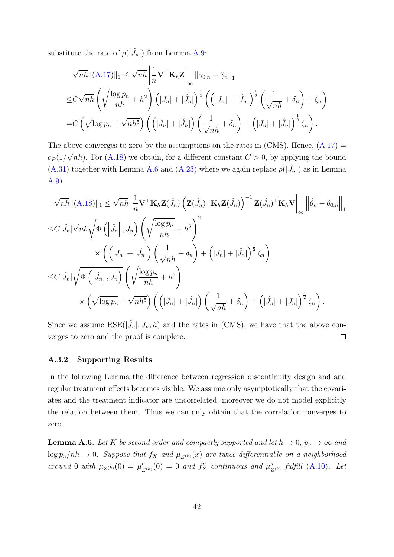substitute the rate of  $\rho(|\hat{J}_n|)$  from Lemma [A.9:](#page-45-1)

$$
\sqrt{nh} \|(A.17)\|_1 \le \sqrt{nh} \left| \frac{1}{n} \mathbf{V}^\top \mathbf{K}_h \mathbf{Z} \right|_\infty \|\gamma_{0,n} - \hat{\gamma}_n\|_1
$$
  
\n
$$
\le C\sqrt{nh} \left( \sqrt{\frac{\log p_n}{nh}} + h^2 \right) \left( |J_n| + |\hat{J}_n| \right)^{\frac{1}{2}} \left( \left( |J_n| + |\hat{J}_n| \right)^{\frac{1}{2}} \left( \frac{1}{\sqrt{nh}} + \delta_n \right) + \zeta_n \right)
$$
  
\n
$$
= C \left( \sqrt{\log p_n} + \sqrt{nh^5} \right) \left( \left( |J_n| + |\hat{J}_n| \right) \left( \frac{1}{\sqrt{nh}} + \delta_n \right) + \left( |J_n| + |\hat{J}_n| \right)^{\frac{1}{2}} \zeta_n \right).
$$

The above converges to zero by the assumptions on the rates in (CMS). Hence,  $(A.17) = (A.17)$  $(A.17) = (A.17)$  $o_P(1/\sqrt{n}h)$ . For [\(A.18\)](#page-39-3) we obtain, for a different constant  $C > 0$ , by applying the bound [\(A.31\)](#page-43-2) together with Lemma [A.6](#page-41-1) and [\(A.23\)](#page-40-1) where we again replace  $\rho(|\hat{J}_n|)$  as in Lemma [A.9\)](#page-45-1)

$$
\sqrt{nh} \|(A.18)\|_1 \leq \sqrt{nh} \left| \frac{1}{n} \mathbf{V}^\top \mathbf{K}_h \mathbf{Z}(\hat{J}_n) \left( \mathbf{Z}(\hat{J}_n)^\top \mathbf{K}_h \mathbf{Z}(\hat{J}_n) \right)^{-1} \mathbf{Z}(\hat{J}_n)^\top \mathbf{K}_h \mathbf{V} \right|_{\infty} \left\| \hat{\theta}_n - \theta_{0,n} \right\|_1
$$
  
\n
$$
\leq C |\hat{J}_n| \sqrt{nh} \sqrt{\Phi\left( |\hat{J}_n|, J_n \right)} \left( \sqrt{\frac{\log p_n}{nh}} + h^2 \right)^2
$$
  
\n
$$
\times \left( \left( |J_n| + |\hat{J}_n| \right) \left( \frac{1}{\sqrt{nh}} + \delta_n \right) + \left( |J_n| + |\hat{J}_n| \right)^{\frac{1}{2}} \zeta_n \right)
$$
  
\n
$$
\leq C |\hat{J}_n| \sqrt{\Phi\left( |\hat{J}_n|, J_n \right)} \left( \sqrt{\frac{\log p_n}{nh}} + h^2 \right)
$$
  
\n
$$
\times \left( \sqrt{\log p_n} + \sqrt{nh^5} \right) \left( \left( |J_n| + |\hat{J}_n| \right) \left( \frac{1}{\sqrt{nh}} + \delta_n \right) + \left( |\hat{J}_n| + |J_n| \right)^{\frac{1}{2}} \zeta_n \right).
$$

Since we assume  $RSE(\hat{J}_n, J_n, h)$  and the rates in (CMS), we have that the above converges to zero and the proof is complete.  $\Box$ 

#### <span id="page-41-0"></span>A.3.2 Supporting Results

In the following Lemma the difference between regression discontinuity design and and regular treatment effects becomes visible: We assume only asymptotically that the covariates and the treatment indicator are uncorrelated, moreover we do not model explicitly the relation between them. Thus we can only obtain that the correlation converges to zero.

<span id="page-41-1"></span>**Lemma A.6.** Let K be second order and compactly supported and let  $h \to 0$ ,  $p_n \to \infty$  and  $\log p_n/nh \to 0$ . Suppose that  $f_X$  and  $\mu_{Z^{(k)}}(x)$  are twice differentiable on a neighborhood around 0 with  $\mu_{Z^{(k)}}(0) = \mu'_{Z^{(k)}}(0) = 0$  and  $f''_X$  continuous and  $\mu''_Z$  $\int_{Z^{(k)}}^{\prime}$  fulfill  $(A.10)$ . Let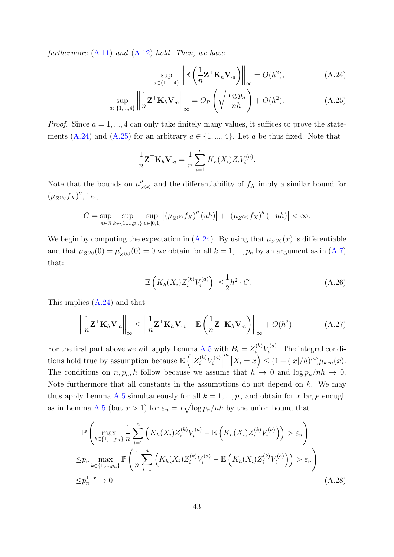furthermore  $(A.11)$  and  $(A.12)$  hold. Then, we have

<span id="page-42-1"></span><span id="page-42-0"></span>
$$
\sup_{a \in \{1,\dots,4\}} \left\| \mathbb{E} \left( \frac{1}{n} \mathbf{Z}^\top \mathbf{K}_h \mathbf{V}_{\cdot a} \right) \right\|_{\infty} = O(h^2),\tag{A.24}
$$

$$
\sup_{a \in \{1,\dots,4\}} \left\| \frac{1}{n} \mathbf{Z}^\top \mathbf{K}_h \mathbf{V}_{\cdot a} \right\|_{\infty} = O_P\left(\sqrt{\frac{\log p_n}{nh}}\right) + O(h^2). \tag{A.25}
$$

*Proof.* Since  $a = 1, \ldots, 4$  can only take finitely many values, it suffices to prove the state-ments [\(A.24\)](#page-42-0) and [\(A.25\)](#page-42-1) for an arbitrary  $a \in \{1, ..., 4\}$ . Let a be thus fixed. Note that

$$
\frac{1}{n}\mathbf{Z}^\top \mathbf{K}_h \mathbf{V}_{\cdot a} = \frac{1}{n} \sum_{i=1}^n K_h(X_i) Z_i V_i^{(a)}.
$$

Note that the bounds on  $\mu''_{Z^{(k)}}$  and the differentiability of  $f_X$  imply a similar bound for  $(\mu_{Z^{(k)}} f_X)'$ , i.e.,

$$
C = \sup_{n \in \mathbb{N}} \sup_{k \in \{1, \dots, p_n\}} \sup_{u \in [0,1]} |(\mu_{Z^{(k)}} f_X)''(uh)| + |(\mu_{Z^{(k)}} f_X)''(-uh)| < \infty.
$$

We begin by computing the expectation in  $(A.24)$ . By using that  $\mu_{Z^{(k)}}(x)$  is differentiable and that  $\mu_{Z^{(k)}}(0) = \mu'_{Z^{(k)}}(0) = 0$  we obtain for all  $k = 1, ..., p_n$  by an argument as in  $(A.7)$ that:

$$
\left| \mathbb{E}\left(K_h(X_i)Z_i^{(k)}V_i^{(a)}\right) \right| \leq \frac{1}{2}h^2 \cdot C. \tag{A.26}
$$

This implies [\(A.24\)](#page-42-0) and that

<span id="page-42-2"></span>
$$
\left\| \frac{1}{n} \mathbf{Z}^{\top} \mathbf{K}_{h} \mathbf{V}_{\cdot a} \right\|_{\infty} \le \left\| \frac{1}{n} \mathbf{Z}^{\top} \mathbf{K}_{h} \mathbf{V}_{\cdot a} - \mathbb{E} \left( \frac{1}{n} \mathbf{Z}^{\top} \mathbf{K}_{h} \mathbf{V}_{\cdot a} \right) \right\|_{\infty} + O(h^{2}). \tag{A.27}
$$

For the first part above we will apply Lemma [A.5](#page-35-0) with  $B_i = Z_i^{(k)} V_i^{(a)}$  $\zeta_i^{(a)}$ . The integral conditions hold true by assumption because  $\mathbb{E}\left(\right)$  $Z_i^{(k)} V_i^{(a)}$  $\begin{vmatrix} i \end{vmatrix}$  $\left| X_i = x \right\rangle \leq (1 + (|x|/h)^m) \mu_{k,m}(x).$ The conditions on  $n, p_n, h$  follow because we assume that  $h \to 0$  and  $\log p_n/nh \to 0$ . Note furthermore that all constants in the assumptions do not depend on  $k$ . We may thus apply Lemma [A.5](#page-35-0) simultaneously for all  $k = 1, ..., p_n$  and obtain for x large enough as in Lemma [A.5](#page-35-0) (but  $x > 1$ ) for  $\varepsilon_n = x \sqrt{\log p_n / nh}$  by the union bound that

$$
\mathbb{P}\left(\max_{k\in\{1,\dots,p_n\}}\frac{1}{n}\sum_{i=1}^n \left(K_h(X_i)Z_i^{(k)}V_i^{(a)} - \mathbb{E}\left(K_h(X_i)Z_i^{(k)}V_i^{(a)}\right)\right) > \varepsilon_n\right)
$$
  

$$
\leq p_n \max_{k\in\{1,\dots,p_n\}} \mathbb{P}\left(\frac{1}{n}\sum_{i=1}^n \left(K_h(X_i)Z_i^{(k)}V_i^{(a)} - \mathbb{E}\left(K_h(X_i)Z_i^{(k)}V_i^{(a)}\right)\right) > \varepsilon_n\right)
$$
  

$$
\leq p_n^{1-x} \to 0
$$
 (A.28)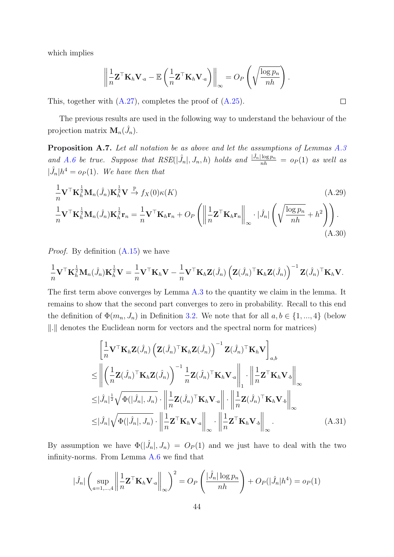which implies

$$
\left\|\frac{1}{n}\mathbf{Z}^\top \mathbf{K}_h \mathbf{V}_{\cdot a} - \mathbb{E}\left(\frac{1}{n}\mathbf{Z}^\top \mathbf{K}_h \mathbf{V}_{\cdot a}\right)\right\|_{\infty} = O_P\left(\sqrt{\frac{\log p_n}{nh}}\right).
$$

This, together with [\(A.27\)](#page-42-2), completes the proof of [\(A.25\)](#page-42-1).

The previous results are used in the following way to understand the behaviour of the projection matrix  $\mathbf{M}_n(\hat{J}_n)$ .

<span id="page-43-0"></span>Proposition A.7. Let all notation be as above and let the assumptions of Lemmas [A.3](#page-34-3) and [A.6](#page-41-1) be true. Suppose that  $RSE(|\hat{J}_n|, J_n, h)$  holds and  $\frac{|\hat{J}_n|\log p_n}{nh} = o_P(1)$  as well as  $|\hat{J}_n| h^4 = o_P(1)$ . We have then that

$$
\frac{1}{n}\mathbf{V}^{\top}\mathbf{K}_{h}^{\frac{1}{2}}\mathbf{M}_{n}(\hat{J}_{n})\mathbf{K}_{h}^{\frac{1}{2}}\mathbf{V} \xrightarrow{\mathbb{P}} f_{X}(0)\kappa(K)
$$
\n
$$
\frac{1}{n}\mathbf{V}^{\top}\mathbf{K}_{h}^{\frac{1}{2}}\mathbf{M}_{n}(\hat{J}_{n})\mathbf{K}_{h}^{\frac{1}{2}}\mathbf{r}_{n} = \frac{1}{n}\mathbf{V}^{\top}\mathbf{K}_{h}\mathbf{r}_{n} + O_{P}\left(\left\|\frac{1}{n}\mathbf{Z}^{\top}\mathbf{K}_{h}\mathbf{r}_{n}\right\|_{\infty} \cdot |\hat{J}_{n}|\left(\sqrt{\frac{\log p_{n}}{nh}} + h^{2}\right)\right).
$$
\n(A.29)

*Proof.* By definition  $(A.15)$  we have

$$
\frac{1}{n}\mathbf{V}^\top \mathbf{K}_h^{\frac{1}{2}} \mathbf{M}_n(\hat{J}_n) \mathbf{K}_h^{\frac{1}{2}} \mathbf{V} = \frac{1}{n}\mathbf{V}^\top \mathbf{K}_h \mathbf{V} - \frac{1}{n}\mathbf{V}^\top \mathbf{K}_h \mathbf{Z}(\hat{J}_n) \left( \mathbf{Z}(\hat{J}_n)^\top \mathbf{K}_h \mathbf{Z}(\hat{J}_n) \right)^{-1} \mathbf{Z}(\hat{J}_n)^\top \mathbf{K}_h \mathbf{V}.
$$

The first term above converges by Lemma [A.3](#page-34-3) to the quantity we claim in the lemma. It remains to show that the second part converges to zero in probability. Recall to this end the definition of  $\Phi(m_n, J_n)$  in Definition [3.2.](#page-11-3) We note that for all  $a, b \in \{1, ..., 4\}$  (below ∥.∥ denotes the Euclidean norm for vectors and the spectral norm for matrices)

<span id="page-43-2"></span>
$$
\begin{split}\n&\left[\frac{1}{n}\mathbf{V}^{\top}\mathbf{K}_{h}\mathbf{Z}(\hat{J}_{n})\left(\mathbf{Z}(\hat{J}_{n})^{\top}\mathbf{K}_{h}\mathbf{Z}(\hat{J}_{n})\right)^{-1}\mathbf{Z}(\hat{J}_{n})^{\top}\mathbf{K}_{h}\mathbf{V}\right]_{a,b} \\
&\leq \left\|\left(\frac{1}{n}\mathbf{Z}(\hat{J}_{n})^{\top}\mathbf{K}_{h}\mathbf{Z}(\hat{J}_{n})\right)^{-1}\frac{1}{n}\mathbf{Z}(\hat{J}_{n})^{\top}\mathbf{K}_{h}\mathbf{V}_{\cdot a}\right\|_{1} \cdot \left\|\frac{1}{n}\mathbf{Z}^{\top}\mathbf{K}_{h}\mathbf{V}_{\cdot b}\right\|_{\infty} \\
&\leq |\hat{J}_{n}|^{\frac{1}{2}}\sqrt{\Phi(|\hat{J}_{n}|, J_{n})} \cdot \left\|\frac{1}{n}\mathbf{Z}(\hat{J}_{n})^{\top}\mathbf{K}_{h}\mathbf{V}_{\cdot a}\right\| \cdot \left\|\frac{1}{n}\mathbf{Z}(\hat{J}_{n})^{\top}\mathbf{K}_{h}\mathbf{V}_{\cdot b}\right\|_{\infty} \\
&\leq |\hat{J}_{n}|\sqrt{\Phi(|\hat{J}_{n}|, J_{n})} \cdot \left\|\frac{1}{n}\mathbf{Z}^{\top}\mathbf{K}_{h}\mathbf{V}_{\cdot a}\right\|_{\infty} \cdot \left\|\frac{1}{n}\mathbf{Z}^{\top}\mathbf{K}_{h}\mathbf{V}_{\cdot b}\right\|_{\infty}.\n\end{split} \tag{A.31}
$$

By assumption we have  $\Phi(|\hat{J}_n|, J_n) = O_P(1)$  and we just have to deal with the two infinity-norms. From Lemma [A.6](#page-41-1) we find that

$$
|\hat{J}_n| \left( \sup_{a=1,\dots,4} \left\| \frac{1}{n} \mathbf{Z}^\top \mathbf{K}_h \mathbf{V}_{\cdot a} \right\|_{\infty} \right)^2 = O_P\left( \frac{|\hat{J}_n| \log p_n}{nh} \right) + O_P(|\hat{J}_n| h^4) = o_P(1)
$$

<span id="page-43-3"></span><span id="page-43-1"></span> $\Box$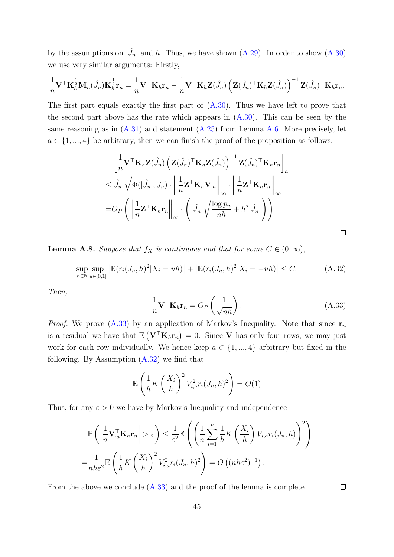by the assumptions on  $|\hat{J}_n|$  and h. Thus, we have shown [\(A.29\)](#page-43-3). In order to show [\(A.30\)](#page-43-1) we use very similar arguments: Firstly,

$$
\frac{1}{n}\mathbf{V}^\top \mathbf{K}_h^{\frac{1}{2}} \mathbf{M}_n(\hat{J}_n) \mathbf{K}_h^{\frac{1}{2}} \mathbf{r}_n = \frac{1}{n} \mathbf{V}^\top \mathbf{K}_h \mathbf{r}_n - \frac{1}{n} \mathbf{V}^\top \mathbf{K}_h \mathbf{Z}(\hat{J}_n) \left( \mathbf{Z}(\hat{J}_n)^\top \mathbf{K}_h \mathbf{Z}(\hat{J}_n) \right)^{-1} \mathbf{Z}(\hat{J}_n)^\top \mathbf{K}_h \mathbf{r}_n.
$$

The first part equals exactly the first part of  $(A.30)$ . Thus we have left to prove that the second part above has the rate which appears in  $(A.30)$ . This can be seen by the same reasoning as in  $(A.31)$  and statement  $(A.25)$  from Lemma [A.6.](#page-41-1) More precisely, let  $a \in \{1, ..., 4\}$  be arbitrary, then we can finish the proof of the proposition as follows:

$$
\begin{aligned}\n&\left[\frac{1}{n}\mathbf{V}^{\top}\mathbf{K}_{h}\mathbf{Z}(\hat{J}_{n})\left(\mathbf{Z}(\hat{J}_{n})^{\top}\mathbf{K}_{h}\mathbf{Z}(\hat{J}_{n})\right)^{-1}\mathbf{Z}(\hat{J}_{n})^{\top}\mathbf{K}_{h}\mathbf{r}_{n}\right]_{a} \\
&\leq&|\hat{J}_{n}|\sqrt{\Phi(|\hat{J}_{n}|,J_{n})}\cdot\left\|\frac{1}{n}\mathbf{Z}^{\top}\mathbf{K}_{h}\mathbf{V}_{\cdot a}\right\|_{\infty}\cdot\left\|\frac{1}{n}\mathbf{Z}^{\top}\mathbf{K}_{h}\mathbf{r}_{n}\right\|_{\infty} \\
&=&O_{P}\left(\left\|\frac{1}{n}\mathbf{Z}^{\top}\mathbf{K}_{h}\mathbf{r}_{n}\right\|_{\infty}\cdot\left(|\hat{J}_{n}|\sqrt{\frac{\log p_{n}}{nh}}+h^{2}|\hat{J}_{n}|\right)\right)\n\end{aligned}
$$

<span id="page-44-0"></span>**Lemma A.8.** Suppose that  $f_X$  is continuous and that for some  $C \in (0, \infty)$ ,

<span id="page-44-1"></span>
$$
\sup_{n \in \mathbb{N}} \sup_{u \in [0,1]} \left| \mathbb{E}(r_i(J_n, h)^2 | X_i = uh) \right| + \left| \mathbb{E}(r_i(J_n, h)^2 | X_i = -uh) \right| \le C. \tag{A.32}
$$

Then,

<span id="page-44-2"></span>
$$
\frac{1}{n}\mathbf{V}^{\top}\mathbf{K}_{h}\mathbf{r}_{n} = O_{P}\left(\frac{1}{\sqrt{nh}}\right). \tag{A.33}
$$

*Proof.* We prove [\(A.33\)](#page-44-2) by an application of Markov's Inequality. Note that since  $\mathbf{r}_n$ is a residual we have that  $\mathbb{E}(\mathbf{V}^{\top}\mathbf{K}_h\mathbf{r}_n) = 0$ . Since V has only four rows, we may just work for each row individually. We hence keep  $a \in \{1, ..., 4\}$  arbitrary but fixed in the following. By Assumption [\(A.32\)](#page-44-1) we find that

$$
\mathbb{E}\left(\frac{1}{h}K\left(\frac{X_i}{h}\right)^2 V_{i,a}^2 r_i(J_n,h)^2\right) = O(1)
$$

Thus, for any  $\varepsilon > 0$  we have by Markov's Inequality and independence

$$
\mathbb{P}\left(\left|\frac{1}{n}\mathbf{V}_{\cdot a}^{\top}\mathbf{K}_{h}\mathbf{r}_{n}\right|>\varepsilon\right) \leq \frac{1}{\varepsilon^{2}}\mathbb{E}\left(\left(\frac{1}{n}\sum_{i=1}^{n}\frac{1}{h}K\left(\frac{X_{i}}{h}\right)V_{i,a}r_{i}(J_{n},h)\right)^{2}\right)
$$

$$
=\frac{1}{nh\varepsilon^{2}}\mathbb{E}\left(\frac{1}{h}K\left(\frac{X_{i}}{h}\right)^{2}V_{i,a}^{2}r_{i}(J_{n},h)^{2}\right)=O\left((nh\varepsilon^{2})^{-1}\right).
$$

From the above we conclude  $(A.33)$  and the proof of the lemma is complete.

 $\Box$ 

 $\Box$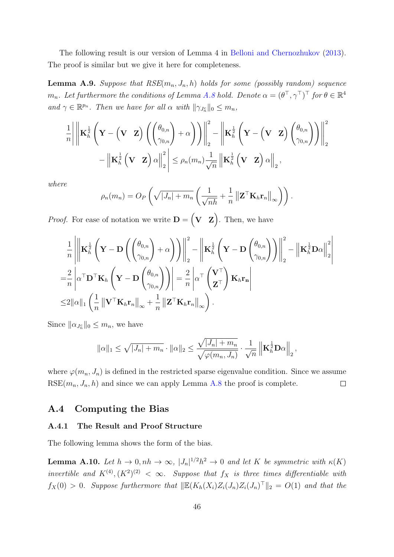The following result is our version of Lemma 4 in [Belloni and Chernozhukov](#page-21-4) [\(2013\)](#page-21-4). The proof is similar but we give it here for completeness.

<span id="page-45-1"></span>**Lemma A.9.** Suppose that  $RSE(m_n, J_n, h)$  holds for some (possibly random) sequence  $m_n$ . Let furthermore the conditions of Lemma [A.8](#page-44-0) hold. Denote  $\alpha=(\theta^\top, \gamma^\top)^\top$  for  $\theta\in\mathbb{R}^4$ and  $\gamma \in \mathbb{R}^{p_n}$ . Then we have for all  $\alpha$  with  $\|\gamma_{J_n^c}\|_0 \leq m_n$ ,

$$
\frac{1}{n}\Bigg|\Bigg\|\mathbf{K}_{h}^{\frac{1}{2}}\left(\mathbf{Y}-\left(\mathbf{V}\mid\mathbf{Z}\right)\left(\begin{pmatrix} \theta_{0,n} \\ \gamma_{0,n} \end{pmatrix}+\alpha\right)\right)\Bigg\|_{2}^{2}-\Bigg\|\mathbf{K}_{h}^{\frac{1}{2}}\left(\mathbf{Y}-\left(\mathbf{V}\mid\mathbf{Z}\right)\begin{pmatrix} \theta_{0,n} \\ \gamma_{0,n} \end{pmatrix}\right)\Bigg\|_{2}^{2}\\-\Bigg\|\mathbf{K}_{h}^{\frac{1}{2}}\left(\mathbf{V}\mid\mathbf{Z}\right)\alpha\Bigg\|_{2}^{2}\Bigg\|\le\rho_{n}(m_{n})\frac{1}{\sqrt{n}}\left\|\mathbf{K}_{h}^{\frac{1}{2}}\left(\mathbf{V}\mid\mathbf{Z}\right)\alpha\right\|_{2},
$$

where

$$
\rho_n(m_n) = O_P\left(\sqrt{|J_n| + m_n}\left(\frac{1}{\sqrt{nh}} + \frac{1}{n} ||\mathbf{Z}^\top \mathbf{K}_h \mathbf{r}_n||_\infty\right)\right).
$$

*Proof.* For ease of notation we write  $\mathbf{D} = (\mathbf{V} \ \mathbf{Z})$ . Then, we have

$$
\frac{1}{n} \left\| \mathbf{K}_{h}^{\frac{1}{2}} \left( \mathbf{Y} - \mathbf{D} \left( \begin{pmatrix} \theta_{0,n} \\ \gamma_{0,n} \end{pmatrix} + \alpha \right) \right) \right\|_{2}^{2} - \left\| \mathbf{K}_{h}^{\frac{1}{2}} \left( \mathbf{Y} - \mathbf{D} \begin{pmatrix} \theta_{0,n} \\ \gamma_{0,n} \end{pmatrix} \right) \right\|_{2}^{2} - \left\| \mathbf{K}_{h}^{\frac{1}{2}} \mathbf{D} \alpha \right\|_{2}^{2}
$$
\n
$$
= \frac{2}{n} \left| \alpha^{\top} \mathbf{D}^{\top} \mathbf{K}_{h} \left( \mathbf{Y} - \mathbf{D} \begin{pmatrix} \theta_{0,n} \\ \gamma_{0,n} \end{pmatrix} \right) \right| = \frac{2}{n} \left| \alpha^{\top} \begin{pmatrix} \mathbf{V}^{\top} \\ \mathbf{Z}^{\top} \end{pmatrix} \mathbf{K}_{h} \mathbf{r}_{n} \right|
$$
\n
$$
\leq 2 \|\alpha\|_{1} \left( \frac{1}{n} \left\| \mathbf{V}^{\top} \mathbf{K}_{h} \mathbf{r}_{n} \right\|_{\infty} + \frac{1}{n} \left\| \mathbf{Z}^{\top} \mathbf{K}_{h} \mathbf{r}_{n} \right\|_{\infty} \right).
$$

Since  $\|\alpha_{J_n^c}\|_0 \leq m_n$ , we have

$$
\|\alpha\|_1 \leq \sqrt{|J_n| + m_n} \cdot \|\alpha\|_2 \leq \frac{\sqrt{|J_n| + m_n}}{\sqrt{\varphi(m_n, J_n)}} \cdot \frac{1}{\sqrt{n}} \left\| \mathbf{K}_h^{\frac{1}{2}} \mathbf{D} \alpha \right\|_2,
$$

where  $\varphi(m_n, J_n)$  is defined in the restricted sparse eigenvalue condition. Since we assume  $RSE(m_n, J_n, h)$  and since we can apply Lemma [A.8](#page-44-0) the proof is complete.  $\Box$ 

### A.4 Computing the Bias

#### A.4.1 The Result and Proof Structure

The following lemma shows the form of the bias.

<span id="page-45-0"></span>**Lemma A.10.** Let  $h \to 0, nh \to \infty$ ,  $|J_n|^{1/2}h^2 \to 0$  and let K be symmetric with  $\kappa(K)$ invertible and  $K^{(4)}$ ,  $(K^2)^{(2)} < \infty$ . Suppose that  $f_X$  is three times differentiable with  $f_X(0) > 0$ . Suppose furthermore that  $\|\mathbb{E}(K_h(X_i)Z_i(J_n)Z_i(J_n)^{\top}\|_2 = O(1)$  and that the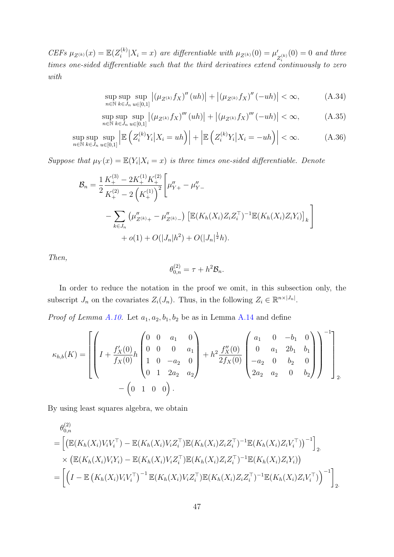*CEFs*  $\mu_{Z^{(k)}}(x) = \mathbb{E}(Z_i^{(k)})$  $\mathcal{L}_i^{(k)}|X_i=x\rangle$  are differentiable with  $\mu_{Z^{(k)}}(0)=\mu'$  $\chi'_{Z_i^{(k)}}(0) = 0$  and three times one-sided differentiable such that the third derivatives extend continuously to zero with

<span id="page-46-1"></span><span id="page-46-0"></span>
$$
\sup_{n \in \mathbb{N}} \sup_{k \in J_n} \sup_{u \in [0,1]} \left| \left( \mu_{Z^{(k)}} f_X \right)''(uh) \right| + \left| \left( \mu_{Z^{(k)}} f_X \right)''(-uh) \right| < \infty,\tag{A.34}
$$

$$
\sup_{n \in \mathbb{N}} \sup_{k \in J_n} \sup_{u \in [0,1]} \left| \left( \mu_{Z^{(k)}} f_X \right)^{m} (uh) \right| + \left| \left( \mu_{Z^{(k)}} f_X \right)^{m} (-uh) \right| < \infty,\tag{A.35}
$$

$$
\sup_{n \in \mathbb{N}} \sup_{k \in J_n} \sup_{u \in [0,1]} \left| \mathbb{E} \left( Z_i^{(k)} Y_i | X_i = uh \right) \right| + \left| \mathbb{E} \left( Z_i^{(k)} Y_i | X_i = -uh \right) \right| < \infty. \tag{A.36}
$$

Suppose that  $\mu_Y(x) = \mathbb{E}(Y_i | X_i = x)$  is three times one-sided differentiable. Denote

$$
\mathcal{B}_n = \frac{1}{2} \frac{K_+^{(3)} - 2K_+^{(1)}K_+^{(2)}}{K_+^{(2)} - 2\left(K_+^{(1)}\right)^2} \left[\mu''_{Y+} - \mu''_{Y-} \right] \n- \sum_{k \in J_n} \left(\mu''_{Z^{(k)}+} - \mu''_{Z^{(k)}-}\right) \left[\mathbb{E}(K_h(X_i)Z_iZ_i^\top)^{-1}\mathbb{E}(K_h(X_i)Z_iY_i)\right]_k \n+ o(1) + O(|J_n|h^2) + O(|J_n|^{\frac{1}{2}}h).
$$

Then,

$$
\theta_{0,n}^{(2)} = \tau + h^2 \mathcal{B}_n.
$$

In order to reduce the notation in the proof we omit, in this subsection only, the subscript  $J_n$  on the covariates  $Z_i(J_n)$ . Thus, in the following  $Z_i \in \mathbb{R}^{n \times |J_n|}$ .

*Proof of Lemma [A.10.](#page-45-0)* Let  $a_1, a_2, b_1, b_2$  be as in Lemma [A.14](#page-53-0) and define

$$
\kappa_{h,b}(K) = \left[ \left( I + \frac{f'_X(0)}{f_X(0)} h \begin{pmatrix} 0 & 0 & a_1 & 0 \\ 0 & 0 & 0 & a_1 \\ 1 & 0 & -a_2 & 0 \\ 0 & 1 & 2a_2 & a_2 \end{pmatrix} + h^2 \frac{f''_X(0)}{2f_X(0)} \begin{pmatrix} a_1 & 0 & -b_1 & 0 \\ 0 & a_1 & 2b_1 & b_1 \\ -a_2 & 0 & b_2 & 0 \\ 2a_2 & a_2 & 0 & b_2 \end{pmatrix} \right)^{-1} \right]_{2}.
$$

By using least squares algebra, we obtain

$$
\theta_{0,n}^{(2)}
$$
\n
$$
= \left[ \left( \mathbb{E}(K_h(X_i)V_iV_i^\top) - \mathbb{E}(K_h(X_i)V_iZ_i^\top) \mathbb{E}(K_h(X_i)Z_iZ_i^\top)^{-1} \mathbb{E}(K_h(X_i)Z_iV_i^\top) \right)^{-1} \right]_{2}.
$$
\n
$$
\times \left( \mathbb{E}(K_h(X_i)V_iY_i) - \mathbb{E}(K_h(X_i)V_iZ_i^\top) \mathbb{E}(K_h(X_i)Z_iZ_i^\top)^{-1} \mathbb{E}(K_h(X_i)Z_iY_i) \right)
$$
\n
$$
= \left[ \left( I - \mathbb{E}\left( K_h(X_i)V_iV_i^\top \right)^{-1} \mathbb{E}(K_h(X_i)V_iZ_i^\top) \mathbb{E}(K_h(X_i)Z_iZ_i^\top)^{-1} \mathbb{E}(K_h(X_i)Z_iV_i^\top) \right)^{-1} \right]_{2}.
$$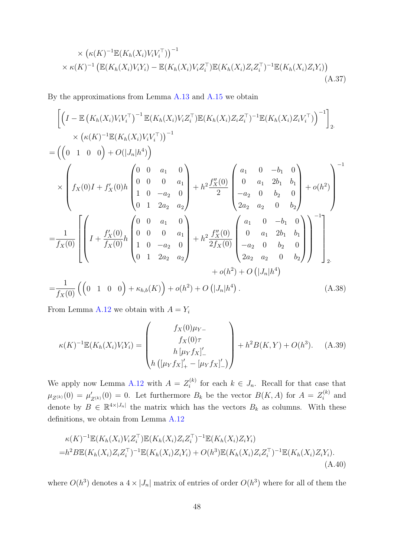<span id="page-47-0"></span>
$$
\times \left( \kappa(K)^{-1} \mathbb{E}(K_h(X_i)V_iV_i^{\top}) \right)^{-1} \times \kappa(K)^{-1} \left( \mathbb{E}(K_h(X_i)V_iY_i) - \mathbb{E}(K_h(X_i)V_iZ_i^{\top}) \mathbb{E}(K_h(X_i)Z_iZ_i^{\top})^{-1} \mathbb{E}(K_h(X_i)Z_iY_i) \right)
$$
\n(A.37)

By the approximations from Lemma [A.13](#page-52-0) and [A.15](#page-54-0) we obtain

$$
\begin{split}\n&\left[\left(I - \mathbb{E}\left(K_{h}(X_{i})V_{i}V_{i}^{\top}\right)^{-1}\mathbb{E}(K_{h}(X_{i})V_{i}Z_{i}^{\top})\mathbb{E}(K_{h}(X_{i})Z_{i}Z_{i}^{\top})^{-1}\mathbb{E}(K_{h}(X_{i})Z_{i}V_{i}^{\top})\right)^{-1}\right]_{2} \\
&\times \left(\kappa(K)^{-1}\mathbb{E}(K_{h}(X_{i})V_{i}V_{i}^{\top})\right)^{-1} \\
&= \left(\left(0 \quad 1 \quad 0 \quad 0\right) + O(|J_{n}|h^{4})\right) \\
&\times \left(f_{X}(0)I + f_{X}'(0)h\begin{pmatrix}0 & 0 & a_{1} & 0 \\ 0 & 0 & 0 & a_{1} \\ 1 & 0 & -a_{2} & 0 \\ 0 & 1 & 2a_{2} & a_{2}\end{pmatrix} + h^{2}\frac{f_{X}'(0)}{2}\begin{pmatrix}a_{1} & 0 & -b_{1} & 0 \\ 0 & a_{1} & 2b_{1} & b_{1} \\ -a_{2} & 0 & b_{2} & 0 \\ 2a_{2} & a_{2} & 0 & b_{2}\end{pmatrix} + o(h^{2})\right) \\
&= \frac{1}{f_{X}(0)}\left[\left(I + \frac{f_{X}'(0)}{f_{X}(0)}h\begin{pmatrix}0 & 0 & a_{1} & 0 \\ 0 & 0 & 0 & a_{1} \\ 1 & 0 & -a_{2} & 0 \\ 0 & 1 & 2a_{2} & a_{2}\end{pmatrix} + h^{2}\frac{f_{X}'(0)}{2f_{X}(0)}\begin{pmatrix}a_{1} & 0 & -b_{1} & 0 \\ 0 & a_{1} & 2b_{1} & b_{1} \\ -a_{2} & 0 & b_{2} & 0 \\ 2a_{2} & a_{2} & 0 & b_{2}\end{pmatrix}\right)^{-1}\right]_{2} \\
&+ o(h^{2}) + O\left(|J_{n}|h^{4}\right) \\
&= \frac{1}{f_{X}(0)}\left(\left(0 \quad 1 \quad 0 \quad 0\right) + \kappa_{h,b}(K)\right) + o(h^{2}) + O\left(|J_{n}|h^{4}\right). \end{split} \tag{A.38}
$$

From Lemma [A.12](#page-50-0) we obtain with  $A = Y_i$ 

<span id="page-47-2"></span>
$$
\kappa(K)^{-1} \mathbb{E}(K_h(X_i)V_iY_i) = \begin{pmatrix} f_X(0)\mu_{Y-} \\ f_X(0)\tau \\ h[\mu_Y f_X]_-' \\ h([\mu_Y f_X]_+' - [\mu_Y f_X]_-'] \end{pmatrix} + h^2 B(K,Y) + O(h^3). \quad (A.39)
$$

We apply now Lemma [A.12](#page-50-0) with  $A = Z_i^{(k)}$  $i^{(k)}$  for each  $k \in J_n$ . Recall for that case that  $\mu_{Z^{(k)}}(0) = \mu'_{Z^{(k)}}(0) = 0.$  Let furthermore  $B_k$  be the vector  $B(K, A)$  for  $A = Z_i^{(k)}$  $i^{(\kappa)}$  and denote by  $B \in \mathbb{R}^{4\times |J_n|}$  the matrix which has the vectors  $B_k$  as columns. With these definitions, we obtain from Lemma [A.12](#page-50-0)

<span id="page-47-1"></span>
$$
\kappa(K)^{-1} \mathbb{E}(K_h(X_i)V_i Z_i^{\top}) \mathbb{E}(K_h(X_i) Z_i Z_i^{\top})^{-1} \mathbb{E}(K_h(X_i) Z_i Y_i)
$$
  
= $h^2 B \mathbb{E}(K_h(X_i) Z_i Z_i^{\top})^{-1} \mathbb{E}(K_h(X_i) Z_i Y_i) + O(h^3) \mathbb{E}(K_h(X_i) Z_i Z_i^{\top})^{-1} \mathbb{E}(K_h(X_i) Z_i Y_i).$  (A.40)

where  $O(h^3)$  denotes a  $4 \times |J_n|$  matrix of entries of order  $O(h^3)$  where for all of them the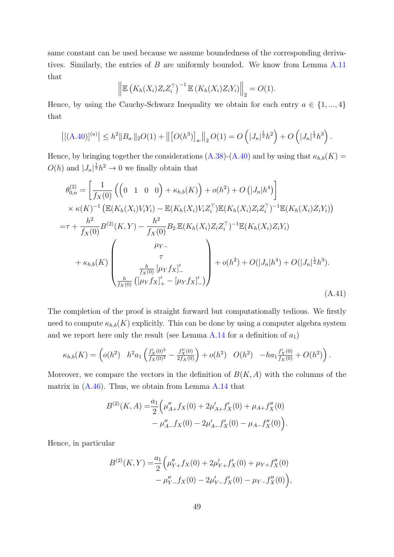same constant can be used because we assume boundedness of the corresponding derivatives. Similarly, the entries of B are uniformly bounded. We know from Lemma [A.11](#page-49-0) that

$$
\left\| \mathbb{E}\left( K_h(X_i) Z_i Z_i^\top \right)^{-1} \mathbb{E}\left( K_h(X_i) Z_i Y_i \right) \right\|_2 = O(1).
$$

Hence, by using the Cauchy-Schwarz Inequality we obtain for each entry  $a \in \{1, ..., 4\}$ that

$$
\left| [(A.40)]^{(a)} \right| \leq h^2 \|B_{a\cdot}\|_2 O(1) + \left\| \left[ O(h^3) \right]_{a\cdot}\right\|_2 O(1) = O\left( |J_n|^{\frac{1}{2}} h^2 \right) + O\left( |J_n|^{\frac{1}{2}} h^3 \right).
$$

Hence, by bringing together the considerations [\(A.38\)](#page-47-2)-[\(A.40\)](#page-47-1) and by using that  $\kappa_{h,b}(K)$  =  $O(h)$  and  $|J_n|^{\frac{1}{2}}h^2 \to 0$  we finally obtain that

$$
\theta_{0,n}^{(2)} = \left[ \frac{1}{f_X(0)} \left( \begin{pmatrix} 0 & 1 & 0 & 0 \end{pmatrix} + \kappa_{h,b}(K) \right) + o(h^2) + O\left(|J_n|h^4\right) \right] \times \kappa(K)^{-1} \left( \mathbb{E}(K_h(X_i)V_iY_i) - \mathbb{E}(K_h(X_i)V_iZ_i^\top \right) \mathbb{E}(K_h(X_i)Z_iZ_i^\top)^{-1} \mathbb{E}(K_h(X_i)Z_iY_i) \right)
$$
  
\n
$$
= \tau + \frac{h^2}{f_X(0)} B^{(2)}(K,Y) - \frac{h^2}{f_X(0)} B_2 \mathbb{E}(K_h(X_i)Z_iZ_i^\top)^{-1} \mathbb{E}(K_h(X_i)Z_iY_i)
$$
  
\n
$$
+ \kappa_{h,b}(K) \left( \frac{\mu_{Y-}}{\tau_{X(0)}} \frac{\tau}{[\mu_Y f_X]_-'} + o(h^2) + O(|J_n|h^4) + O(|J_n|^{\frac{1}{2}}h^3).
$$
\n(A.41)

The completion of the proof is straight forward but computationally tedious. We firstly need to compute  $\kappa_{h,b}(K)$  explicitly. This can be done by using a computer algebra system and we report here only the result (see Lemma [A.14](#page-53-0) for a definition of  $a_1$ )

$$
\kappa_{h,b}(K) = \left( o(h^2) \quad h^2 a_1 \left( \frac{f'_X(0)^2}{f_X(0)^2} - \frac{f''_X(0)}{2f_X(0)} \right) + o(h^2) \quad O(h^2) \quad -ha_1 \frac{f'_X(0)}{f_X(0)} + O(h^2) \right).
$$

Moreover, we compare the vectors in the definition of  $B(K, A)$  with the columns of the matrix in [\(A.46\)](#page-54-1). Thus, we obtain from Lemma [A.14](#page-53-0) that

<span id="page-48-0"></span>
$$
B^{(2)}(K, A) = \frac{a_1}{2} \left( \mu''_{A+} f_X(0) + 2\mu'_{A+} f'_X(0) + \mu_{A+} f''_X(0) - \mu''_{A-} f'_X(0) - 2\mu'_{A-} f'_X(0) - \mu_{A-} f''_X(0) \right).
$$

Hence, in particular

$$
B^{(2)}(K,Y) = \frac{a_1}{2} \Big( \mu''_{Y+} f_X(0) + 2\mu'_{Y+} f'_X(0) + \mu_{Y+} f''_X(0) - \mu''_{Y-} f'_X(0) - 2\mu'_{Y-} f'_X(0) - \mu_{Y-} f''_X(0) \Big),
$$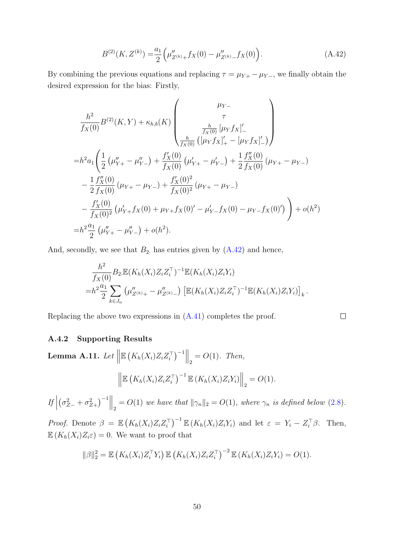<span id="page-49-1"></span>
$$
B^{(2)}(K, Z^{(k)}) = \frac{a_1}{2} \left( \mu''_{Z^{(k)}+} f_X(0) - \mu''_{Z^{(k)}-} f_X(0) \right). \tag{A.42}
$$

By combining the previous equations and replacing  $\tau = \mu_{Y+} - \mu_{Y-}$ , we finally obtain the desired expression for the bias: Firstly,

$$
\frac{h^2}{f_X(0)} B^{(2)}(K, Y) + \kappa_{h,b}(K) \begin{pmatrix} \mu_{Y-} \\ \tau \\ \frac{h}{f_X(0)} [\mu_Y f_X]_-' \\ \frac{h}{f_X(0)} ([\mu_Y f_X]_+' - [\mu_Y f_X]_-'] \end{pmatrix}
$$
  
\n
$$
= h^2 a_1 \left( \frac{1}{2} (\mu''_{Y+} - \mu''_{Y-}) + \frac{f'_X(0)}{f_X(0)} (\mu'_{Y+} - \mu'_{Y-}) + \frac{1}{2} \frac{f''_X(0)}{f_X(0)} (\mu_{Y+} - \mu_{Y-}) - \frac{1}{2} \frac{f''_X(0)}{f_X(0)} (\mu_{Y+} - \mu_{Y-}) - \frac{f'_X(0)}{f_X(0)^2} (\mu'_{Y+} f_X(0) + \mu'_{Y+} f_X(0) - \mu'_{Y-} f_X(0) - \mu'_{Y-} f_X(0)') \right) + o(h^2)
$$
  
\n
$$
= h^2 \frac{a_1}{2} (\mu''_{Y+} - \mu''_{Y-}) + o(h^2).
$$

And, secondly, we see that  $B_2$  has entries given by  $(A.42)$  and hence,

$$
\frac{h^2}{f_X(0)} B_2 \mathbb{E}(K_h(X_i) Z_i Z_i^{\top})^{-1} \mathbb{E}(K_h(X_i) Z_i Y_i)
$$
  
= 
$$
h^2 \frac{a_1}{2} \sum_{k \in J_n} \left( \mu''_{Z^{(k)}+} - \mu''_{Z^{(k)}-} \right) \left[ \mathbb{E}(K_h(X_i) Z_i Z_i^{\top})^{-1} \mathbb{E}(K_h(X_i) Z_i Y_i) \right]_k.
$$

 $\Box$ 

Replacing the above two expressions in [\(A.41\)](#page-48-0) completes the proof.

#### A.4.2 Supporting Results

<span id="page-49-0"></span>**Lemma A.11.** Let 
$$
\|\mathbb{E} (K_h(X_i) Z_i Z_i^{\top})^{-1}\|_2 = O(1)
$$
. Then,  

$$
\|\mathbb{E} (K_h(X_i) Z_i Z_i^{\top})^{-1} \mathbb{E} (K_h(X_i) Z_i Y_i)\|_2 = O(1).
$$

 $\left| \int f \right|$  $\left(\sigma_{Z-}^2 + \sigma_{Z+}^2\right)^{-1}$   $\Big\|_2 = O(1)$  we have that  $\|\gamma_n\|_2 = O(1)$ , where  $\gamma_n$  is defined below [\(2.8\)](#page-7-0).

Proof. Denote  $\beta = \mathbb{E}\left(K_h(X_i)Z_iZ_i^{\top}\right)^{-1}\mathbb{E}\left(K_h(X_i)Z_iY_i\right)$  and let  $\varepsilon = Y_i - Z_i^{\top}\beta$ . Then,  $\mathbb{E}\left(K_h(X_i)Z_i\varepsilon\right)=0.$  We want to proof that

$$
\|\beta\|_2^2 = \mathbb{E}\left(K_h(X_i)Z_i^\top Y_i\right) \mathbb{E}\left(K_h(X_i)Z_iZ_i^\top\right)^{-2} \mathbb{E}\left(K_h(X_i)Z_iY_i\right) = O(1).
$$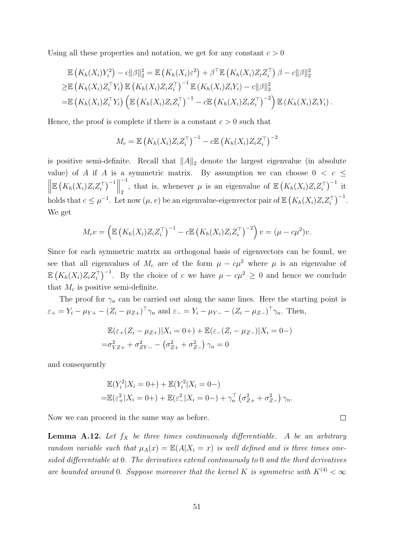Using all these properties and notation, we get for any constant  $c > 0$ 

$$
\mathbb{E}\left(K_h(X_i)Y_i^2\right) - c\|\beta\|_2^2 = \mathbb{E}\left(K_h(X_i)\varepsilon^2\right) + \beta^\top \mathbb{E}\left(K_h(X_i)Z_iZ_i^\top\right)\beta - c\|\beta\|_2^2
$$
\n
$$
\geq \mathbb{E}\left(K_h(X_i)Z_i^\top Y_i\right) \mathbb{E}\left(K_h(X_i)Z_iZ_i^\top\right)^{-1} \mathbb{E}\left(K_h(X_i)Z_iY_i\right) - c\|\beta\|_2^2
$$
\n
$$
= \mathbb{E}\left(K_h(X_i)Z_i^\top Y_i\right) \left(\mathbb{E}\left(K_h(X_i)Z_iZ_i^\top\right)^{-1} - c\mathbb{E}\left(K_h(X_i)Z_iZ_i^\top\right)^{-2}\right) \mathbb{E}\left(K_h(X_i)Z_iY_i\right).
$$

Hence, the proof is complete if there is a constant  $c > 0$  such that

$$
M_c = \mathbb{E}\left(K_h(X_i)Z_iZ_i^\top\right)^{-1} - c\mathbb{E}\left(K_h(X_i)Z_iZ_i^\top\right)^{-2}
$$

is positive semi-definite. Recall that  $||A||_2$  denote the largest eigenvalue (in absolute value) of A if A is a symmetric matrix. By assumption we can choose  $0 < c \leq$  $\begin{array}{c} \hline \end{array}$  $\mathbb{E}\left(K_h(X_i)Z_iZ_i^\top\right)^{-1}\Big\|$ −1 <sup>-1</sup>, that is, whenever  $\mu$  is an eigenvalue of  $\mathbb{E}\left(K_h(X_i)Z_iZ_i^{\top}\right)^{-1}$  it holds that  $c \leq \mu^{-1}$ . Let now  $(\mu, v)$  be an eigenvalue-eigenvector pair of  $\mathbb{E}\left(K_h(X_i)Z_iZ_i^\top\right)^{-1}$ . We get

$$
M_c v = \left( \mathbb{E} \left( K_h(X_i) Z_i Z_i^\top \right)^{-1} - c \mathbb{E} \left( K_h(X_i) Z_i Z_i^\top \right)^{-2} \right) v = (\mu - c\mu^2) v.
$$

Since for each symmetric matrix an orthogonal basis of eigenvectors can be found, we see that all eigenvalues of  $M_c$  are of the form  $\mu - c\mu^2$  where  $\mu$  is an eigenvalue of  $\mathbb{E}(K_h(X_i)Z_iZ_i^{\top})^{-1}$ . By the choice of c we have  $\mu - c\mu^2 \geq 0$  and hence we conclude that  $M_c$  is positive semi-definite.

The proof for  $\gamma_n$  can be carried out along the same lines. Here the starting point is  $\varepsilon_{+} = Y_{i} - \mu_{Y+} - (Z_{i} - \mu_{Z+})^{\top} \gamma_{n}$  and  $\varepsilon_{-} = Y_{i} - \mu_{Y-} - (Z_{i} - \mu_{Z-})^{\top} \gamma_{n}$ . Then,

$$
\mathbb{E}(\varepsilon_+(Z_i - \mu_{Z+})|X_i = 0+) + \mathbb{E}(\varepsilon_-(Z_i - \mu_{Z-})|X_i = 0-)
$$
  
= $\sigma_{YZ+}^2 + \sigma_{ZY-}^2 - (\sigma_{Z+}^2 + \sigma_{Z-}^2) \gamma_n = 0$ 

and consequently

$$
\mathbb{E}(Y_i^2 | X_i = 0+) + \mathbb{E}(Y_i^2 | X_i = 0-)
$$
  
=  $\mathbb{E}(\varepsilon_+^2 | X_i = 0+) + \mathbb{E}(\varepsilon_-^2 | X_i = 0-) + \gamma_n^\top (\sigma_{Z+}^2 + \sigma_{Z-}^2) \gamma_n$ .

 $\Box$ 

Now we can proceed in the same way as before.

<span id="page-50-0"></span>**Lemma A.12.** Let  $f_X$  be three times continuously differentiable. A be an arbitrary random variable such that  $\mu_A(x) = \mathbb{E}(A|X_i = x)$  is well defined and is three times onesided differentiable at 0. The derivatives extend continuously to 0 and the third derivatives are bounded around 0. Suppose moreover that the kernel K is symmetric with  $K^{(4)} < \infty$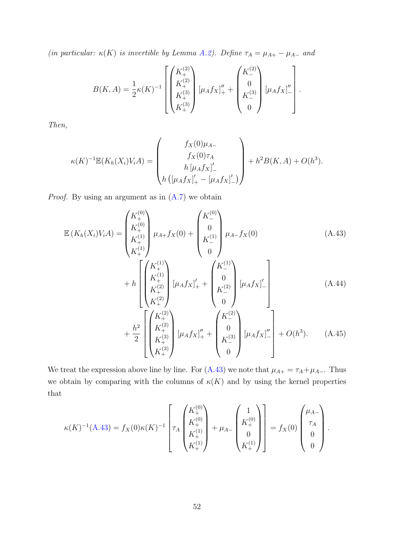(in particular:  $\kappa(K)$  is invertible by Lemma [A.2\)](#page-33-0). Define  $\tau_A = \mu_{A+} - \mu_{A-}$  and

$$
B(K, A) = \frac{1}{2}\kappa(K)^{-1} \left[ \begin{pmatrix} K_+^{(2)} \\ K_+^{(2)} \\ K_+^{(3)} \\ K_+^{(3)} \end{pmatrix} [\mu_A f_X]_+^{\prime\prime} + \begin{pmatrix} K_-^{(2)} \\ 0 \\ K_-^{(3)} \\ 0 \end{pmatrix} [\mu_A f_X]_-^{\prime\prime} \right].
$$

Then,

$$
\kappa(K)^{-1} \mathbb{E}(K_h(X_i)V_i A) = \begin{pmatrix} f_X(0)\mu_{A-} \\ f_X(0)\tau_A \\ h \left[ \mu_A f_X \right]'_- \\ h \left( \left[ \mu_A f_X \right]'_+ - \left[ \mu_A f_X \right]'_- \right) \end{pmatrix} + h^2 B(K, A) + O(h^3).
$$

*Proof.* By using an argument as in  $(A.7)$  we obtain

$$
\mathbb{E}\left(K_h(X_i)V_iA\right) = \begin{pmatrix} K_+^{(0)} \\ K_+^{(0)} \\ K_+^{(1)} \\ K_+^{(1)} \end{pmatrix} \mu_{A+}f_X(0) + \begin{pmatrix} K_-^{(0)} \\ 0 \\ K_-^{(1)} \\ 0 \end{pmatrix} \mu_{A-}f_X(0) \tag{A.43}
$$
\n
$$
\begin{bmatrix} K_+^{(1)} \\ K_+^{(1)} \end{bmatrix} \mu_{A+}f_X(0) + \begin{pmatrix} K_+^{(0)} \\ 0 \\ K_-^{(1)} \\ 0 \end{pmatrix} \mu_{A+}f_X(0)
$$

<span id="page-51-1"></span><span id="page-51-0"></span>
$$
+ h \begin{pmatrix} K_+^{(1)} \\ K_+^{(2)} \\ K_+^{(2)} \\ K_+^{(2)} \end{pmatrix} [\mu_A f_X]_+' + \begin{pmatrix} K_- \\ 0 \\ K_-^{(2)} \\ 0 \end{pmatrix} [\mu_A f_X]_-' \begin{pmatrix} 0 \\ 0 \\ 0 \end{pmatrix} (A.44)
$$

<span id="page-51-2"></span>
$$
\begin{bmatrix}\n1 & 1 & 1 & 1 \\
1 & 1 & 1 & 1 \\
1 & 1 & 1 & 1 \\
1 & 1 & 1 & 1 \\
1 & 1 & 1 & 1 \\
1 & 1 & 1 & 1\n\end{bmatrix}\n\begin{bmatrix}\nK_{+}^{(2)} \\
K_{+}^{(2)} \\
K_{+}^{(3)}\n\end{bmatrix}\n\begin{bmatrix}\n\mu_{A}f_{X}\n\end{bmatrix}_{+}^{u} +\n\begin{bmatrix}\nK_{-}^{(2)} \\
0 \\
K_{-}^{(3)}\n\end{bmatrix}\n\begin{bmatrix}\n\mu_{A}f_{X}\n\end{bmatrix}_{-}^{u}\n\begin{bmatrix}\n+O(h^{3}).\n\end{bmatrix} \quad (A.45)
$$

We treat the expression above line by line. For [\(A.43\)](#page-51-0) we note that  $\mu_{A+} = \tau_A + \mu_{A-}$ . Thus we obtain by comparing with the columns of  $\kappa(K)$  and by using the kernel properties that

$$
\kappa(K)^{-1}(A.43) = f_X(0)\kappa(K)^{-1} \left[ \tau_A \begin{pmatrix} K_+^{(0)} \\ K_+^{(0)} \\ K_+^{(1)} \\ K_+^{(1)} \end{pmatrix} + \mu_{A-} \begin{pmatrix} 1 \\ K_+^{(0)} \\ 0 \\ K_+^{(1)} \end{pmatrix} \right] = f_X(0) \begin{pmatrix} \mu_{A-} \\ \tau_A \\ 0 \\ 0 \end{pmatrix}.
$$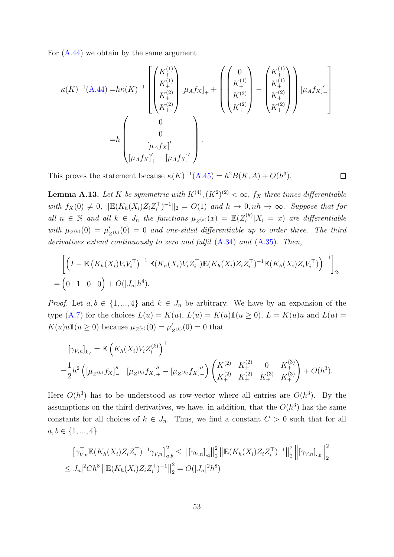For [\(A.44\)](#page-51-1) we obtain by the same argument

$$
\kappa(K)^{-1}(A.44) = h\kappa(K)^{-1} \left[ \begin{pmatrix} K^{(1)}_+ \\ K^{(1)}_+ \\ K^{(2)}_+ \\ K^{(2)}_+ \end{pmatrix} [\mu_A f_X]_+ + \begin{pmatrix} 0 \\ K^{(1)}_+ \\ K^{(2)}_+ \\ K^{(2)}_+ \end{pmatrix} - \begin{pmatrix} K^{(1)}_+ \\ K^{(1)}_+ \\ K^{(2)}_+ \\ K^{(2)}_+ \end{pmatrix} [\mu_A f_X]_-' \right]
$$
  
=  $h \begin{pmatrix} 0 \\ 0 \\ [\mu_A f_X]_-' \\ [\mu_A f_X]_+' - [\mu_A f_X]_-' \end{pmatrix}.$ 

This proves the statement because  $\kappa(K)^{-1}(A.45) = h^2 B(K, A) + O(h^3)$  $\kappa(K)^{-1}(A.45) = h^2 B(K, A) + O(h^3)$  $\kappa(K)^{-1}(A.45) = h^2 B(K, A) + O(h^3)$ .

<span id="page-52-0"></span>**Lemma A.13.** Let K be symmetric with  $K^{(4)}$ ,  $(K^2)^{(2)} < \infty$ ,  $f_X$  three times differentiable with  $f_X(0) \neq 0$ ,  $\|\mathbb{E}(K_h(X_i)Z_iZ_i^{\top})^{-1}\|_2 = O(1)$  and  $h \to 0, nh \to \infty$ . Suppose that for all  $n \in \mathbb{N}$  and all  $k \in J_n$  the functions  $\mu_{Z^{(k)}}(x) = \mathbb{E}(Z_i^{(k)})$  $i^{(k)}|X_i = x$  are differentiable with  $\mu_{Z^{(k)}}(0) = \mu'_{Z^{(k)}}(0) = 0$  and one-sided differentiable up to order three. The third derivatives extend continuously to zero and fulfil  $(A.34)$  and  $(A.35)$ . Then,

 $\Box$ 

$$
\left[ \left( I - \mathbb{E} \left( K_h(X_i) V_i V_i^\top \right)^{-1} \mathbb{E} (K_h(X_i) V_i Z_i^\top) \mathbb{E} (K_h(X_i) Z_i Z_i^\top)^{-1} \mathbb{E} (K_h(X_i) Z_i V_i^\top) \right)^{-1} \right]_2.
$$
  
= 
$$
\left( 0 \quad 1 \quad 0 \quad 0 \right) + O(|J_n| h^4).
$$

*Proof.* Let  $a, b \in \{1, ..., 4\}$  and  $k \in J_n$  be arbitrary. We have by an expansion of the type [\(A.7\)](#page-34-1) for the choices  $L(u) = K(u)$ ,  $L(u) = K(u)1(u \ge 0)$ ,  $L = K(u)u$  and  $L(u) =$  $K(u)u\mathbb{1}(u \geq 0)$  because  $\mu_{Z^{(k)}}(0) = \mu'_{Z^{(k)}}(0) = 0$  that

$$
[\gamma_{V,n}]_{k,\cdot} = \mathbb{E}\left(K_h(X_i)V_iZ_i^{(k)}\right)^{\top}
$$
  
=  $\frac{1}{2}h^2\left([\mu_{Z^{(k)}}f_X]_{-}^{"}\ [\mu_{Z^{(k)}}f_X]_{+}^{"}-[\mu_{Z^{(k)}}f_X]_{-}^{"}\right)\left(\begin{matrix}K^{(2)} & K_{+}^{(2)} & 0 & K_{+}^{(3)}\\ K_{+}^{(2)} & K_{+}^{(2)} & K_{+}^{(3)} & K_{+}^{(3)}\end{matrix}\right)+O(h^3).$ 

Here  $O(h^3)$  has to be understood as row-vector where all entries are  $O(h^3)$ . By the assumptions on the third derivatives, we have, in addition, that the  $O(h^3)$  has the same constants for all choices of  $k \in J_n$ . Thus, we find a constant  $C > 0$  such that for all  $a, b \in \{1, ..., 4\}$ 

$$
\left[\gamma_{V,n}^{\top} \mathbb{E}(K_h(X_i)Z_iZ_i^{\top})^{-1}\gamma_{V,n}\right]_{a,b}^2 \leq \left\| [\gamma_{V,n}]_{a}\right\|_2^2 \left\| \mathbb{E}(K_h(X_i)Z_iZ_i^{\top})^{-1} \right\|_2^2 \left\| [\gamma_{V,n}]_{\cdot,b} \right\|_2^2
$$
  

$$
\leq |J_n|^2 Ch^8 \left\| \mathbb{E}(K_h(X_i)Z_iZ_i^{\top})^{-1} \right\|_2^2 = O(|J_n|^2 h^8)
$$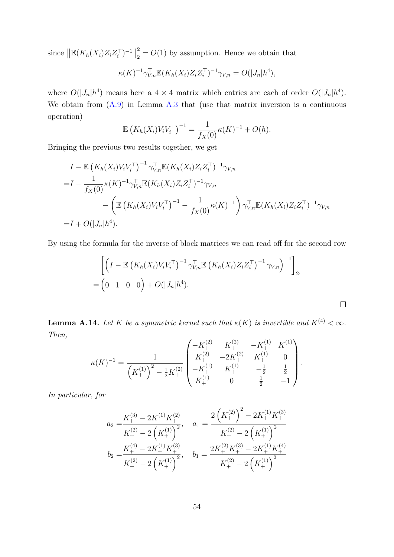since  $\left\| \mathbb{E}(K_h(X_i)Z_iZ_i^{\top})^{-1} \right\|$ 2  $\frac{2}{2} = O(1)$  by assumption. Hence we obtain that

$$
\kappa(K)^{-1} \gamma_{V,n}^{\top} \mathbb{E}(K_h(X_i) Z_i Z_i^{\top})^{-1} \gamma_{V,n} = O(|J_n| h^4),
$$

where  $O(|J_n|h^4)$  means here a  $4 \times 4$  matrix which entries are each of order  $O(|J_n|h^4)$ . We obtain from  $(A.9)$  in Lemma [A.3](#page-34-3) that (use that matrix inversion is a continuous operation)

$$
\mathbb{E}\left(K_h(X_i)V_iV_i^{\top}\right)^{-1} = \frac{1}{f_X(0)}\kappa(K)^{-1} + O(h).
$$

Bringing the previous two results together, we get

$$
I - \mathbb{E} (K_h(X_i)V_iV_i^{\top})^{-1} \gamma_{V,n}^{\top} \mathbb{E} (K_h(X_i)Z_iZ_i^{\top})^{-1} \gamma_{V,n}
$$
  
=  $I - \frac{1}{f_X(0)} \kappa(K)^{-1} \gamma_{V,n}^{\top} \mathbb{E} (K_h(X_i)Z_iZ_i^{\top})^{-1} \gamma_{V,n}$   
 $- \left( \mathbb{E} (K_h(X_i)V_iV_i^{\top})^{-1} - \frac{1}{f_X(0)} \kappa(K)^{-1} \right) \gamma_{V,n}^{\top} \mathbb{E} (K_h(X_i)Z_iZ_i^{\top})^{-1} \gamma_{V,n}$   
=  $I + O(|J_n|h^4)$ .

By using the formula for the inverse of block matrices we can read off for the second row

$$
\left[ \left( I - \mathbb{E} \left( K_h(X_i) V_i V_i^\top \right)^{-1} \gamma_{V,n}^\top \mathbb{E} \left( K_h(X_i) Z_i Z_i^\top \right)^{-1} \gamma_{V,n} \right)^{-1} \right]_2
$$
  
= 
$$
\left( 0 \quad 1 \quad 0 \quad 0 \right) + O(|J_n| h^4).
$$

 $\Box$ 

<span id="page-53-0"></span>**Lemma A.14.** Let K be a symmetric kernel such that  $\kappa(K)$  is invertible and  $K^{(4)} < \infty$ . Then,

$$
\kappa(K)^{-1} = \frac{1}{\left(K_+^{(1)}\right)^2 - \frac{1}{2}K_+^{(2)}} \begin{pmatrix} -K_+^{(2)} & K_+^{(2)} & -K_+^{(1)} & K_+^{(1)} \\ K_+^{(2)} & -2K_+^{(2)} & K_+^{(1)} & 0 \\ -K_+^{(1)} & K_+^{(1)} & -\frac{1}{2} & \frac{1}{2} \\ K_+^{(1)} & 0 & \frac{1}{2} & -1 \end{pmatrix}.
$$

In particular, for

$$
a_2 = \frac{K_+^{(3)} - 2K_+^{(1)}K_+^{(2)}}{K_+^{(2)} - 2\left(K_+^{(1)}\right)^2}, \quad a_1 = \frac{2\left(K_+^{(2)}\right)^2 - 2K_+^{(1)}K_+^{(3)}}{K_+^{(2)} - 2\left(K_+^{(1)}\right)^2}
$$

$$
b_2 = \frac{K_+^{(4)} - 2K_+^{(1)}K_+^{(3)}}{K_+^{(2)} - 2\left(K_+^{(1)}\right)^2}, \quad b_1 = \frac{2K_+^{(2)}K_+^{(3)} - 2K_+^{(1)}K_+^{(4)}}{K_+^{(2)} - 2\left(K_+^{(1)}\right)^2}
$$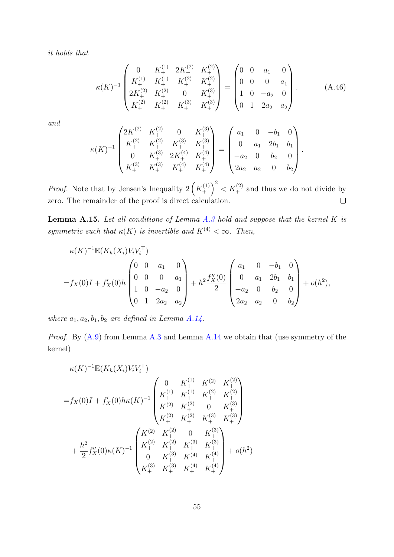it holds that

<span id="page-54-1"></span>
$$
\kappa(K)^{-1} \begin{pmatrix} 0 & K_{+}^{(1)} & 2K_{+}^{(2)} & K_{+}^{(2)} \\ K_{+}^{(1)} & K_{+}^{(1)} & K_{+}^{(2)} & K_{+}^{(2)} \\ 2K_{+}^{(2)} & K_{+}^{(2)} & 0 & K_{+}^{(3)} \\ K_{+}^{(2)} & K_{+}^{(2)} & K_{+}^{(3)} & K_{+}^{(3)} \end{pmatrix} = \begin{pmatrix} 0 & 0 & a_{1} & 0 \\ 0 & 0 & 0 & a_{1} \\ 1 & 0 & -a_{2} & 0 \\ 0 & 1 & 2a_{2} & a_{2} \end{pmatrix} . \tag{A.46}
$$

.

and

$$
\kappa(K)^{-1} \begin{pmatrix} 2K_+^{(2)} & K_+^{(2)} & 0 & K_+^{(3)} \\ K_+^{(2)} & K_+^{(2)} & K_+^{(3)} & K_+^{(3)} \\ 0 & K_+^{(3)} & 2K_+^{(4)} & K_+^{(4)} \\ K_+^{(3)} & K_+^{(3)} & K_+^{(4)} & K_+^{(4)} \end{pmatrix} = \begin{pmatrix} a_1 & 0 & -b_1 & 0 \\ 0 & a_1 & 2b_1 & b_1 \\ 0 & a_1 & 2b_1 & b_1 \\ -a_2 & 0 & b_2 & 0 \\ 2a_2 & a_2 & 0 & b_2 \end{pmatrix}
$$

 $\binom{1}{+}^2 < K_+^{(2)}$  and thus we do not divide by *Proof.* Note that by Jensen's Inequality  $2\left(K_{+}^{(1)}\right)$ zero. The remainder of the proof is direct calculation.  $\Box$ 

<span id="page-54-0"></span>**Lemma A.15.** Let all conditions of Lemma  $A.3$  hold and suppose that the kernel K is symmetric such that  $\kappa(K)$  is invertible and  $K^{(4)} < \infty$ . Then,

$$
\kappa(K)^{-1} \mathbb{E}(K_h(X_i)V_iV_i^{\top})
$$
\n
$$
= f_X(0)I + f'_X(0)h \begin{pmatrix} 0 & 0 & a_1 & 0 \\ 0 & 0 & 0 & a_1 \\ 1 & 0 & -a_2 & 0 \\ 0 & 1 & 2a_2 & a_2 \end{pmatrix} + h^2 \frac{f''_X(0)}{2} \begin{pmatrix} a_1 & 0 & -b_1 & 0 \\ 0 & a_1 & 2b_1 & b_1 \\ -a_2 & 0 & b_2 & 0 \\ 2a_2 & a_2 & 0 & b_2 \end{pmatrix} + o(h^2),
$$

where  $a_1, a_2, b_1, b_2$  are defined in Lemma [A.14.](#page-53-0)

*Proof.* By  $(A.9)$  from Lemma  $A.3$  and Lemma  $A.14$  we obtain that (use symmetry of the kernel)

$$
\kappa(K)^{-1} \mathbb{E}(K_h(X_i)V_iV_i^{\top})
$$
\n
$$
= f_X(0)I + f'_X(0)h\kappa(K)^{-1} \begin{pmatrix} 0 & K_+^{(1)} & K_-^{(2)} & K_+^{(2)} \\ K_+^{(1)} & K_+^{(1)} & K_+^{(2)} & K_+^{(2)} \\ K_-^{(2)} & K_+^{(2)} & 0 & K_+^{(3)} \\ K_+^{(2)} & K_+^{(2)} & K_+^{(3)} & K_+^{(3)} \\ K_+^{(2)} & K_+^{(2)} & K_+^{(3)} & K_+^{(3)} \\ K_+^{(2)} & K_+^{(2)} & K_+^{(3)} & K_+^{(3)} \\ 0 & K_+^{(3)} & K_+^{(4)} & K_+^{(4)} \\ K_+^{(3)} & K_+^{(3)} & K_+^{(4)} & K_+^{(4)} \end{pmatrix} + o(h^2)
$$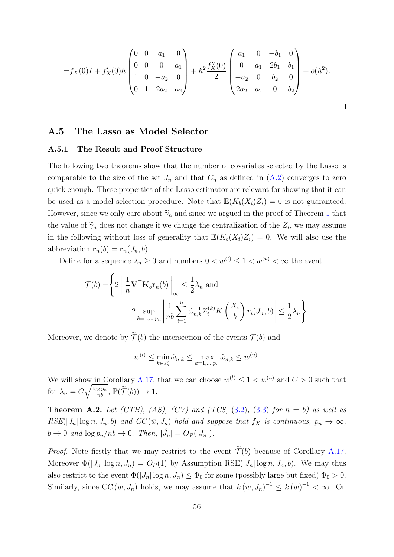$$
=f_X(0)I + f'_X(0)h\begin{pmatrix} 0 & 0 & a_1 & 0 \ 0 & 0 & 0 & a_1 \ 1 & 0 & -a_2 & 0 \ 0 & 1 & 2a_2 & a_2 \end{pmatrix} + h^2 \frac{f''_X(0)}{2} \begin{pmatrix} a_1 & 0 & -b_1 & 0 \ 0 & a_1 & 2b_1 & b_1 \ -a_2 & 0 & b_2 & 0 \ 2a_2 & a_2 & 0 & b_2 \end{pmatrix} + o(h^2).
$$

### <span id="page-55-1"></span>A.5 The Lasso as Model Selector

#### A.5.1 The Result and Proof Structure

The following two theorems show that the number of covariates selected by the Lasso is comparable to the size of the set  $J_n$  and that  $C_n$  as defined in  $(A.2)$  converges to zero quick enough. These properties of the Lasso estimator are relevant for showing that it can be used as a model selection procedure. Note that  $\mathbb{E}(K_b(X_i)Z_i) = 0$  is not guaranteed. However, since we only care about  $\widetilde{\gamma}_n$  and since we argued in the proof of Theorem [1](#page-14-1) that the value of  $\widetilde{\gamma}_n$  does not change if we change the centralization of the  $Z_i$ , we may assume in the following without loss of generality that  $\mathbb{E}(K_b(X_i)Z_i) = 0$ . We will also use the abbreviation  $\mathbf{r}_n(b) = \mathbf{r}_n(J_n, b)$ .

Define for a sequence  $\lambda_n \geq 0$  and numbers  $0 < w^{(l)} \leq 1 < w^{(u)} < \infty$  the event

$$
\mathcal{T}(b) = \left\{ 2 \left\| \frac{1}{n} \mathbf{V}^\top \mathbf{K}_b \mathbf{r}_n(b) \right\|_{\infty} \le \frac{1}{2} \lambda_n \text{ and}
$$
  

$$
2 \sup_{k=1,\dots,p_n} \left| \frac{1}{nb} \sum_{i=1}^n \hat{\omega}_{n,k}^{-1} Z_i^{(k)} K\left(\frac{X_i}{b}\right) r_i(J_n, b) \right| \le \frac{1}{2} \lambda_n \right\}.
$$

Moreover, we denote by  $\widetilde{\mathcal{T}}(b)$  the intersection of the events  $\mathcal{T}(b)$  and

$$
w^{(l)} \le \min_{k \in J_n^c} \hat{\omega}_{n,k} \le \max_{k=1,\dots,p_n} \hat{\omega}_{n,k} \le w^{(u)}.
$$

We will show in Corollary [A.17,](#page-58-1) that we can choose  $w^{(l)} \leq 1 < w^{(u)}$  and  $C > 0$  such that for  $\lambda_n = C \sqrt{\frac{\log p_n}{nb}}$ ,  $\mathbb{P}(\widetilde{\mathcal{T}}(b)) \to 1$ .

<span id="page-55-0"></span>**Theorem A.2.** Let (CTB), (AS), (CV) and (TCS,  $(3.2)$ ,  $(3.3)$  for  $h = b$ ) as well as  $RSE(|J_n| \log n, J_n, b)$  and  $CC(\bar{w}, J_n)$  hold and suppose that  $f_X$  is continuous,  $p_n \to \infty$ ,  $b \to 0$  and  $\log p_n / nb \to 0$ . Then,  $|\hat{J}_n| = O_P(|J_n|)$ .

*Proof.* Note firstly that we may restrict to the event  $\widetilde{\mathcal{T}}(b)$  because of Corollary [A.17.](#page-58-1) Moreover  $\Phi(|J_n| \log n, J_n) = O_P(1)$  by Assumption RSE( $|J_n| \log n, J_n, b$ ). We may thus also restrict to the event  $\Phi(|J_n| \log n, J_n) \leq \Phi_0$  for some (possibly large but fixed)  $\Phi_0 > 0$ . Similarly, since CC  $(\bar{w}, J_n)$  holds, we may assume that  $k(\bar{w}, J_n)^{-1} \leq k(\bar{w})^{-1} < \infty$ . On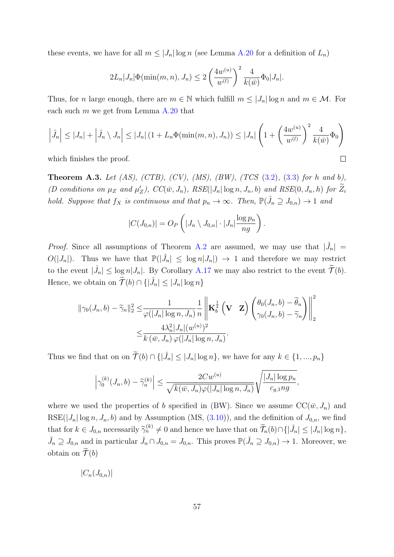these events, we have for all  $m \leq |J_n| \log n$  (see Lemma [A.20](#page-61-0) for a definition of  $L_n$ )

$$
2L_n|J_n|\Phi(\min(m,n),J_n) \le 2\left(\frac{4w^{(u)}}{w^{(l)}}\right)^2\frac{4}{k(\bar{w})}\Phi_0|J_n|.
$$

Thus, for n large enough, there are  $m \in \mathbb{N}$  which fulfill  $m \leq |J_n| \log n$  and  $m \in \mathcal{M}$ . For each such  $m$  we get from Lemma [A.20](#page-61-0) that

$$
\left|\hat{J}_n\right| \le |J_n| + \left|\hat{J}_n \setminus J_n\right| \le |J_n| \left(1 + L_n \Phi(\min(m, n), J_n)\right) \le |J_n| \left(1 + \left(\frac{4w^{(u)}}{w^{(l)}}\right)^2 \frac{4}{k(\bar{w})} \Phi_0\right)
$$
\nwhich finishes the proof.

which finishes the proof.

<span id="page-56-0"></span>**Theorem A.3.** Let  $(AS)$ ,  $(CTB)$ ,  $(CV)$ ,  $(MS)$ ,  $(BW)$ ,  $(TCS (3.2), (3.3)$  $(TCS (3.2), (3.3)$  $(TCS (3.2), (3.3)$  $(TCS (3.2), (3.3)$  for h and b), (D conditions on  $\mu_Z$  and  $\mu'_Z$ ),  $CC(\bar{w}, J_n)$ ,  $RSE( |J_n| \log n, J_n, b)$  and  $RSE(0, J_n, h)$  for  $\tilde{Z}_i$ hold. Suppose that  $f_X$  is continuous and that  $p_n \to \infty$ . Then,  $\mathbb{P}(\hat{J}_n \supseteq J_{0,n}) \to 1$  and

$$
|C(J_{0,n})| = O_P\left(|J_n \setminus J_{0,n}| \cdot |J_n|\frac{\log p_n}{ng}\right).
$$

*Proof.* Since all assumptions of Theorem [A.2](#page-55-0) are assumed, we may use that  $|\hat{J}_n|$  =  $O(|J_n|)$ . Thus we have that  $\mathbb{P}(|\hat{J}_n| \leq \log n |J_n|) \to 1$  and therefore we may restrict to the event  $|\hat{J}_n| \leq \log n |J_n|$ . By Corollary [A.17](#page-58-1) we may also restrict to the event  $\widetilde{\mathcal{T}}(b)$ . Hence, we obtain on  $\widetilde{\mathcal{T}}(b) \cap \{|\hat{J}_n| \leq |J_n| \log n\}$ 

$$
\begin{split} \|\gamma_0(J_n,b)-\widetilde{\gamma}_n\|_2^2 \leq & \frac{1}{\varphi(|J_n|\log n, J_n)}\frac{1}{n}\left\|\mathbf{K}_b^{\frac{1}{2}}\left(\mathbf{V}\mid \mathbf{Z}\right)\begin{pmatrix} \theta_0(J_n,b)-\widetilde{\theta}_n\\\gamma_0(J_n,b)-\widetilde{\gamma}_n \end{pmatrix}\right\|_2^2\\ \leq & \frac{4\lambda_n^2|J_n|(w^{(u)})^2}{k\left(\bar{w},J_n\right)\varphi(|J_n|\log n, J_n)}. \end{split}
$$

Thus we find that on on  $\widetilde{\mathcal{T}}(b) \cap \{|\hat{J}_n| \leq |J_n| \log n\}$ , we have for any  $k \in \{1, ..., p_n\}$ 

$$
\left|\gamma_0^{(k)}(J_n, b) - \widetilde{\gamma}_n^{(k)}\right| \le \frac{2Cw^{(u)}}{\sqrt{k(\bar{w}, J_n)\varphi(|J_n| \log n, J_n)}} \sqrt{\frac{|J_n| \log p_n}{c_{g,1}ng}},
$$

where we used the properties of b specified in (BW). Since we assume  $CC(\bar{w}, J_n)$  and RSE( $|J_n| \log n$ ,  $J_n$ , b) and by Assumption (MS, [\(3.10\)](#page-12-0)), and the definition of  $J_{0,n}$ , we find that for  $k \in J_{0,n}$  necessarily  $\widetilde{\gamma}_n^{(k)} \neq 0$  and hence we have that on  $\widetilde{\mathcal{T}}_n(b) \cap \{|\hat{J}_n| \leq |J_n| \log n\},$  $\hat{J}_n \supseteq J_{0,n}$  and in particular  $\hat{J}_n \cap J_{0,n} = J_{0,n}$ . This proves  $\mathbb{P}(\hat{J}_n \supseteq J_{0,n}) \to 1$ . Moreover, we obtain on  $\mathcal{T}(b)$ 

$$
|C_n(J_{0,n})|
$$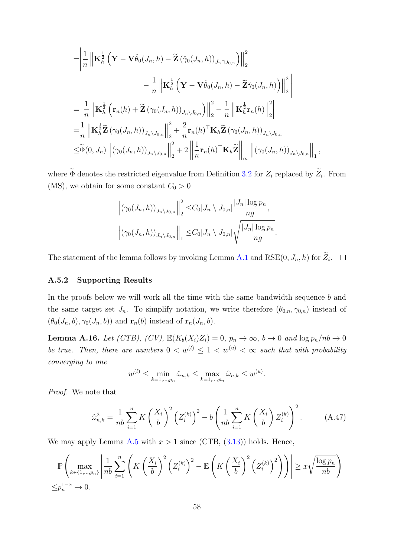$$
\begin{split}\n&= \left| \frac{1}{n} \left\| \mathbf{K}_{h}^{\frac{1}{2}} \left( \mathbf{Y} - \mathbf{V} \check{\theta}_{0} (J_{n}, h) - \widetilde{\mathbf{Z}} \left( \check{\gamma}_{0} (J_{n}, h) \right)_{\hat{J}_{n} \cap J_{0,n}} \right) \right\|_{2}^{2} \\
&- \frac{1}{n} \left\| \mathbf{K}_{h}^{\frac{1}{2}} \left( \mathbf{Y} - \mathbf{V} \check{\theta}_{0} (J_{n}, h) - \widetilde{\mathbf{Z}} \check{\gamma}_{0} (J_{n}, h) \right) \right\|_{2}^{2} \\
&= \left| \frac{1}{n} \left\| \mathbf{K}_{h}^{\frac{1}{2}} \left( \mathbf{r}_{n} (h) + \widetilde{\mathbf{Z}} \left( \gamma_{0} (J_{n}, h) \right)_{J_{n} \setminus J_{0,n}} \right) \right\|_{2}^{2} - \frac{1}{n} \left\| \mathbf{K}_{h}^{\frac{1}{2}} \mathbf{r}_{n} (h) \right\|_{2}^{2} \right| \\
&= \frac{1}{n} \left\| \mathbf{K}_{h}^{\frac{1}{2}} \widetilde{\mathbf{Z}} \left( \gamma_{0} (J_{n}, h) \right)_{J_{n} \setminus J_{0,n}} \right\|_{2}^{2} + \frac{2}{n} \mathbf{r}_{n} (h)^\top \mathbf{K}_{h} \widetilde{\mathbf{Z}} \left( \gamma_{0} (J_{n}, h) \right)_{J_{n} \setminus J_{0,n}} \\
&\leq \widetilde{\Phi}(0, J_{n}) \left\| \left( \gamma_{0} (J_{n}, h) \right)_{J_{n} \setminus J_{0,n}} \right\|_{2}^{2} + 2 \left\| \frac{1}{n} \mathbf{r}_{n} (h)^\top \mathbf{K}_{h} \widetilde{\mathbf{Z}} \right\|_{\infty} \left\| \left( \gamma_{0} (J_{n}, h) \right)_{J_{n} \setminus J_{0,n}} \right\|_{1}^{2},\n\end{split}
$$

where  $\Phi$  denotes the restricted eigenvalue from Definition [3.2](#page-11-3) for  $Z_i$  replaced by  $Z_i$ . From (MS), we obtain for some constant  $C_0 > 0$ 

$$
\left\| \left( \gamma_0(J_n, h) \right)_{J_n \setminus J_{0,n}} \right\|_2^2 \leq C_0 |J_n \setminus J_{0,n}| \frac{|J_n| \log p_n}{ng},
$$
  

$$
\left\| \left( \gamma_0(J_n, h) \right)_{J_n \setminus J_{0,n}} \right\|_1 \leq C_0 |J_n \setminus J_{0,n}| \sqrt{\frac{|J_n| \log p_n}{ng}}
$$

.

The statement of the lemma follows by invoking Lemma [A.1](#page-30-0) and  $RSE(0, J_n, h)$  for  $Z_i$ .

#### A.5.2 Supporting Results

In the proofs below we will work all the time with the same bandwidth sequence  $b$  and the same target set  $J_n$ . To simplify notation, we write therefore  $(\theta_{0,n}, \gamma_{0,n})$  instead of  $(\theta_0(J_n, b), \gamma_0(J_n, b))$  and  $\mathbf{r}_n(b)$  instead of  $\mathbf{r}_n(J_n, b)$ .

<span id="page-57-0"></span>**Lemma A.16.** Let (CTB), (CV),  $\mathbb{E}(K_b(X_i)Z_i) = 0$ ,  $p_n \to \infty$ ,  $b \to 0$  and  $\log p_n/nb \to 0$ be true. Then, there are numbers  $0 < w^{(l)} \leq 1 < w^{(u)} < \infty$  such that with probability converging to one

$$
w^{(l)} \le \min_{k=1,\dots,p_n} \hat{\omega}_{n,k} \le \max_{k=1,\dots,p_n} \hat{\omega}_{n,k} \le w^{(u)}.
$$

Proof. We note that

<span id="page-57-1"></span>
$$
\hat{\omega}_{n,k}^2 = \frac{1}{nb} \sum_{i=1}^n K \left(\frac{X_i}{b}\right)^2 \left(Z_i^{(k)}\right)^2 - b \left(\frac{1}{nb} \sum_{i=1}^n K \left(\frac{X_i}{b}\right) Z_i^{(k)}\right)^2.
$$
 (A.47)

We may apply Lemma [A.5](#page-35-0) with  $x > 1$  since (CTB,  $(3.13)$ ) holds. Hence,

$$
\mathbb{P}\left(\max_{k\in\{1,\ldots,p_n\}}\left|\frac{1}{nb}\sum_{i=1}^n\left(K\left(\frac{X_i}{b}\right)^2\left(Z_i^{(k)}\right)^2-\mathbb{E}\left(K\left(\frac{X_i}{b}\right)^2\left(Z_i^{(k)}\right)^2\right)\right)\right|\geq x\sqrt{\frac{\log p_n}{nb}}\right)
$$
  

$$
\leq p_n^{1-x}\to 0.
$$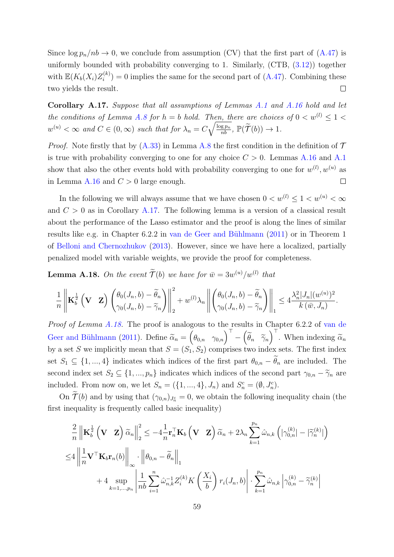Since  $\log p_n / nb \to 0$ , we conclude from assumption (CV) that the first part of [\(A.47\)](#page-57-1) is uniformly bounded with probability converging to 1. Similarly, (CTB, [\(3.12\)](#page-13-0)) together with  $\mathbb{E}(K_b(X_i)Z_i^{(k)})$  $i^{(k)}$  = 0 implies the same for the second part of [\(A.47\)](#page-57-1). Combining these two yields the result.  $\Box$ 

<span id="page-58-1"></span>Corollary [A.1](#page-30-0)7. Suppose that all assumptions of Lemmas A.1 and [A.16](#page-57-0) hold and let the conditions of Lemma [A.8](#page-44-0) for  $h = b$  hold. Then, there are choices of  $0 < w^{(l)} \leq 1 <$  $w^{(u)} < \infty$  and  $C \in (0, \infty)$  such that for  $\lambda_n = C\sqrt{\frac{\log p_n}{nb}}$ ,  $\mathbb{P}(\widetilde{\mathcal{T}}(b)) \to 1$ .

*Proof.* Note firstly that by  $(A.33)$  in Lemma [A.8](#page-44-0) the first condition in the definition of  $\mathcal T$ is true with probability converging to one for any choice  $C > 0$ . Lemmas [A.16](#page-57-0) and [A.1](#page-30-0) show that also the other events hold with probability converging to one for  $w^{(l)}$ ,  $w^{(u)}$  as in Lemma [A.16](#page-57-0) and  $C > 0$  large enough.  $\Box$ 

In the following we will always assume that we have chosen  $0 < w^{(l)} \leq 1 < w^{(u)} < \infty$ and  $C > 0$  as in Corollary [A.17.](#page-58-1) The following lemma is a version of a classical result about the performance of the Lasso estimator and the proof is along the lines of similar results like e.g. in Chapter 6.2.2 in van de Geer and Bühlmann [\(2011\)](#page-23-2) or in Theorem 1 of [Belloni and Chernozhukov](#page-21-4) [\(2013\)](#page-21-4). However, since we have here a localized, partially penalized model with variable weights, we provide the proof for completeness.

<span id="page-58-0"></span>**Lemma A.18.** On the event  $\widetilde{\mathcal{T}}(b)$  we have for  $\overline{w} = 3w^{(u)}/w^{(l)}$  that

$$
\frac{1}{n}\left\|\mathbf{K}_{b}^{\frac{1}{2}}\left(\mathbf{V}\mid\mathbf{Z}\right)\left(\frac{\theta_{0}(J_{n},b)-\widetilde{\theta}_{n}}{\gamma_{0}(J_{n},b)-\widetilde{\gamma}_{n}}\right)\right\|_{2}^{2}+w^{(l)}\lambda_{n}\left\|\left(\frac{\theta_{0}(J_{n},b)-\widetilde{\theta}_{n}}{\gamma_{0}(J_{n},b)-\widetilde{\gamma}_{n}}\right)\right\|_{1}\leq 4\frac{\lambda_{n}^{2}|J_{n}|(w^{(u)})^{2}}{k(\bar{w},J_{n})}.
$$

Proof of Lemma [A.18.](#page-58-0) The proof is analogous to the results in Chapter 6.2.2 of [van de](#page-23-2) Geer and Bühlmann [\(2011\)](#page-23-2). Define  $\widetilde{\alpha}_n = \begin{pmatrix} \theta_{0,n} & \gamma_{0,n} \end{pmatrix}^\top - \begin{pmatrix} \widetilde{\theta}_n & \widetilde{\gamma}_n \end{pmatrix}$  $\int$ <sup>T</sup>. When indexing  $\tilde{\alpha}_n$ by a set S we implicitly mean that  $S = (S_1, S_2)$  comprises two index sets. The first index set  $S_1 \subseteq \{1, ..., 4\}$  indicates which indices of the first part  $\theta_{0,n} - \widetilde{\theta}_n$  are included. The second index set  $S_2 \subseteq \{1, ..., p_n\}$  indicates which indices of the second part  $\gamma_{0,n} - \tilde{\gamma}_n$  are included. From now on, we let  $S_n = (\{1, ..., 4\}, J_n)$  and  $S_n^c = (\emptyset, J_n^c)$ .

On  $\mathcal{T}(b)$  and by using that  $(\gamma_{0,n})_{J_n^c} = 0$ , we obtain the following inequality chain (the first inequality is frequently called basic inequality)

$$
\frac{2}{n} \left\| \mathbf{K}_{b}^{\frac{1}{2}} \left( \mathbf{V} \mathbf{Z} \right) \widetilde{\alpha}_{n} \right\|_{2}^{2} \leq -4 \frac{1}{n} \mathbf{r}_{n}^{\top} \mathbf{K}_{b} \left( \mathbf{V} \mathbf{Z} \right) \widetilde{\alpha}_{n} + 2 \lambda_{n} \sum_{k=1}^{p_{n}} \widehat{\omega}_{n,k} \left( |\gamma_{0,n}^{(k)}| - |\widetilde{\gamma}_{n}^{(k)}| \right) \n\leq 4 \left\| \frac{1}{n} \mathbf{V}^{\top} \mathbf{K}_{b} \mathbf{r}_{n}(b) \right\|_{\infty} \cdot \left\| \theta_{0,n} - \widetilde{\theta}_{n} \right\|_{1} \n+ 4 \sup_{k=1,...,p_{n}} \left| \frac{1}{nb} \sum_{i=1}^{n} \widehat{\omega}_{n,k}^{-1} Z_{i}^{(k)} K \left( \frac{X_{i}}{b} \right) r_{i}(J_{n}, b) \right| \cdot \sum_{k=1}^{p_{n}} \widehat{\omega}_{n,k} \left| \gamma_{0,n}^{(k)} - \widetilde{\gamma}_{n}^{(k)} \right|
$$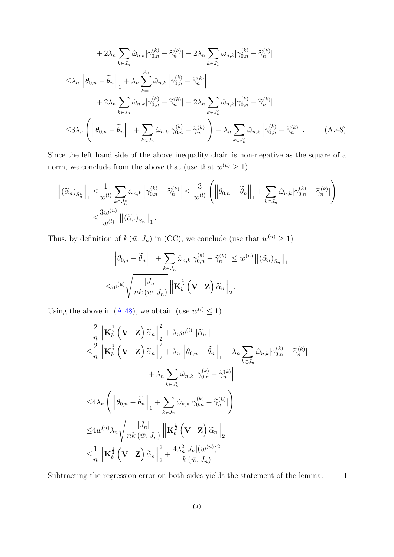$$
+ 2\lambda_n \sum_{k \in J_n} \hat{\omega}_{n,k} |\gamma_{0,n}^{(k)} - \tilde{\gamma}_n^{(k)}| - 2\lambda_n \sum_{k \in J_n^c} \hat{\omega}_{n,k} |\gamma_{0,n}^{(k)} - \tilde{\gamma}_n^{(k)}|
$$
  

$$
\leq \lambda_n \left\| \theta_{0,n} - \tilde{\theta}_n \right\|_1 + \lambda_n \sum_{k=1}^{p_n} \hat{\omega}_{n,k} |\gamma_{0,n}^{(k)} - \tilde{\gamma}_n^{(k)}|
$$
  

$$
+ 2\lambda_n \sum_{k \in J_n} \hat{\omega}_{n,k} |\gamma_{0,n}^{(k)} - \tilde{\gamma}_n^{(k)}| - 2\lambda_n \sum_{k \in J_n^c} \hat{\omega}_{n,k} |\gamma_{0,n}^{(k)} - \tilde{\gamma}_n^{(k)}|
$$
  

$$
\leq 3\lambda_n \left( \left\| \theta_{0,n} - \tilde{\theta}_n \right\|_1 + \sum_{k \in J_n} \hat{\omega}_{n,k} |\gamma_{0,n}^{(k)} - \tilde{\gamma}_n^{(k)}| \right) - \lambda_n \sum_{k \in J_n^c} \hat{\omega}_{n,k} |\gamma_{0,n}^{(k)} - \tilde{\gamma}_n^{(k)}|.
$$
 (A.48)

Since the left hand side of the above inequality chain is non-negative as the square of a norm, we conclude from the above that (use that  $w^{(u)} \geq 1$ )

$$
\left\| \left( \widetilde{\alpha}_n \right)_{S_n^c} \right\|_1 \leq \frac{1}{w^{(l)}} \sum_{k \in J_n^c} \widehat{\omega}_{n,k} \left| \gamma_{0,n}^{(k)} - \widetilde{\gamma}_n^{(k)} \right| \leq \frac{3}{w^{(l)}} \left( \left\| \theta_{0,n} - \widetilde{\theta}_n \right\|_1 + \sum_{k \in J_n} \widehat{\omega}_{n,k} |\gamma_{0,n}^{(k)} - \widetilde{\gamma}_n^{(k)}| \right)
$$
  

$$
\leq \frac{3w^{(u)}}{w^{(l)}} \left\| \left( \widetilde{\alpha}_n \right)_{S_n} \right\|_1.
$$

Thus, by definition of  $k(\bar{w}, J_n)$  in (CC), we conclude (use that  $w^{(u)} \geq 1$ )

<span id="page-59-0"></span>
$$
\|\theta_{0,n} - \widetilde{\theta}_n\|_1 + \sum_{k \in J_n} \hat{\omega}_{n,k} |\gamma_{0,n}^{(k)} - \widetilde{\gamma}_n^{(k)}| \le w^{(u)} \|(\widetilde{\alpha}_n)_{S_n}\|_1
$$
  

$$
\le w^{(u)} \sqrt{\frac{|J_n|}{nk (\bar{w}, J_n)}} \| \mathbf{K}_b^{\frac{1}{2}} (\mathbf{V} \mathbf{Z}) \widetilde{\alpha}_n \|_2.
$$

Using the above in [\(A.48\)](#page-59-0), we obtain (use  $w^{(l)} \leq 1$ )

$$
\frac{2}{n} \left\| \mathbf{K}_{b}^{\frac{1}{2}} \left( \mathbf{V} - \mathbf{Z} \right) \tilde{\alpha}_{n} \right\|_{2}^{2} + \lambda_{n} w^{(l)} \left\| \tilde{\alpha}_{n} \right\|_{1} \n\leq \frac{2}{n} \left\| \mathbf{K}_{b}^{\frac{1}{2}} \left( \mathbf{V} - \mathbf{Z} \right) \tilde{\alpha}_{n} \right\|_{2}^{2} + \lambda_{n} \left\| \theta_{0,n} - \tilde{\theta}_{n} \right\|_{1} + \lambda_{n} \sum_{k \in J_{n}} \hat{\omega}_{n,k} |\gamma_{0,n}^{(k)} - \tilde{\gamma}_{n}^{(k)}| \n+ \lambda_{n} \sum_{k \in J_{n}^{c}} \hat{\omega}_{n,k} |\gamma_{0,n}^{(k)} - \tilde{\gamma}_{n}^{(k)}| \n\leq 4\lambda_{n} \left( \left\| \theta_{0,n} - \tilde{\theta}_{n} \right\|_{1} + \sum_{k \in J_{n}} \hat{\omega}_{n,k} |\gamma_{0,n}^{(k)} - \tilde{\gamma}_{n}^{(k)}| \right) \n\leq 4w^{(u)} \lambda_{n} \sqrt{\frac{|J_{n}|}{nk (\bar{w}, J_{n})}} \left\| \mathbf{K}_{b}^{\frac{1}{2}} \left( \mathbf{V} - \mathbf{Z} \right) \tilde{\alpha}_{n} \right\|_{2} \n\leq \frac{1}{n} \left\| \mathbf{K}_{b}^{\frac{1}{2}} \left( \mathbf{V} - \mathbf{Z} \right) \tilde{\alpha}_{n} \right\|_{2}^{2} + \frac{4\lambda_{n}^{2} |J_{n}| (w^{(u)})^{2}}{k (\bar{w}, J_{n})}.
$$

Subtracting the regression error on both sides yields the statement of the lemma.  $\Box$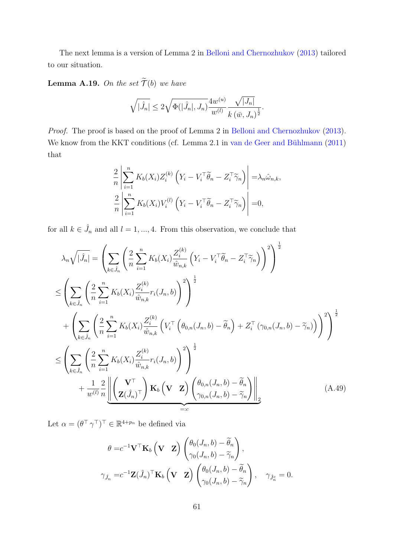The next lemma is a version of Lemma 2 in [Belloni and Chernozhukov](#page-21-4) [\(2013\)](#page-21-4) tailored to our situation.

<span id="page-60-1"></span>**Lemma A.19.** On the set  $\widetilde{\mathcal{T}}(b)$  we have

$$
\sqrt{|\hat{J}_n|} \leq 2\sqrt{\Phi(|\hat{J}_n|, J_n)} \frac{4w^{(u)}}{w^{(l)}} \frac{\sqrt{|J_n|}}{k(\bar{w}, J_n)^{\frac{1}{2}}}.
$$

Proof. The proof is based on the proof of Lemma 2 in [Belloni and Chernozhukov](#page-21-4) [\(2013\)](#page-21-4). We know from the KKT conditions (cf. Lemma 2.1 in van de Geer and Bühlmann  $(2011)$ that

$$
\frac{2}{n} \left| \sum_{i=1}^{n} K_b(X_i) Z_i^{(k)} \left( Y_i - V_i^{\top} \widetilde{\theta}_n - Z_i^{\top} \widetilde{\gamma}_n \right) \right| = \lambda_n \hat{\omega}_{n,k},
$$
  

$$
\frac{2}{n} \left| \sum_{i=1}^{n} K_b(X_i) V_i^{(l)} \left( Y_i - V_i^{\top} \widetilde{\theta}_n - Z_i^{\top} \widetilde{\gamma}_n \right) \right| = 0,
$$

for all  $k \in \hat{J}_n$  and all  $l = 1, ..., 4$ . From this observation, we conclude that

$$
\lambda_n \sqrt{|\hat{J}_n|} = \left( \sum_{k \in \hat{J}_n} \left( \frac{2}{n} \sum_{i=1}^n K_b(X_i) \frac{Z_i^{(k)}}{\hat{w}_{n,k}} \left( Y_i - V_i^\top \tilde{\theta}_n - Z_i^\top \tilde{\gamma}_n \right) \right)^2 \right)^{\frac{1}{2}}
$$
\n
$$
\leq \left( \sum_{k \in \hat{J}_n} \left( \frac{2}{n} \sum_{i=1}^n K_b(X_i) \frac{Z_i^{(k)}}{\hat{w}_{n,k}} r_i(J_n, b) \right)^2 \right)^{\frac{1}{2}}
$$
\n
$$
+ \left( \sum_{k \in \hat{J}_n} \left( \frac{2}{n} \sum_{i=1}^n K_b(X_i) \frac{Z_i^{(k)}}{\hat{w}_{n,k}} \left( V_i^\top \left( \theta_{0,n}(J_n, b) - \tilde{\theta}_n \right) + Z_i^\top (\gamma_{0,n}(J_n, b) - \tilde{\gamma}_n) \right) \right)^2 \right)^{\frac{1}{2}}
$$
\n
$$
\leq \left( \sum_{k \in \hat{J}_n} \left( \frac{2}{n} \sum_{i=1}^n K_b(X_i) \frac{Z_i^{(k)}}{\hat{w}_{n,k}} r_i(J_n, b) \right)^2 \right)^{\frac{1}{2}}
$$
\n
$$
+ \frac{1}{w^{(l)}} \frac{2}{n} \left( \left( \frac{V^\top}{Z(\hat{J}_n)^\top} \right) \mathbf{K}_b \left( \mathbf{V} \right) \left( \frac{\theta_{0,n}(J_n, b) - \tilde{\theta}_n}{\gamma_{0,n}(J_n, b) - \tilde{\gamma}_n} \right) \right)_{\equiv :c} \tag{A.49}
$$

Let  $\alpha = (\theta^{\top} \gamma^{\top})^{\top} \in \mathbb{R}^{4+p_n}$  be defined via

<span id="page-60-0"></span>
$$
\theta = c^{-1} \mathbf{V}^\top \mathbf{K}_b \left( \mathbf{V} \quad \mathbf{Z} \right) \begin{pmatrix} \theta_0(J_n, b) - \widetilde{\theta}_n \\ \gamma_0(J_n, b) - \widetilde{\gamma}_n \end{pmatrix},
$$

$$
\gamma_{\hat{J}_n} = c^{-1} \mathbf{Z} (\hat{J}_n)^\top \mathbf{K}_b \left( \mathbf{V} \quad \mathbf{Z} \right) \begin{pmatrix} \theta_0(J_n, b) - \widetilde{\theta}_n \\ \gamma_0(J_n, b) - \widetilde{\gamma}_n \end{pmatrix}, \quad \gamma_{\hat{J}_n^c} = 0.
$$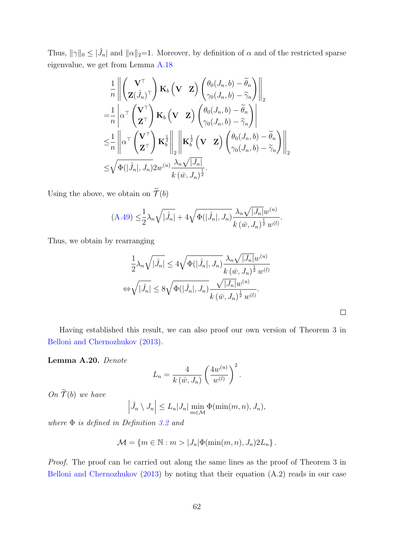Thus,  $\|\gamma\|_0 \leq |\hat{J}_n|$  and  $\|\alpha\|_2=1$ . Moreover, by definition of  $\alpha$  and of the restricted sparse eigenvalue, we get from Lemma [A.18](#page-58-0)

$$
\frac{1}{n} \left\| \begin{pmatrix} \mathbf{V}^{\top} \\ \mathbf{Z}(\hat{J}_{n})^{\top} \end{pmatrix} \mathbf{K}_{b} \left( \mathbf{V} - \mathbf{Z} \right) \begin{pmatrix} \theta_{0}(J_{n}, b) - \widetilde{\theta}_{n} \\ \gamma_{0}(J_{n}, b) - \widetilde{\gamma}_{n} \end{pmatrix} \right\|_{2} \n= \frac{1}{n} \left| \alpha^{\top} \begin{pmatrix} \mathbf{V}^{\top} \\ \mathbf{Z}^{\top} \end{pmatrix} \mathbf{K}_{b} \left( \mathbf{V} - \mathbf{Z} \right) \begin{pmatrix} \theta_{0}(J_{n}, b) - \widetilde{\theta}_{n} \\ \gamma_{0}(J_{n}, b) - \widetilde{\gamma}_{n} \end{pmatrix} \right| \n\leq \frac{1}{n} \left\| \alpha^{\top} \begin{pmatrix} \mathbf{V}^{\top} \\ \mathbf{Z}^{\top} \end{pmatrix} \mathbf{K}_{b}^{\frac{1}{2}} \right\|_{2} \left\| \mathbf{K}_{b}^{\frac{1}{2}} \left( \mathbf{V} - \mathbf{Z} \right) \begin{pmatrix} \theta_{0}(J_{n}, b) - \widetilde{\theta}_{n} \\ \gamma_{0}(J_{n}, b) - \widetilde{\gamma}_{n} \end{pmatrix} \right\|_{2} \n\leq \sqrt{\Phi(|\hat{J}_{n}|, J_{n}) 2w^{(u)} \frac{\lambda_{n} \sqrt{|\hat{J}_{n}|}}{k (\bar{w}, J_{n})^{\frac{1}{2}}}.}
$$

Using the above, we obtain on  $\widetilde{\mathcal{T}}(b)$ 

$$
(A.49) \leq \frac{1}{2}\lambda_n \sqrt{|\hat{J}_n|} + 4\sqrt{\Phi(|\hat{J}_n|, J_n)} \frac{\lambda_n \sqrt{|J_n|} w^{(u)}}{k(\bar{w}, J_n)^{\frac{1}{2}} w^{(l)}}.
$$

Thus, we obtain by rearranging

$$
\frac{1}{2}\lambda_n\sqrt{|\hat{J}_n|} \le 4\sqrt{\Phi(|\hat{J}_n|, J_n)} \frac{\lambda_n\sqrt{|J_n|}w^{(u)}}{k(\bar{w}, J_n)^{\frac{1}{2}}w^{(l)}}
$$
  

$$
\Leftrightarrow \sqrt{|\hat{J}_n|} \le 8\sqrt{\Phi(|\hat{J}_n|, J_n)} \frac{\sqrt{|J_n|}w^{(u)}}{k(\bar{w}, J_n)^{\frac{1}{2}}w^{(l)}}.
$$

Having established this result, we can also proof our own version of Theorem 3 in [Belloni and Chernozhukov](#page-21-4) [\(2013\)](#page-21-4).

<span id="page-61-0"></span>Lemma A.20. Denote

$$
L_n = \frac{4}{k(\bar{w}, J_n)} \left(\frac{4w^{(u)}}{w^{(l)}}\right)^2.
$$

On  $\widetilde{\mathcal{T}}(b)$  we have

$$
\left|\hat{J}_n \setminus J_n\right| \le L_n |J_n| \min_{m \in \mathcal{M}} \Phi(\min(m, n), J_n),
$$

where  $\Phi$  is defined in Definition [3.2](#page-11-3) and

$$
\mathcal{M} = \{m \in \mathbb{N} : m > |J_n|\Phi(\min(m, n), J_n)2L_n\}.
$$

Proof. The proof can be carried out along the same lines as the proof of Theorem 3 in [Belloni and Chernozhukov](#page-21-4) [\(2013\)](#page-21-4) by noting that their equation (A.2) reads in our case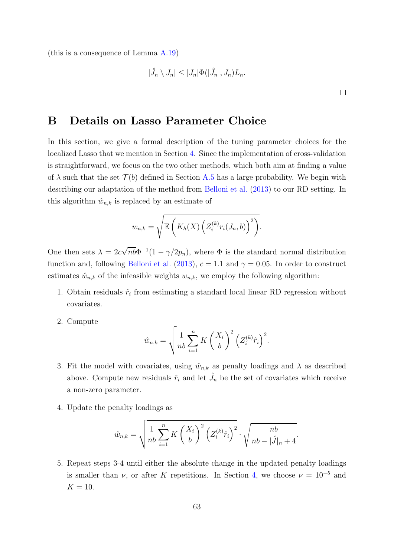(this is a consequence of Lemma [A.19\)](#page-60-1)

$$
|\hat{J}_n \setminus J_n| \leq |J_n| \Phi(|\hat{J}_n|, J_n) L_n.
$$

 $\Box$ 

# <span id="page-62-0"></span>B Details on Lasso Parameter Choice

In this section, we give a formal description of the tuning parameter choices for the localized Lasso that we mention in Section [4.](#page-17-0) Since the implementation of cross-validation is straightforward, we focus on the two other methods, which both aim at finding a value of  $\lambda$  such that the set  $\mathcal{T}(b)$  defined in Section [A.5](#page-55-1) has a large probability. We begin with describing our adaptation of the method from [Belloni et al.](#page-21-1) [\(2013\)](#page-21-1) to our RD setting. In this algorithm  $\hat{w}_{n,k}$  is replaced by an estimate of

$$
w_{n,k} = \sqrt{\mathbb{E}\left(K_h(X)\left(Z_i^{(k)}r_i(J_n,b)\right)^2\right)}.
$$

One then sets  $\lambda = 2c$ √  $\overline{nb}$  $\Phi^{-1}(1-\gamma/2p_n)$ , where  $\Phi$  is the standard normal distribution function and, following [Belloni et al.](#page-21-1) [\(2013\)](#page-21-1),  $c = 1.1$  and  $\gamma = 0.05$ . In order to construct estimates  $\hat{w}_{n,k}$  of the infeasible weights  $w_{n,k}$ , we employ the following algorithm:

- 1. Obtain residuals  $\hat{r}_i$  from estimating a standard local linear RD regression without covariates.
- 2. Compute

$$
\hat{w}_{n,k} = \sqrt{\frac{1}{nb} \sum_{i=1}^{n} K\left(\frac{X_i}{b}\right)^2 \left(Z_i^{(k)} \hat{r}_i\right)^2}.
$$

- 3. Fit the model with covariates, using  $\hat{w}_{n,k}$  as penalty loadings and  $\lambda$  as described above. Compute new residuals  $\hat{r}_i$  and let  $\hat{J}_n$  be the set of covariates which receive a non-zero parameter.
- 4. Update the penalty loadings as

$$
\hat{w}_{n,k} = \sqrt{\frac{1}{nb} \sum_{i=1}^{n} K\left(\frac{X_i}{b}\right)^2 \left(Z_i^{(k)} \hat{r}_i\right)^2} \cdot \sqrt{\frac{nb}{nb - |\hat{J}|_n + 4}}.
$$

5. Repeat steps 3-4 until either the absolute change in the updated penalty loadings is smaller than  $\nu$ , or after K repetitions. In Section [4,](#page-17-0) we choose  $\nu = 10^{-5}$  and  $K = 10$ .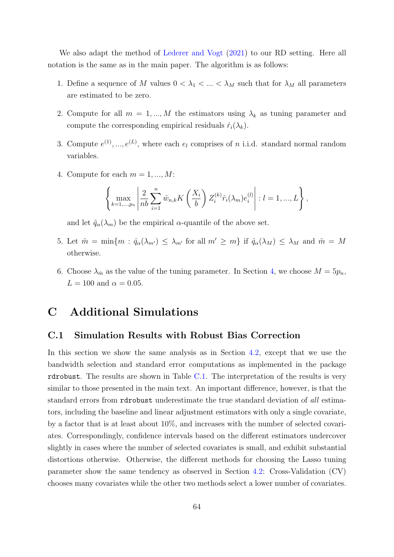We also adapt the method of [Lederer and Vogt](#page-22-8) [\(2021\)](#page-22-8) to our RD setting. Here all notation is the same as in the main paper. The algorithm is as follows:

- 1. Define a sequence of M values  $0 < \lambda_1 < ... < \lambda_M$  such that for  $\lambda_M$  all parameters are estimated to be zero.
- 2. Compute for all  $m = 1, ..., M$  the estimators using  $\lambda_k$  as tuning parameter and compute the corresponding empirical residuals  $\hat{r}_i(\lambda_k)$ .
- 3. Compute  $e^{(1)},...,e^{(L)}$ , where each  $e_l$  comprises of n i.i.d. standard normal random variables.
- 4. Compute for each  $m = 1, ..., M$ :

$$
\left\{\max_{k=1,\dots,p_n} \left|\frac{2}{nb}\sum_{i=1}^n \hat{w}_{n,k} K\left(\frac{X_i}{b}\right) Z_i^{(k)} \hat{r}_i(\lambda_m) e_i^{(l)}\right| : l=1,\dots,L\right\},\right\}
$$

and let  $\hat{q}_{\alpha}(\lambda_m)$  be the empirical  $\alpha$ -quantile of the above set.

- 5. Let  $\hat{m} = \min\{m : \hat{q}_{\alpha}(\lambda_{m'}) \leq \lambda_{m'} \text{ for all } m' \geq m\}$  if  $\hat{q}_{\alpha}(\lambda_M) \leq \lambda_M$  and  $\hat{m} = M$ otherwise.
- 6. Choose  $\lambda_{\hat{m}}$  as the value of the tuning parameter. In Section [4,](#page-17-0) we choose  $M = 5p_n$ ,  $L = 100$  and  $\alpha = 0.05$ .

# C Additional Simulations

### <span id="page-63-0"></span>C.1 Simulation Results with Robust Bias Correction

In this section we show the same analysis as in Section [4.2,](#page-17-2) except that we use the bandwidth selection and standard error computations as implemented in the package rdrobust. The results are shown in Table [C.1.](#page-64-1) The interpretation of the results is very similar to those presented in the main text. An important difference, however, is that the standard errors from rdrobust underestimate the true standard deviation of all estimators, including the baseline and linear adjustment estimators with only a single covariate, by a factor that is at least about 10%, and increases with the number of selected covariates. Correspondingly, confidence intervals based on the different estimators undercover slightly in cases where the number of selected covariates is small, and exhibit substantial distortions otherwise. Otherwise, the different methods for choosing the Lasso tuning parameter show the same tendency as observed in Section [4.2:](#page-17-2) Cross-Validation (CV) chooses many covariates while the other two methods select a lower number of covariates.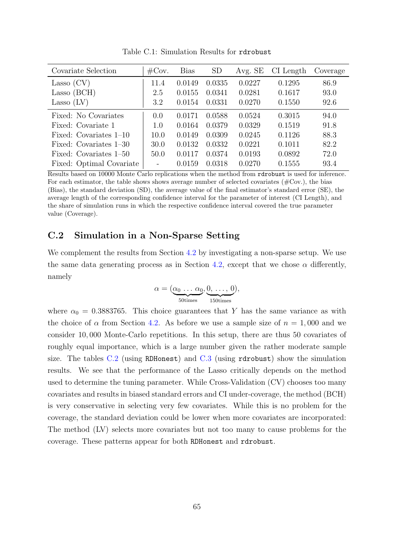<span id="page-64-1"></span>

| Covariate Selection      | $\#\text{Cov}.$ | <b>Bias</b> | <b>SD</b> | Avg. SE | CI Length | Coverage |
|--------------------------|-----------------|-------------|-----------|---------|-----------|----------|
| Lasso $(CV)$             | 11.4            | 0.0149      | 0.0335    | 0.0227  | 0.1295    | 86.9     |
| Lasso (BCH)              | 2.5             | 0.0155      | 0.0341    | 0.0281  | 0.1617    | 93.0     |
| Lasso $(LV)$             | 3.2             | 0.0154      | 0.0331    | 0.0270  | 0.1550    | 92.6     |
| Fixed: No Covariates     | 0.0             | 0.0171      | 0.0588    | 0.0524  | 0.3015    | 94.0     |
| Fixed: Covariate 1       | 1.0             | 0.0164      | 0.0379    | 0.0329  | 0.1519    | 91.8     |
| Fixed: Covariates 1-10   | 10.0            | 0.0149      | 0.0309    | 0.0245  | 0.1126    | 88.3     |
| Fixed: Covariates 1-30   | 30.0            | 0.0132      | 0.0332    | 0.0221  | 0.1011    | 82.2     |
| Fixed: Covariates 1–50   | 50.0            | 0.0117      | 0.0374    | 0.0193  | 0.0892    | 72.0     |
| Fixed: Optimal Covariate |                 | 0.0159      | 0.0318    | 0.0270  | 0.1555    | 93.4     |

Table C.1: Simulation Results for rdrobust

Results based on 10000 Monte Carlo replications when the method from rdrobust is used for inference. For each estimator, the table shows shows average number of selected covariates  $(\text{\#Cov.})$ , the bias (Bias), the standard deviation (SD), the average value of the final estimator's standard error (SE), the average length of the corresponding confidence interval for the parameter of interest (CI Length), and the share of simulation runs in which the respective confidence interval covered the true parameter value (Coverage).

# <span id="page-64-0"></span>C.2 Simulation in a Non-Sparse Setting

We complement the results from Section [4.2](#page-17-2) by investigating a non-sparse setup. We use the same data generating process as in Section [4.2,](#page-17-2) except that we chose  $\alpha$  differently, namely

$$
\alpha = (\underbrace{\alpha_0 \ldots \alpha_0}_{50 \text{times}}, \underbrace{0, \ldots, 0}_{150 \text{times}}),
$$

where  $\alpha_0 = 0.3883765$ . This choice guarantees that Y has the same variance as with the choice of  $\alpha$  from Section [4.2.](#page-17-2) As before we use a sample size of  $n = 1,000$  and we consider 10, 000 Monte-Carlo repetitions. In this setup, there are thus 50 covariates of roughly equal importance, which is a large number given the rather moderate sample size. The tables  $C.2$  (using RDHonest) and  $C.3$  (using rdrobust) show the simulation results. We see that the performance of the Lasso critically depends on the method used to determine the tuning parameter. While Cross-Validation (CV) chooses too many covariates and results in biased standard errors and CI under-coverage, the method (BCH) is very conservative in selecting very few covariates. While this is no problem for the coverage, the standard deviation could be lower when more covariates are incorporated: The method (LV) selects more covariates but not too many to cause problems for the coverage. These patterns appear for both RDHonest and rdrobust.